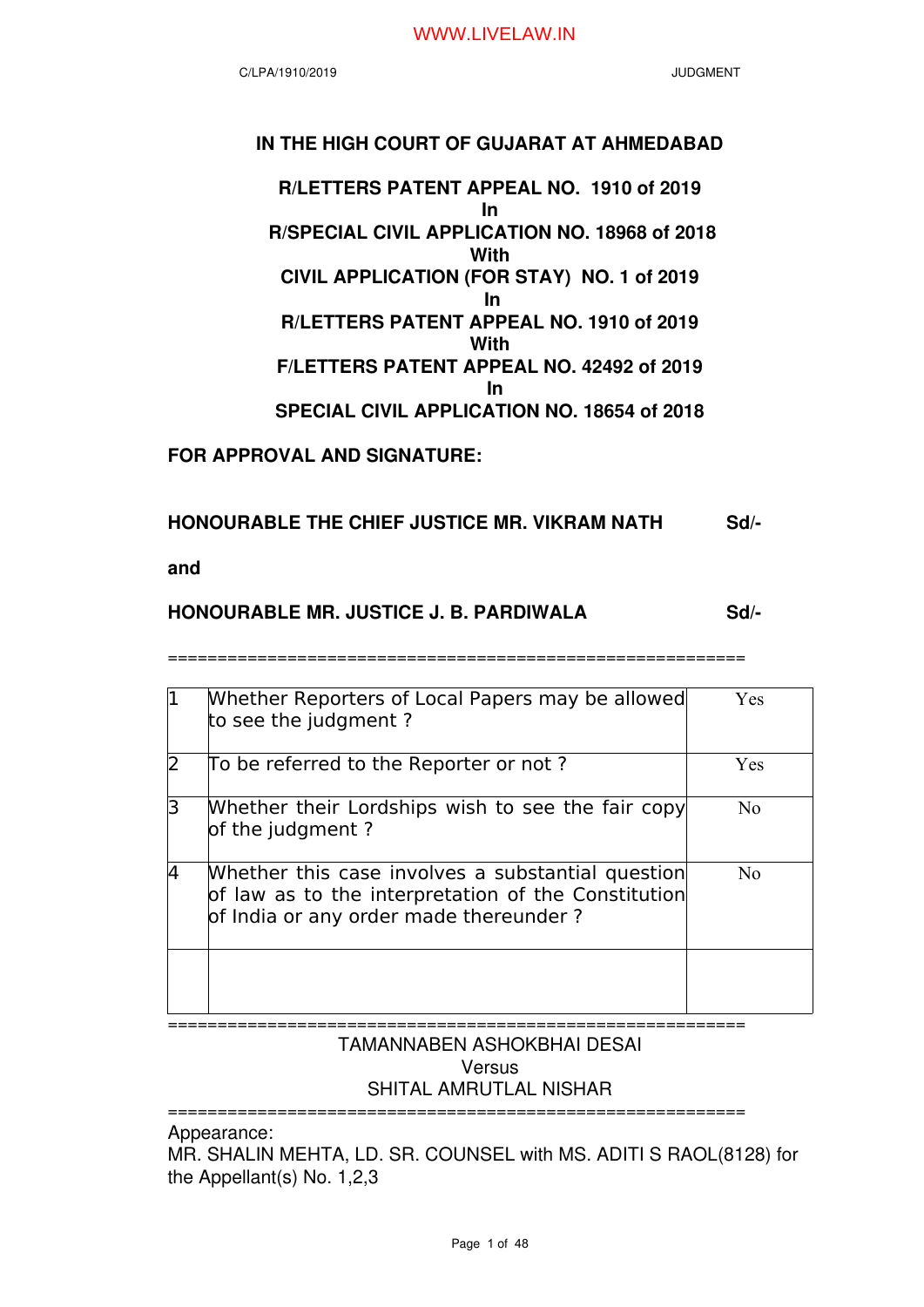# **IN THE HIGH COURT OF GUJARAT AT AHMEDABAD**

**R/LETTERS PATENT APPEAL NO. 1910 of 2019 In R/SPECIAL CIVIL APPLICATION NO. 18968 of 2018 With CIVIL APPLICATION (FOR STAY) NO. 1 of 2019 In R/LETTERS PATENT APPEAL NO. 1910 of 2019 With F/LETTERS PATENT APPEAL NO. 42492 of 2019 In SPECIAL CIVIL APPLICATION NO. 18654 of 2018**

**FOR APPROVAL AND SIGNATURE:** 

# **HONOURABLE THE CHIEF JUSTICE MR. VIKRAM NATH Sd/-**

**and**

# **HONOURABLE MR. JUSTICE J. B. PARDIWALA Sd/-**

==========================================================

|   | Whether Reporters of Local Papers may be allowed<br>to see the judgment?                                                                           | Yes            |
|---|----------------------------------------------------------------------------------------------------------------------------------------------------|----------------|
| フ | To be referred to the Reporter or not?                                                                                                             | Yes            |
| 3 | Whether their Lordships wish to see the fair copy<br>of the judgment?                                                                              | N <sub>0</sub> |
| 4 | Whether this case involves a substantial question<br>of law as to the interpretation of the Constitution<br>of India or any order made thereunder? | No             |
|   |                                                                                                                                                    |                |

#### ==========================================================

# TAMANNABEN ASHOKBHAI DESAI **Versus** SHITAL AMRUTLAL NISHAR

Appearance:

MR. SHALIN MEHTA, LD. SR. COUNSEL with MS. ADITI S RAOL(8128) for the Appellant(s) No. 1,2,3

==========================================================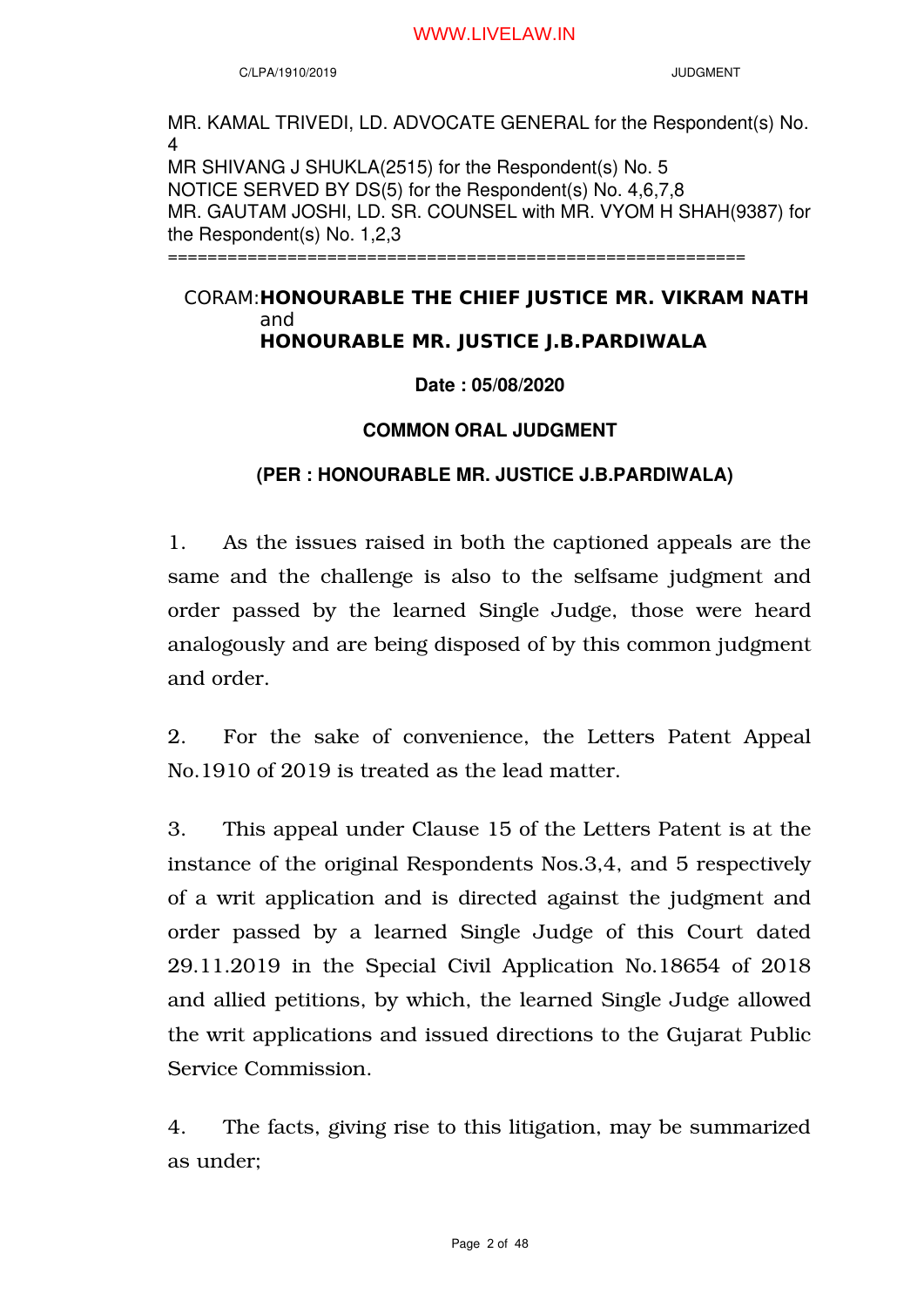C/LPA/1910/2019 JUDGMENT

MR. KAMAL TRIVEDI, LD. ADVOCATE GENERAL for the Respondent(s) No. 4 MR SHIVANG J SHUKLA(2515) for the Respondent(s) No. 5 NOTICE SERVED BY DS(5) for the Respondent(s) No. 4,6,7,8 MR. GAUTAM JOSHI, LD. SR. COUNSEL with MR. VYOM H SHAH(9387) for the Respondent(s) No. 1,2,3 ==========================================================

# CORAM: **HONOURABLE THE CHIEF JUSTICE MR. VIKRAM NATH** and **HONOURABLE MR. JUSTICE J.B.PARDIWALA**

**Date : 05/08/2020**

# **COMMON ORAL JUDGMENT**

# **(PER : HONOURABLE MR. JUSTICE J.B.PARDIWALA)**

1. As the issues raised in both the captioned appeals are the same and the challenge is also to the selfsame judgment and order passed by the learned Single Judge, those were heard analogously and are being disposed of by this common judgment and order.

2. For the sake of convenience, the Letters Patent Appeal No.1910 of 2019 is treated as the lead matter.

3. This appeal under Clause 15 of the Letters Patent is at the instance of the original Respondents Nos.3,4, and 5 respectively of a writ application and is directed against the judgment and order passed by a learned Single Judge of this Court dated 29.11.2019 in the Special Civil Application No.18654 of 2018 and allied petitions, by which, the learned Single Judge allowed the writ applications and issued directions to the Gujarat Public Service Commission.

4. The facts, giving rise to this litigation, may be summarized as under;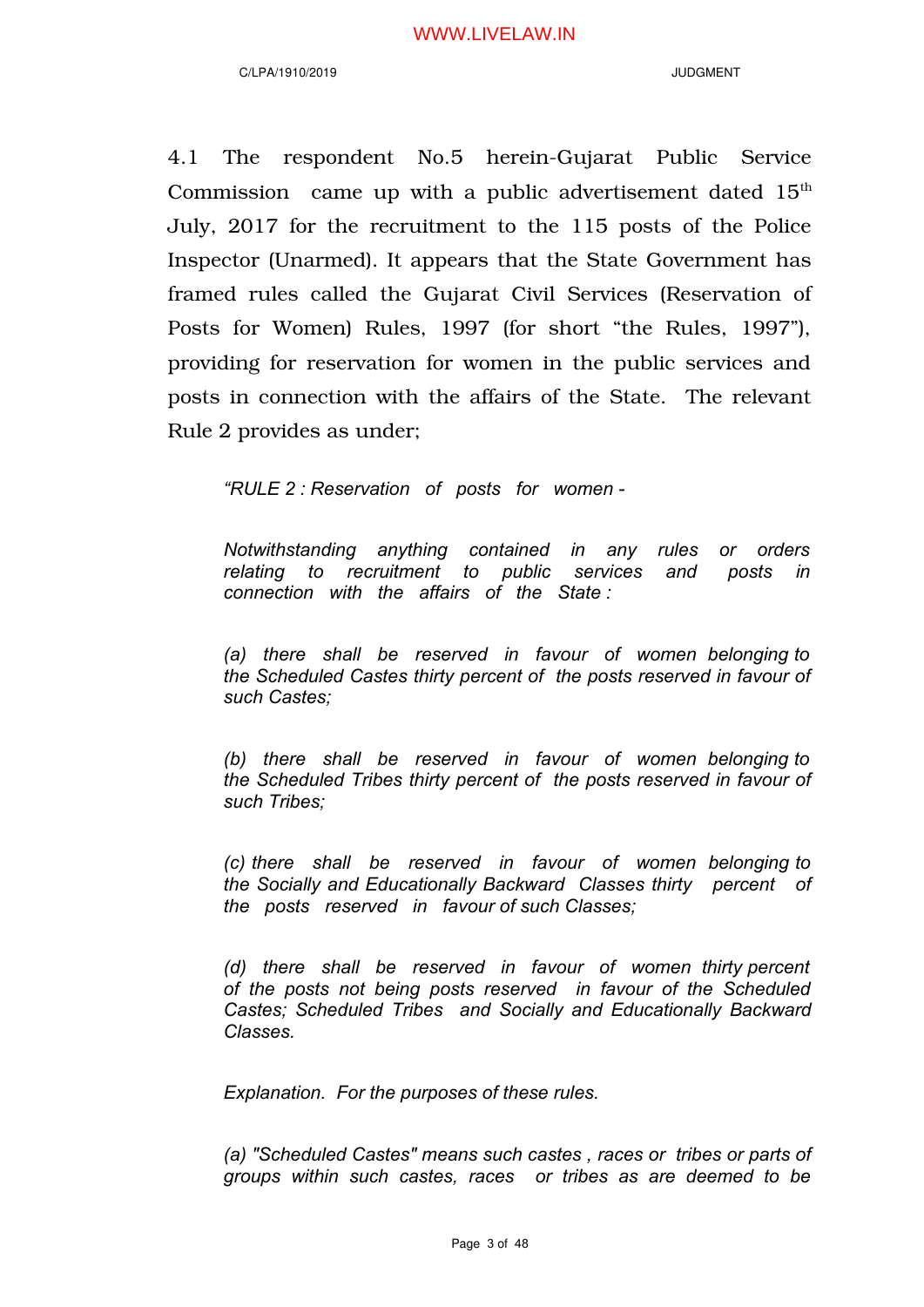4.1 The respondent No.5 herein-Gujarat Public Service Commission came up with a public advertisement dated  $15<sup>th</sup>$ July, 2017 for the recruitment to the 115 posts of the Police Inspector (Unarmed). It appears that the State Government has framed rules called the Gujarat Civil Services (Reservation of Posts for Women) Rules, 1997 (for short "the Rules, 1997"), providing for reservation for women in the public services and posts in connection with the affairs of the State. The relevant Rule 2 provides as under;

*"RULE 2 : Reservation of posts for women -* 

*Notwithstanding anything contained in any rules or orders relating to recruitment to public services and posts in connection with the affairs of the State :*

*(a) there shall be reserved in favour of women belonging to the Scheduled Castes thirty percent of the posts reserved in favour of such Castes;* 

*(b) there shall be reserved in favour of women belonging to the Scheduled Tribes thirty percent of the posts reserved in favour of such Tribes;* 

*(c) there shall be reserved in favour of women belonging to the Socially and Educationally Backward Classes thirty percent of the posts reserved in favour of such Classes;*

*(d) there shall be reserved in favour of women thirty percent of the posts not being posts reserved in favour of the Scheduled Castes; Scheduled Tribes and Socially and Educationally Backward Classes.* 

*Explanation. For the purposes of these rules.* 

*(a) "Scheduled Castes" means such castes , races or tribes or parts of groups within such castes, races or tribes as are deemed to be*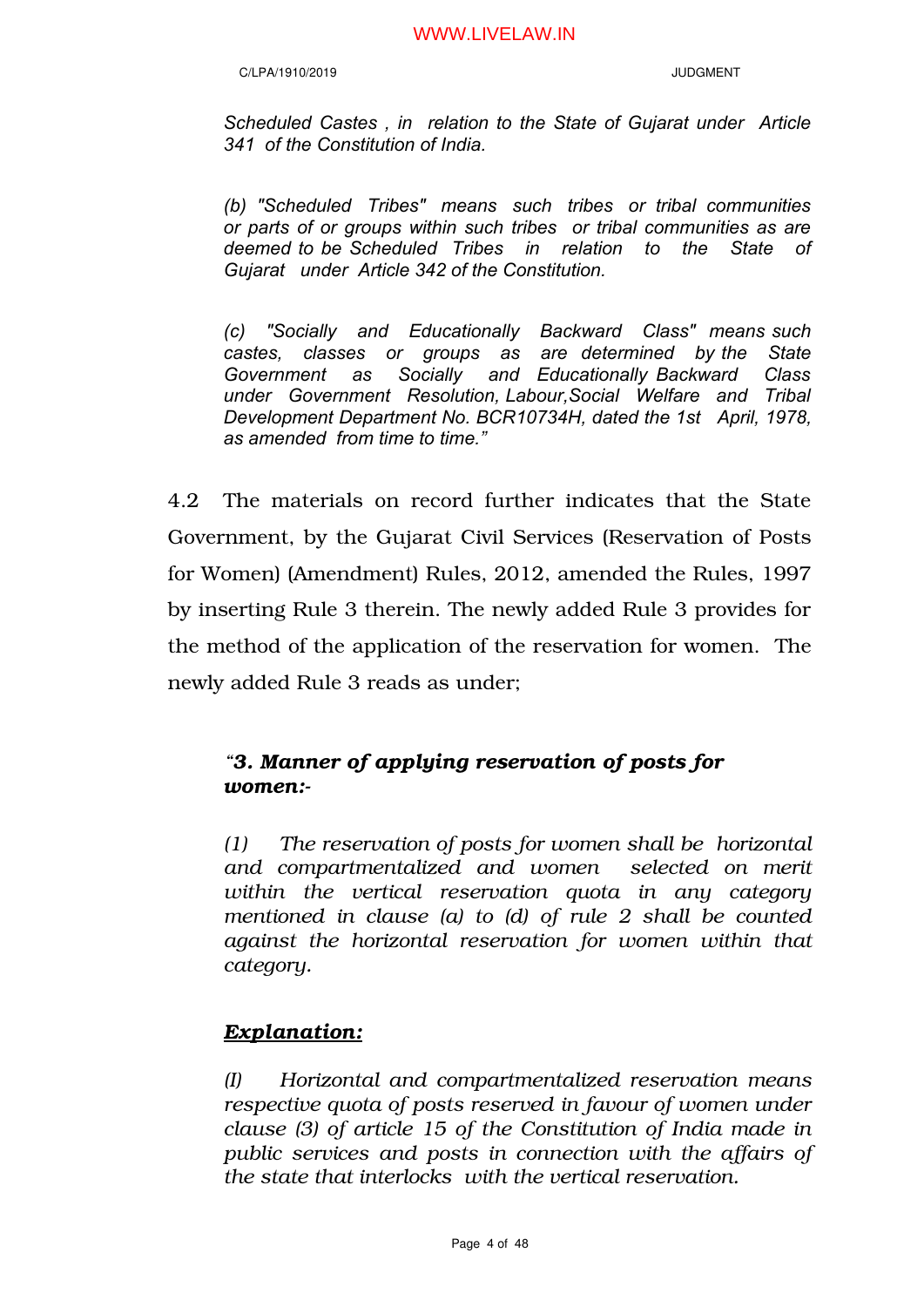*Scheduled Castes , in relation to the State of Gujarat under Article 341 of the Constitution of India.* 

*(b) "Scheduled Tribes" means such tribes or tribal communities or parts of or groups within such tribes or tribal communities as are deemed to be Scheduled Tribes in relation to the State of Gujarat under Article 342 of the Constitution.*

*(c) "Socially and Educationally Backward Class" means such castes, classes or groups as are determined by the State Government as Socially and Educationally Backward Class under Government Resolution, Labour,Social Welfare and Tribal Development Department No. BCR10734H, dated the 1st April, 1978, as amended from time to time."*

4.2 The materials on record further indicates that the State Government, by the Gujarat Civil Services (Reservation of Posts for Women) (Amendment) Rules, 2012, amended the Rules, 1997 by inserting Rule 3 therein. The newly added Rule 3 provides for the method of the application of the reservation for women. The newly added Rule 3 reads as under;

# *"3. Manner of applying reservation of posts for women:-*

*(1) The reservation of posts for women shall be horizontal and compartmentalized and women selected on merit within the vertical reservation quota in any category mentioned in clause (a) to (d) of rule 2 shall be counted against the horizontal reservation for women within that category.* 

# *Explanation:*

*(I) Horizontal and compartmentalized reservation means respective quota of posts reserved in favour of women under clause (3) of article 15 of the Constitution of India made in public services and posts in connection with the affairs of the state that interlocks with the vertical reservation.*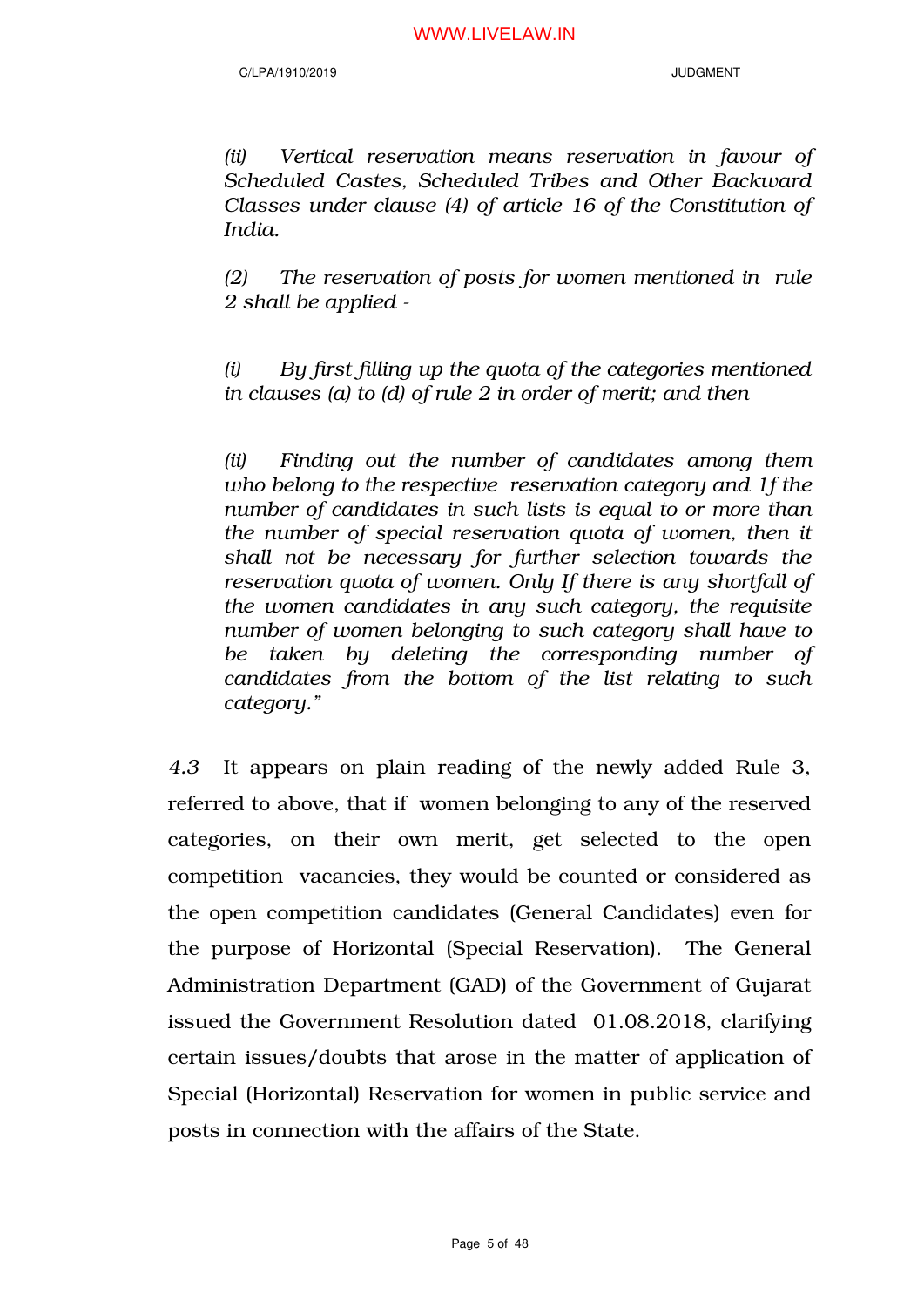*(ii) Vertical reservation means reservation in favour of Scheduled Castes, Scheduled Tribes and Other Backward Classes under clause (4) of article 16 of the Constitution of India.* 

*(2) The reservation of posts for women mentioned in rule 2 shall be applied -*

*(i) By first filling up the quota of the categories mentioned in clauses (a) to (d) of rule 2 in order of merit; and then*

*(ii) Finding out the number of candidates among them who belong to the respective reservation category and 1f the number of candidates in such lists is equal to or more than the number of special reservation quota of women, then it shall not be necessary for further selection towards the reservation quota of women. Only If there is any shortfall of the women candidates in any such category, the requisite number of women belonging to such category shall have to be taken by deleting the corresponding number of candidates from the bottom of the list relating to such category."*

*4.3* It appears on plain reading of the newly added Rule 3, referred to above, that if women belonging to any of the reserved categories, on their own merit, get selected to the open competition vacancies, they would be counted or considered as the open competition candidates (General Candidates) even for the purpose of Horizontal (Special Reservation). The General Administration Department (GAD) of the Government of Gujarat issued the Government Resolution dated 01.08.2018, clarifying certain issues/doubts that arose in the matter of application of Special (Horizontal) Reservation for women in public service and posts in connection with the affairs of the State.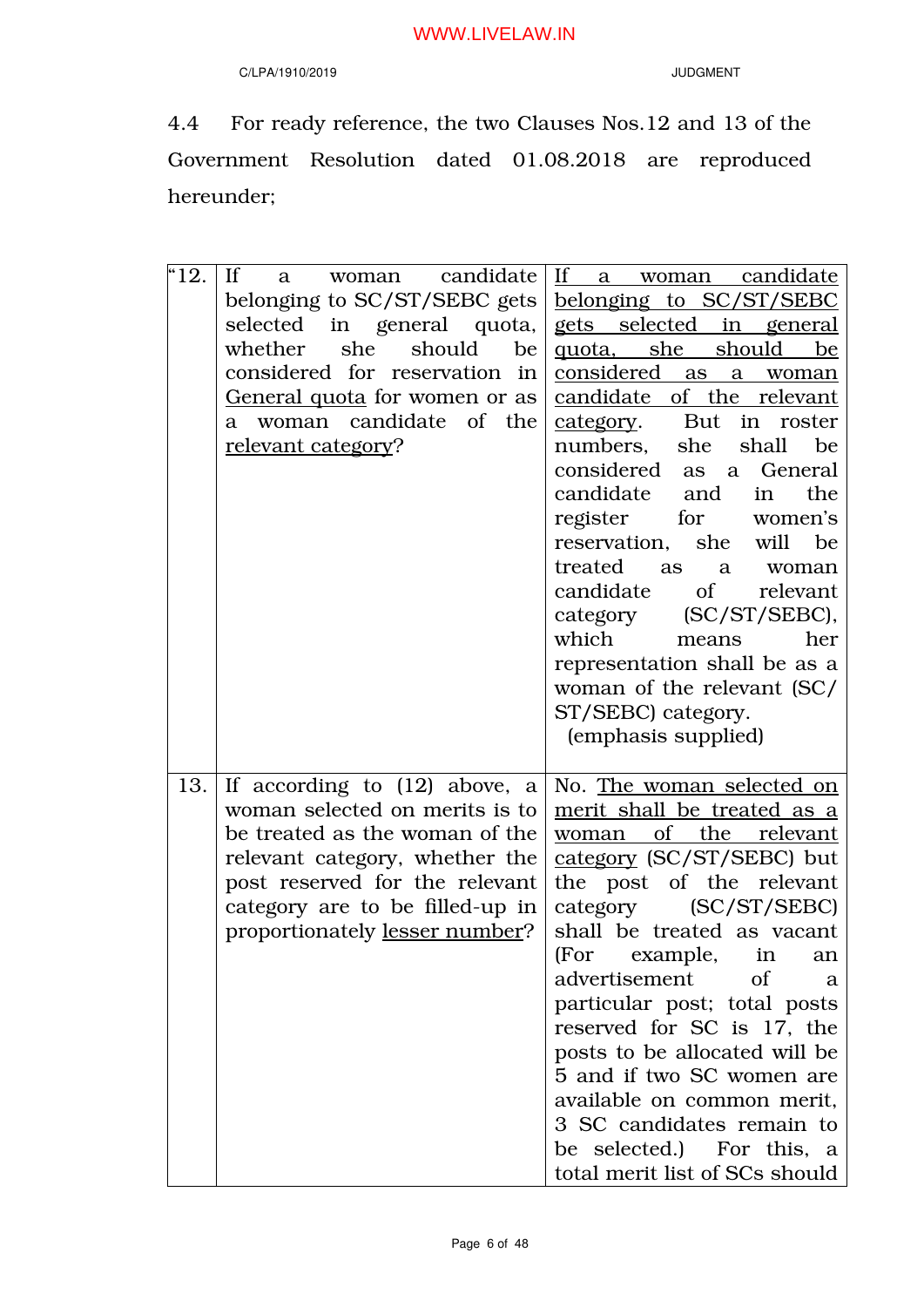# C/LPA/1910/2019 JUDGMENT

4.4 For ready reference, the two Clauses Nos.12 and 13 of the Government Resolution dated 01.08.2018 are reproduced hereunder;

| $^{\text{\tiny{H}}}12.$ | $\mathbf{H}$<br>woman candidate<br>a a<br>belonging to SC/ST/SEBC gets<br>selected in general quota,<br>she should<br>whether<br>be<br>considered for reservation in<br>General quota for women or as<br>a woman candidate of the<br>relevant category? | If a woman candidate<br>belonging to SC/ST/SEBC<br>gets selected in general<br>quota, she should<br>be<br>considered as<br>a<br>woman<br>candidate of the relevant<br>category. But in roster<br>she<br>numbers,<br>shall<br>be<br>considered<br>General<br>as<br>a<br>candidate<br>the<br>and<br>in<br>for women's<br>register<br>she will<br>reservation,<br>be<br>treated<br>as<br>a<br>woman<br>candidate<br>$\sigma$ of<br>relevant<br>$SC/ST/SEBC$ ),<br>category<br>which<br>her<br>means<br>representation shall be as a<br>woman of the relevant (SC/<br>ST/SEBC) category.<br>(emphasis supplied) |
|-------------------------|---------------------------------------------------------------------------------------------------------------------------------------------------------------------------------------------------------------------------------------------------------|-------------------------------------------------------------------------------------------------------------------------------------------------------------------------------------------------------------------------------------------------------------------------------------------------------------------------------------------------------------------------------------------------------------------------------------------------------------------------------------------------------------------------------------------------------------------------------------------------------------|
| 13.                     | If according to $(12)$ above, a<br>woman selected on merits is to<br>be treated as the woman of the<br>relevant category, whether the<br>post reserved for the relevant<br>category are to be filled-up in<br>proportionately lesser number?            | No. The woman selected on<br>merit shall be treated as a<br>woman of the relevant<br>category (SC/ST/SEBC) but<br>the post of the relevant<br>category<br>(SC/ST/SEBC)<br>shall be treated as vacant<br>(For example, in an<br>advertisement<br>of<br>a<br>particular post; total posts<br>reserved for SC is 17, the<br>posts to be allocated will be<br>5 and if two SC women are<br>available on common merit,<br>3 SC candidates remain to<br>be selected.) For this, a<br>total merit list of SCs should                                                                                               |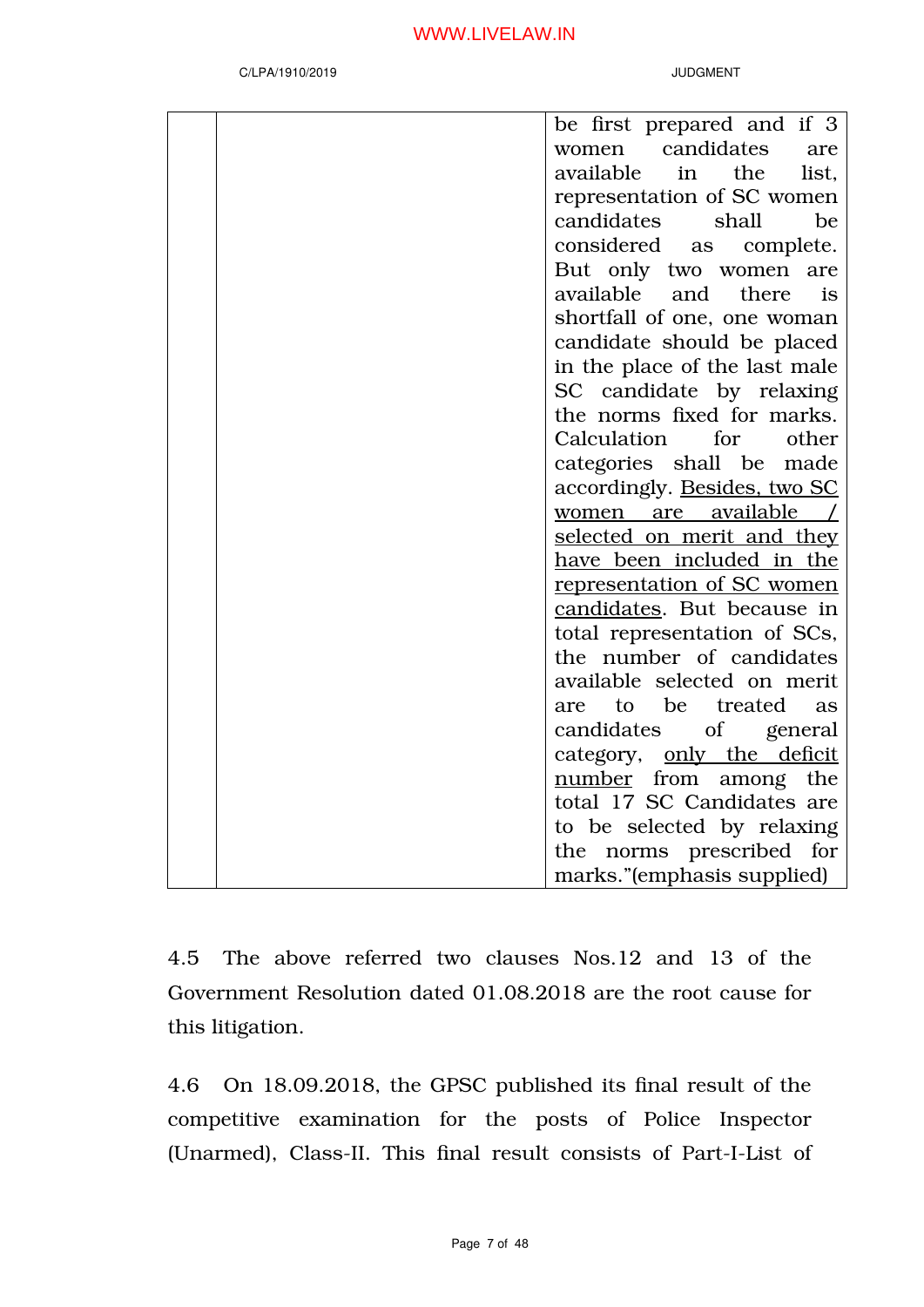| be first prepared and if 3        |
|-----------------------------------|
| women candidates<br>are           |
| available in the<br>list,         |
| representation of SC women        |
| candidates<br>shall<br>be         |
| considered as complete.           |
| But only two women are            |
| available and there<br>is         |
| shortfall of one, one woman       |
| candidate should be placed        |
| in the place of the last male     |
| SC candidate by relaxing          |
| the norms fixed for marks.        |
| Calculation for other             |
| categories shall be made          |
| accordingly. Besides, two SC      |
| women are available /             |
| <u>selected on merit and they</u> |
| have been included in the         |
| representation of SC women        |
| candidates. But because in        |
| total representation of SCs,      |
| the number of candidates          |
| available selected on merit       |
| to be treated<br>are<br>as        |
| candidates of general             |
| category, only the deficit        |
| number from among<br>the          |
| total 17 SC Candidates are        |
| to be selected by relaxing        |
| the norms prescribed for          |
| marks."(emphasis supplied)        |

4.5 The above referred two clauses Nos.12 and 13 of the Government Resolution dated 01.08.2018 are the root cause for this litigation.

4.6 On 18.09.2018, the GPSC published its final result of the competitive examination for the posts of Police Inspector (Unarmed), Class-II. This final result consists of Part-I-List of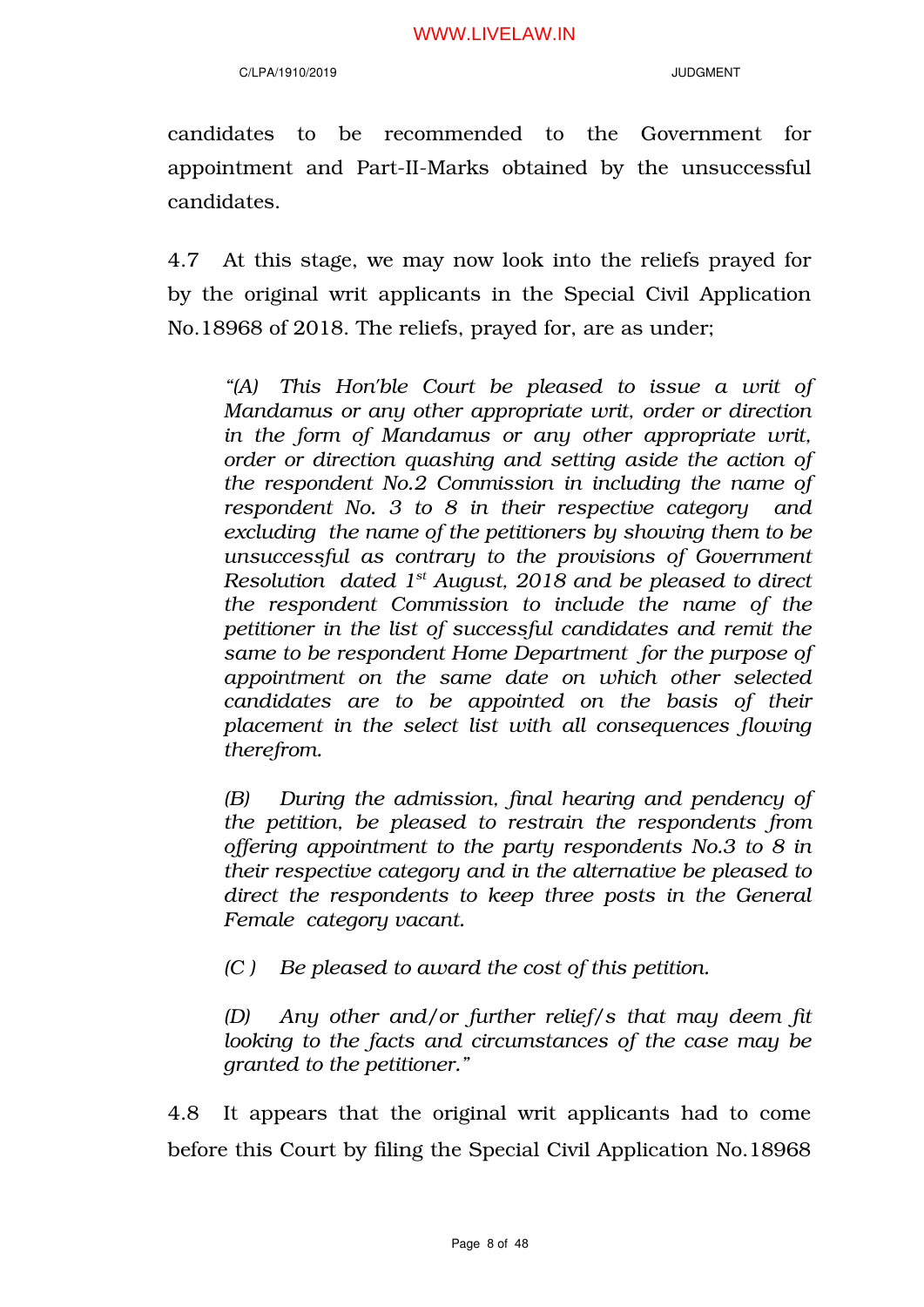candidates to be recommended to the Government for appointment and Part-II-Marks obtained by the unsuccessful candidates.

4.7 At this stage, we may now look into the reliefs prayed for by the original writ applicants in the Special Civil Application No.18968 of 2018. The reliefs, prayed for, are as under;

*"(A) This Hon'ble Court be pleased to issue a writ of Mandamus or any other appropriate writ, order or direction in the form of Mandamus or any other appropriate writ, order or direction quashing and setting aside the action of the respondent No.2 Commission in including the name of respondent No. 3 to 8 in their respective category and excluding the name of the petitioners by showing them to be unsuccessful as contrary to the provisions of Government Resolution dated 1st August, 2018 and be pleased to direct the respondent Commission to include the name of the petitioner in the list of successful candidates and remit the same to be respondent Home Department for the purpose of appointment on the same date on which other selected candidates are to be appointed on the basis of their placement in the select list with all consequences flowing therefrom.*

*(B) During the admission, final hearing and pendency of the petition, be pleased to restrain the respondents from offering appointment to the party respondents No.3 to 8 in their respective category and in the alternative be pleased to direct the respondents to keep three posts in the General Female category vacant.*

*(C ) Be pleased to award the cost of this petition.*

*(D) Any other and/or further relief/s that may deem fit looking to the facts and circumstances of the case may be granted to the petitioner."*

4.8 It appears that the original writ applicants had to come before this Court by filing the Special Civil Application No.18968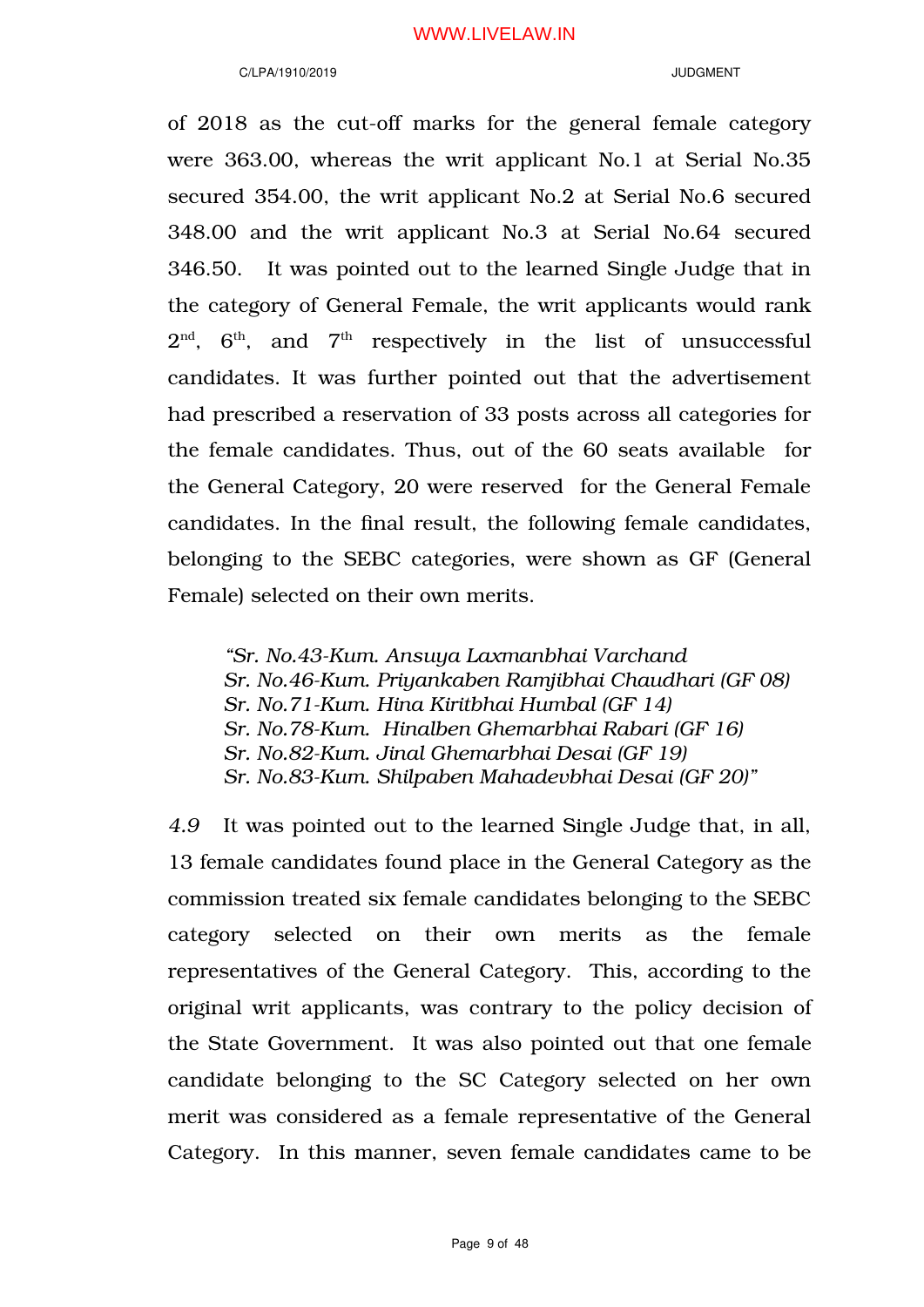#### C/LPA/1910/2019 JUDGMENT

of 2018 as the cut-off marks for the general female category were 363.00, whereas the writ applicant No.1 at Serial No.35 secured 354.00, the writ applicant No.2 at Serial No.6 secured 348.00 and the writ applicant No.3 at Serial No.64 secured 346.50. It was pointed out to the learned Single Judge that in the category of General Female, the writ applicants would rank  $2^{\mathrm{nd}}$ ,  $6^{\mathrm{th}}$ , and  $7^{\mathrm{th}}$  respectively in the list of unsuccessful candidates. It was further pointed out that the advertisement had prescribed a reservation of 33 posts across all categories for the female candidates. Thus, out of the 60 seats available for the General Category, 20 were reserved for the General Female candidates. In the final result, the following female candidates, belonging to the SEBC categories, were shown as GF (General Female) selected on their own merits.

*"Sr. No.43-Kum. Ansuya Laxmanbhai Varchand Sr. No.46-Kum. Priyankaben Ramjibhai Chaudhari (GF 08) Sr. No.71-Kum. Hina Kiritbhai Humbal (GF 14) Sr. No.78-Kum. Hinalben Ghemarbhai Rabari (GF 16) Sr. No.82-Kum. Jinal Ghemarbhai Desai (GF 19) Sr. No.83-Kum. Shilpaben Mahadevbhai Desai (GF 20)"*

*4.9* It was pointed out to the learned Single Judge that, in all, 13 female candidates found place in the General Category as the commission treated six female candidates belonging to the SEBC category selected on their own merits as the female representatives of the General Category. This, according to the original writ applicants, was contrary to the policy decision of the State Government. It was also pointed out that one female candidate belonging to the SC Category selected on her own merit was considered as a female representative of the General Category. In this manner, seven female candidates came to be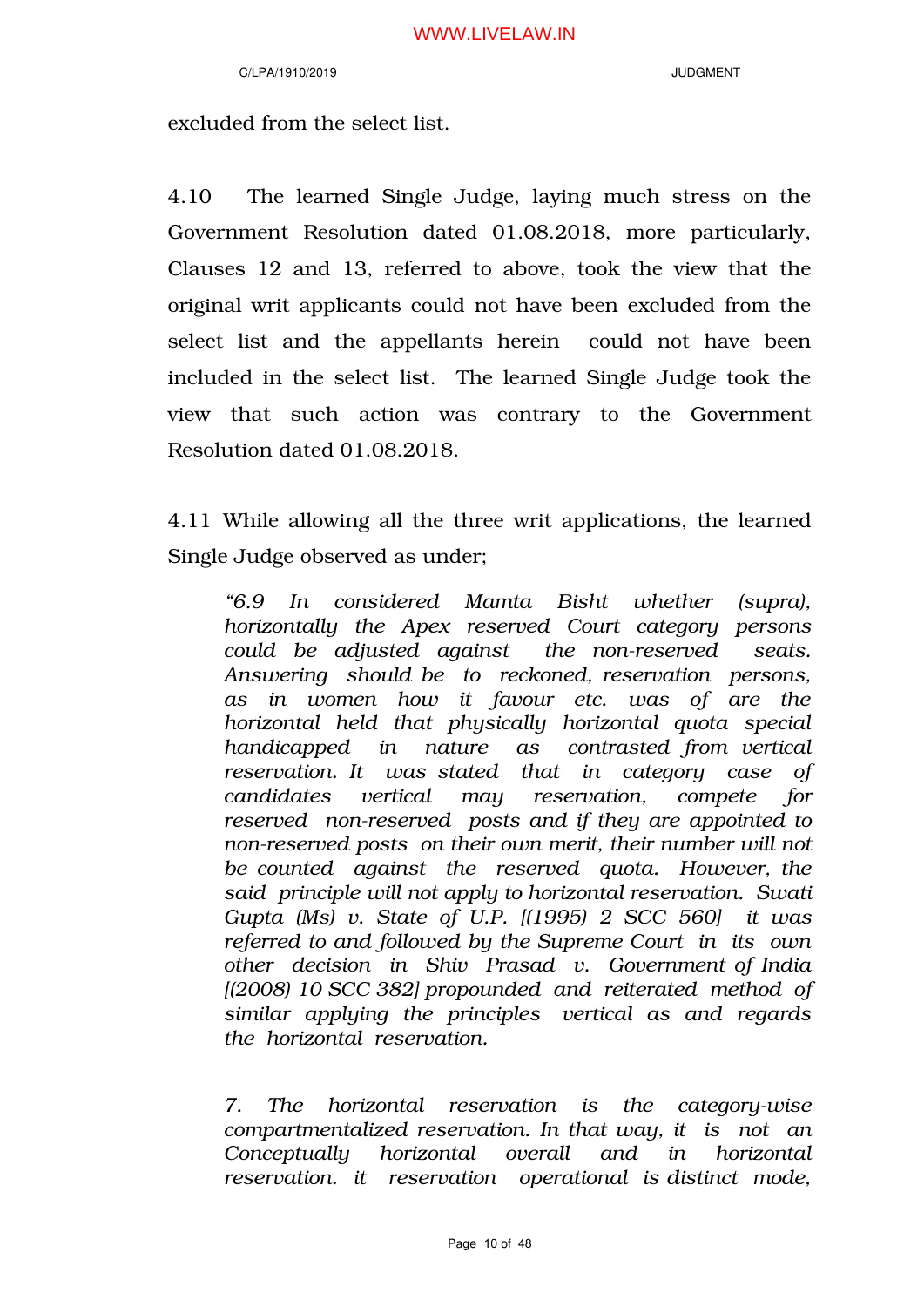excluded from the select list.

4.10 The learned Single Judge, laying much stress on the Government Resolution dated 01.08.2018, more particularly, Clauses 12 and 13, referred to above, took the view that the original writ applicants could not have been excluded from the select list and the appellants herein could not have been included in the select list. The learned Single Judge took the view that such action was contrary to the Government Resolution dated 01.08.2018.

4.11 While allowing all the three writ applications, the learned Single Judge observed as under;

*"6.9 In considered Mamta Bisht whether (supra), horizontally the Apex reserved Court category persons could be adjusted against the non-reserved seats. Answering should be to reckoned, reservation persons, as in women how it favour etc. was of are the horizontal held that physically horizontal quota special handicapped in nature as contrasted from vertical reservation. It was stated that in category case of candidates vertical may reservation, compete for reserved non-reserved posts and if they are appointed to non-reserved posts on their own merit, their number will not be counted against the reserved quota. However, the said principle will not apply to horizontal reservation. Swati Gupta (Ms) v. State of U.P. [(1995) 2 SCC 560] it was referred to and followed by the Supreme Court in its own other decision in Shiv Prasad v. Government of India [(2008) 10 SCC 382] propounded and reiterated method of similar applying the principles vertical as and regards the horizontal reservation.* 

*7. The horizontal reservation is the category-wise compartmentalized reservation. In that way, it is not an Conceptually horizontal overall and in horizontal reservation. it reservation operational is distinct mode,*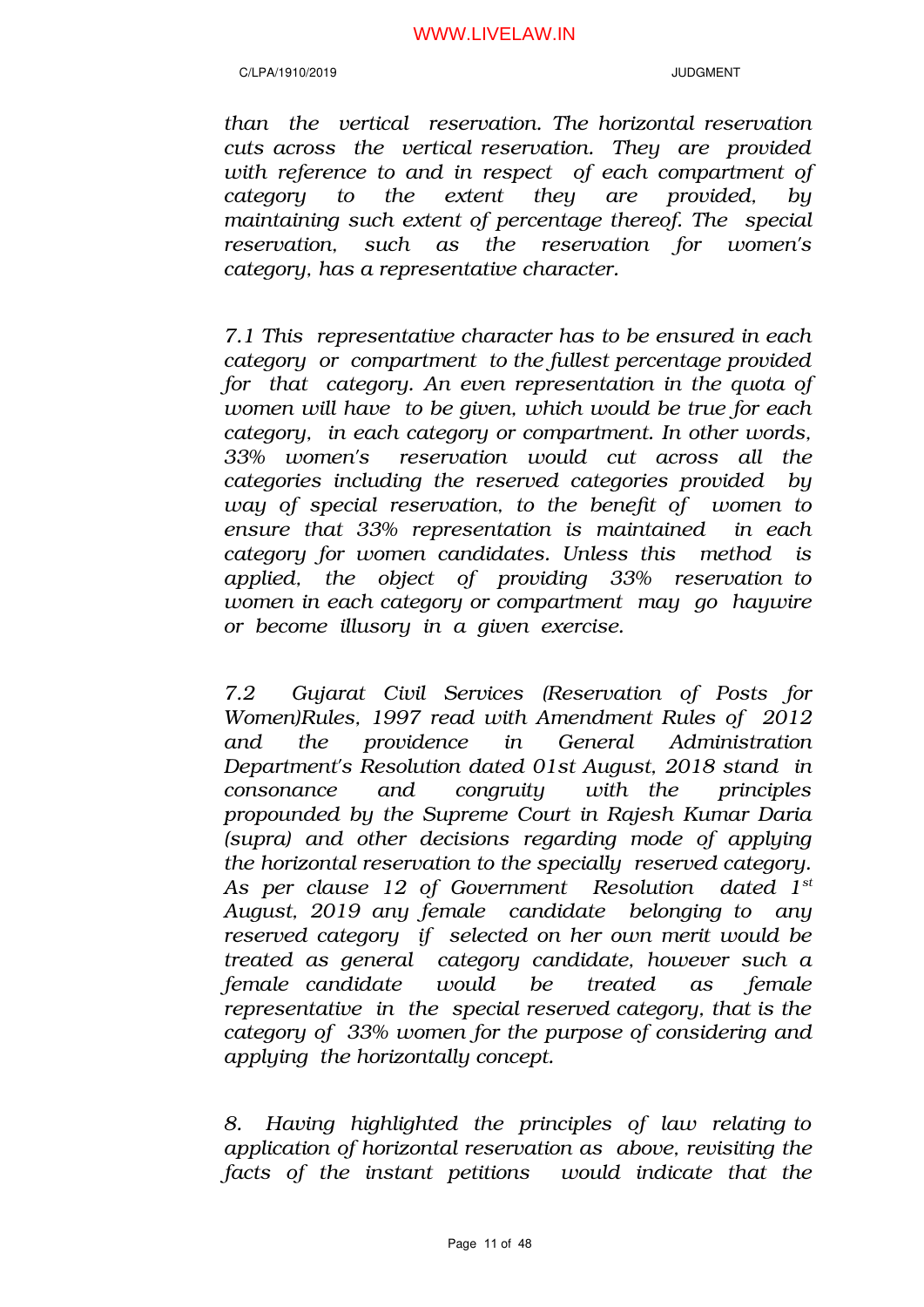*than the vertical reservation. The horizontal reservation cuts across the vertical reservation. They are provided with reference to and in respect of each compartment of category to the extent they are provided, by maintaining such extent of percentage thereof. The special reservation, such as the reservation for women's category, has a representative character.* 

*7.1 This representative character has to be ensured in each category or compartment to the fullest percentage provided for that category. An even representation in the quota of women will have to be given, which would be true for each category, in each category or compartment. In other words, 33% women's reservation would cut across all the categories including the reserved categories provided by way of special reservation, to the benefit of women to ensure that 33% representation is maintained in each category for women candidates. Unless this method is applied, the object of providing 33% reservation to women in each category or compartment may go haywire or become illusory in a given exercise.*

*7.2 Gujarat Civil Services (Reservation of Posts for Women)Rules, 1997 read with Amendment Rules of 2012 and the providence in General Administration Department's Resolution dated 01st August, 2018 stand in consonance and congruity with the principles propounded by the Supreme Court in Rajesh Kumar Daria (supra) and other decisions regarding mode of applying the horizontal reservation to the specially reserved category. As per clause 12 of Government Resolution dated 1st August, 2019 any female candidate belonging to any reserved category if selected on her own merit would be treated as general category candidate, however such a female candidate would be treated as female representative in the special reserved category, that is the category of 33% women for the purpose of considering and applying the horizontally concept.* 

*8. Having highlighted the principles of law relating to application of horizontal reservation as above, revisiting the facts of the instant petitions would indicate that the*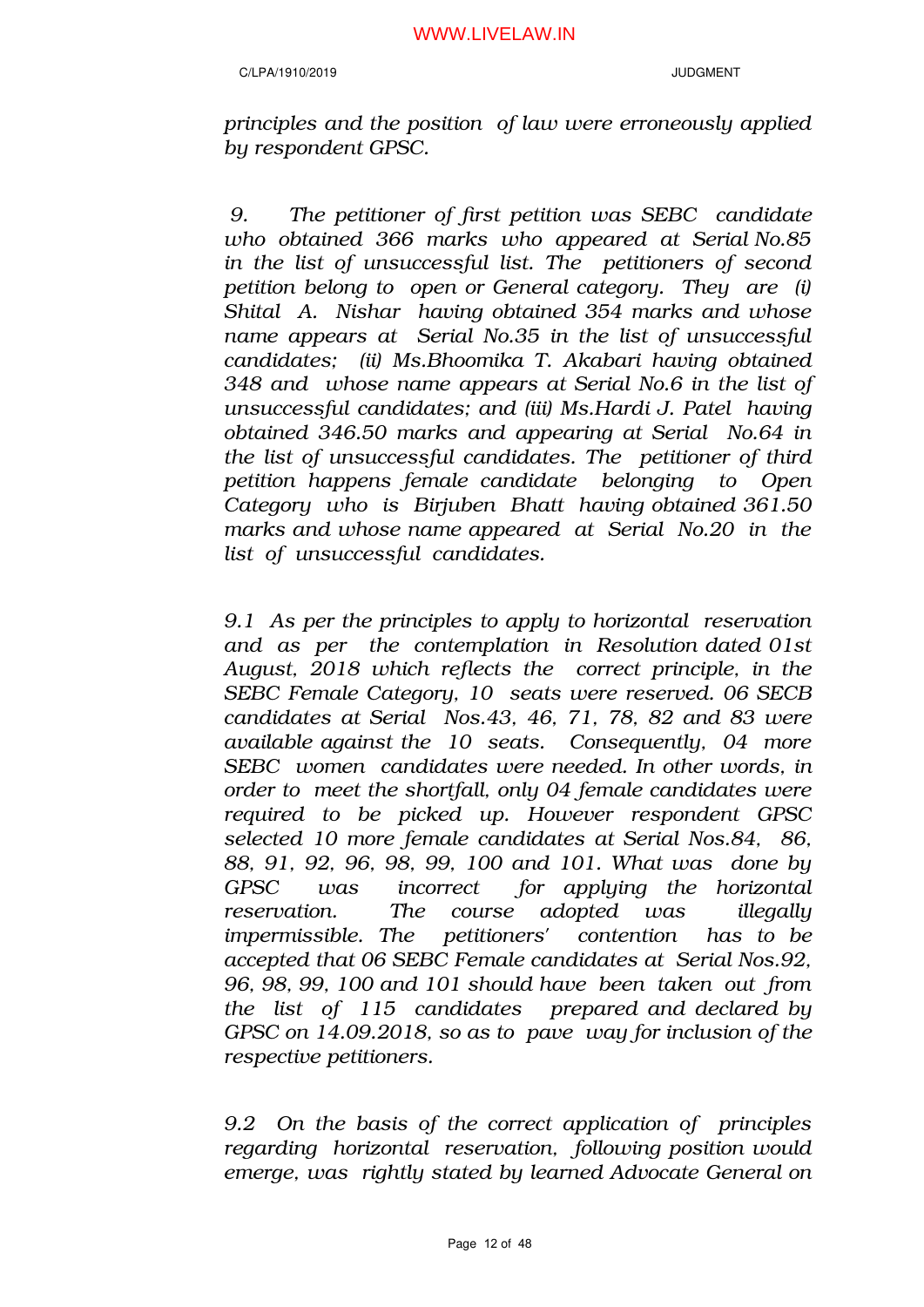*principles and the position of law were erroneously applied by respondent GPSC.* 

*9. The petitioner of first petition was SEBC candidate who obtained 366 marks who appeared at Serial No.85 in the list of unsuccessful list. The petitioners of second petition belong to open or General category. They are (i) Shital A. Nishar having obtained 354 marks and whose name appears at Serial No.35 in the list of unsuccessful candidates; (ii) Ms.Bhoomika T. Akabari having obtained 348 and whose name appears at Serial No.6 in the list of unsuccessful candidates; and (iii) Ms.Hardi J. Patel having obtained 346.50 marks and appearing at Serial No.64 in the list of unsuccessful candidates. The petitioner of third petition happens female candidate belonging to Open Category who is Birjuben Bhatt having obtained 361.50 marks and whose name appeared at Serial No.20 in the list of unsuccessful candidates.*

*9.1 As per the principles to apply to horizontal reservation and as per the contemplation in Resolution dated 01st August, 2018 which reflects the correct principle, in the SEBC Female Category, 10 seats were reserved. 06 SECB candidates at Serial Nos.43, 46, 71, 78, 82 and 83 were available against the 10 seats. Consequently, 04 more SEBC women candidates were needed. In other words, in order to meet the shortfall, only 04 female candidates were required to be picked up. However respondent GPSC selected 10 more female candidates at Serial Nos.84, 86, 88, 91, 92, 96, 98, 99, 100 and 101. What was done by GPSC was incorrect for applying the horizontal reservation. The course adopted was illegally impermissible. The petitioners' contention has to be accepted that 06 SEBC Female candidates at Serial Nos.92, 96, 98, 99, 100 and 101 should have been taken out from the list of 115 candidates prepared and declared by GPSC on 14.09.2018, so as to pave way for inclusion of the respective petitioners.* 

*9.2 On the basis of the correct application of principles regarding horizontal reservation, following position would emerge, was rightly stated by learned Advocate General on*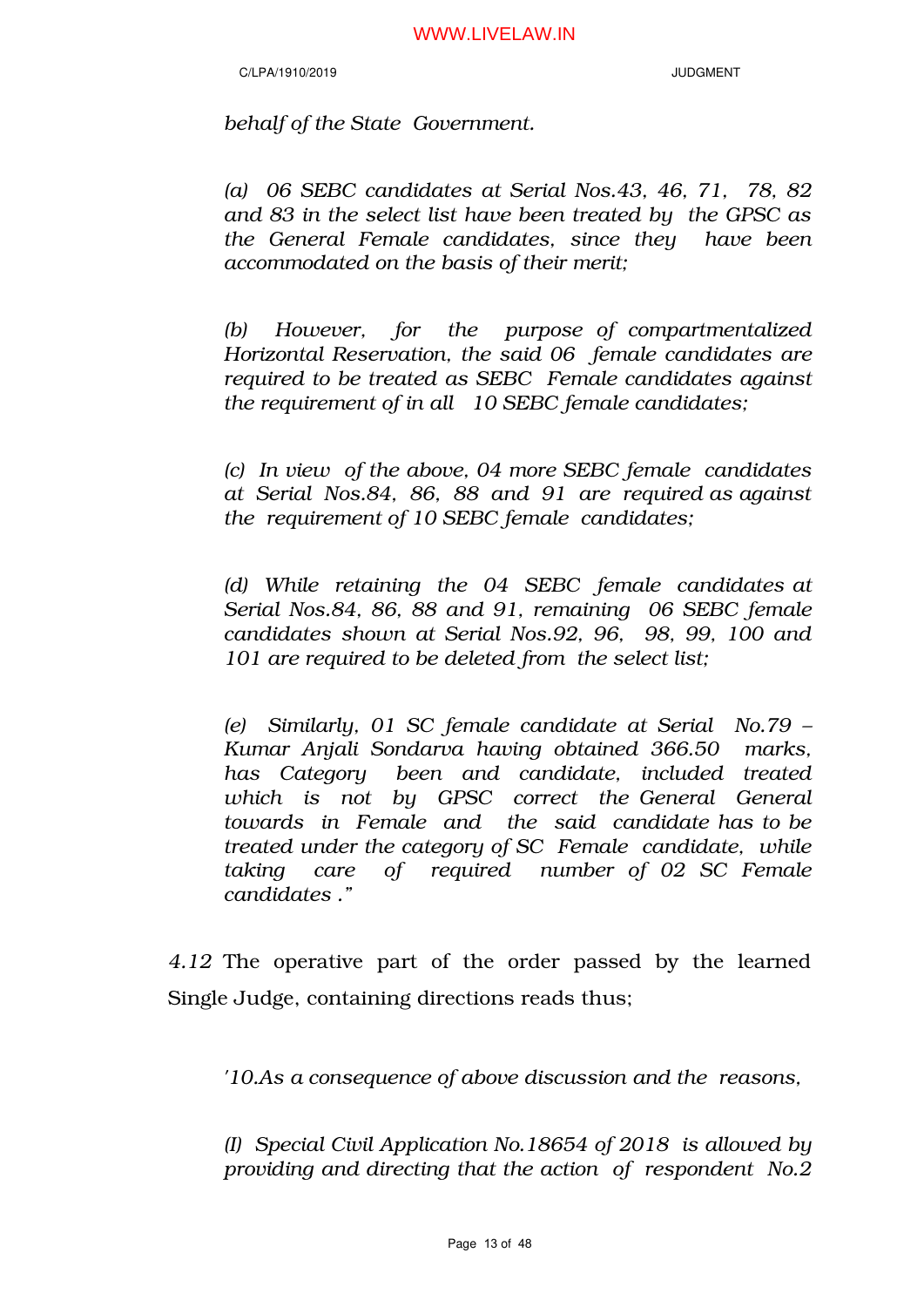*behalf of the State Government.* 

*(a) 06 SEBC candidates at Serial Nos.43, 46, 71, 78, 82 and 83 in the select list have been treated by the GPSC as the General Female candidates, since they have been accommodated on the basis of their merit;* 

*(b) However, for the purpose of compartmentalized Horizontal Reservation, the said 06 female candidates are required to be treated as SEBC Female candidates against the requirement of in all 10 SEBC female candidates;*

*(c) In view of the above, 04 more SEBC female candidates at Serial Nos.84, 86, 88 and 91 are required as against the requirement of 10 SEBC female candidates;*

*(d) While retaining the 04 SEBC female candidates at Serial Nos.84, 86, 88 and 91, remaining 06 SEBC female candidates shown at Serial Nos.92, 96, 98, 99, 100 and 101 are required to be deleted from the select list;*

*(e) Similarly, 01 SC female candidate at Serial No.79 – Kumar Anjali Sondarva having obtained 366.50 marks, has Category been and candidate, included treated which is not by GPSC correct the General General towards in Female and the said candidate has to be treated under the category of SC Female candidate, while taking care of required number of 02 SC Female candidates ."*

*4.12* The operative part of the order passed by the learned Single Judge, containing directions reads thus;

*'10.As a consequence of above discussion and the reasons,* 

*(I) Special Civil Application No.18654 of 2018 is allowed by providing and directing that the action of respondent No.2*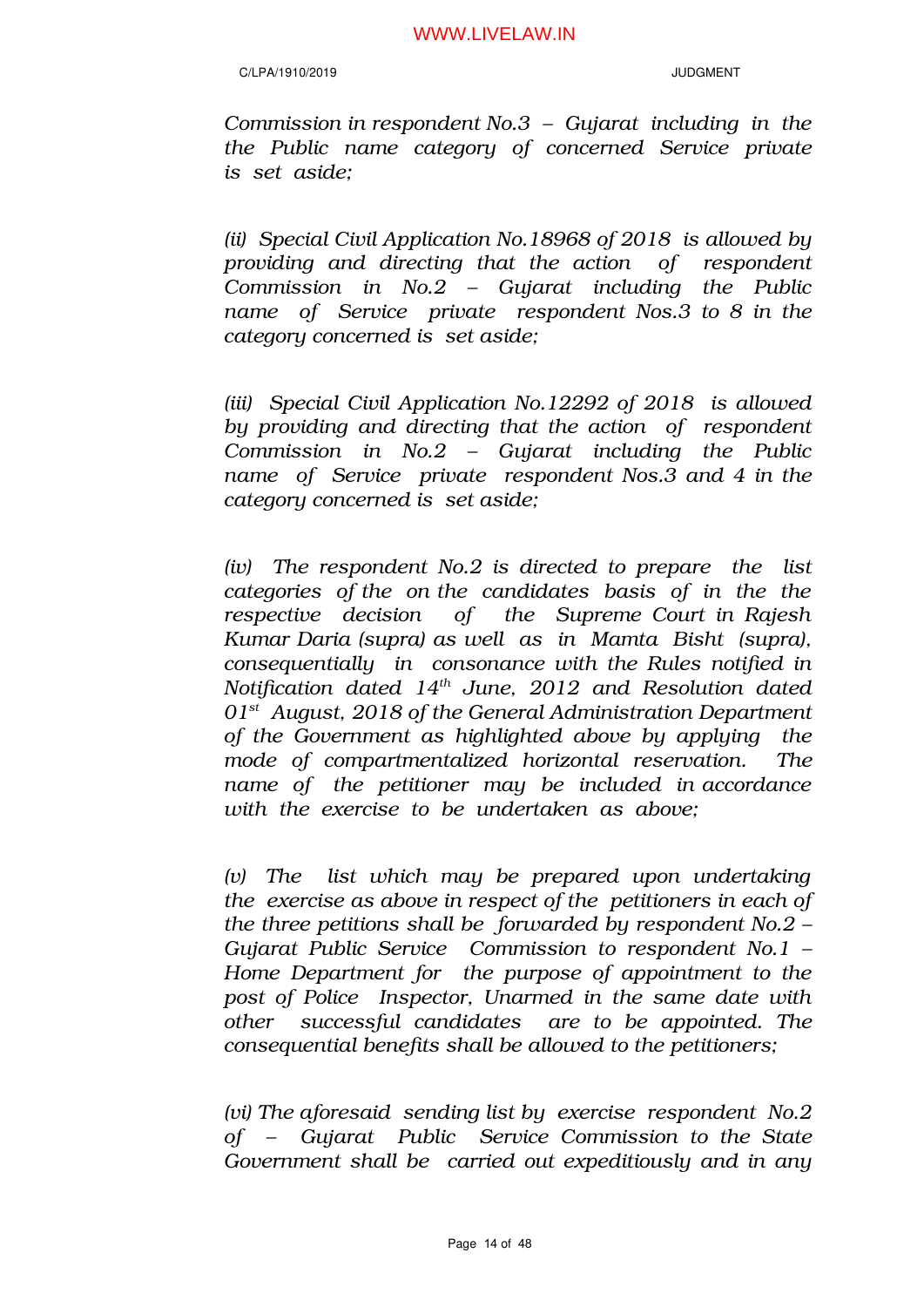*Commission in respondent No.3 – Gujarat including in the the Public name category of concerned Service private is set aside;*

*(ii) Special Civil Application No.18968 of 2018 is allowed by providing and directing that the action of respondent Commission in No.2 – Gujarat including the Public name of Service private respondent Nos.3 to 8 in the category concerned is set aside;*

*(iii) Special Civil Application No.12292 of 2018 is allowed by providing and directing that the action of respondent Commission in No.2 – Gujarat including the Public name of Service private respondent Nos.3 and 4 in the category concerned is set aside;* 

*(iv) The respondent No.2 is directed to prepare the list categories of the on the candidates basis of in the the respective decision of the Supreme Court in Rajesh Kumar Daria (supra) as well as in Mamta Bisht (supra), consequentially in consonance with the Rules notified in Notification dated 14th June, 2012 and Resolution dated 01st August, 2018 of the General Administration Department of the Government as highlighted above by applying the mode of compartmentalized horizontal reservation. The name of the petitioner may be included in accordance with the exercise to be undertaken as above;* 

*(v) The list which may be prepared upon undertaking the exercise as above in respect of the petitioners in each of the three petitions shall be forwarded by respondent No.2 – Gujarat Public Service Commission to respondent No.1 – Home Department for the purpose of appointment to the post of Police Inspector, Unarmed in the same date with other successful candidates are to be appointed. The consequential benefits shall be allowed to the petitioners;* 

*(vi) The aforesaid sending list by exercise respondent No.2 of – Gujarat Public Service Commission to the State Government shall be carried out expeditiously and in any*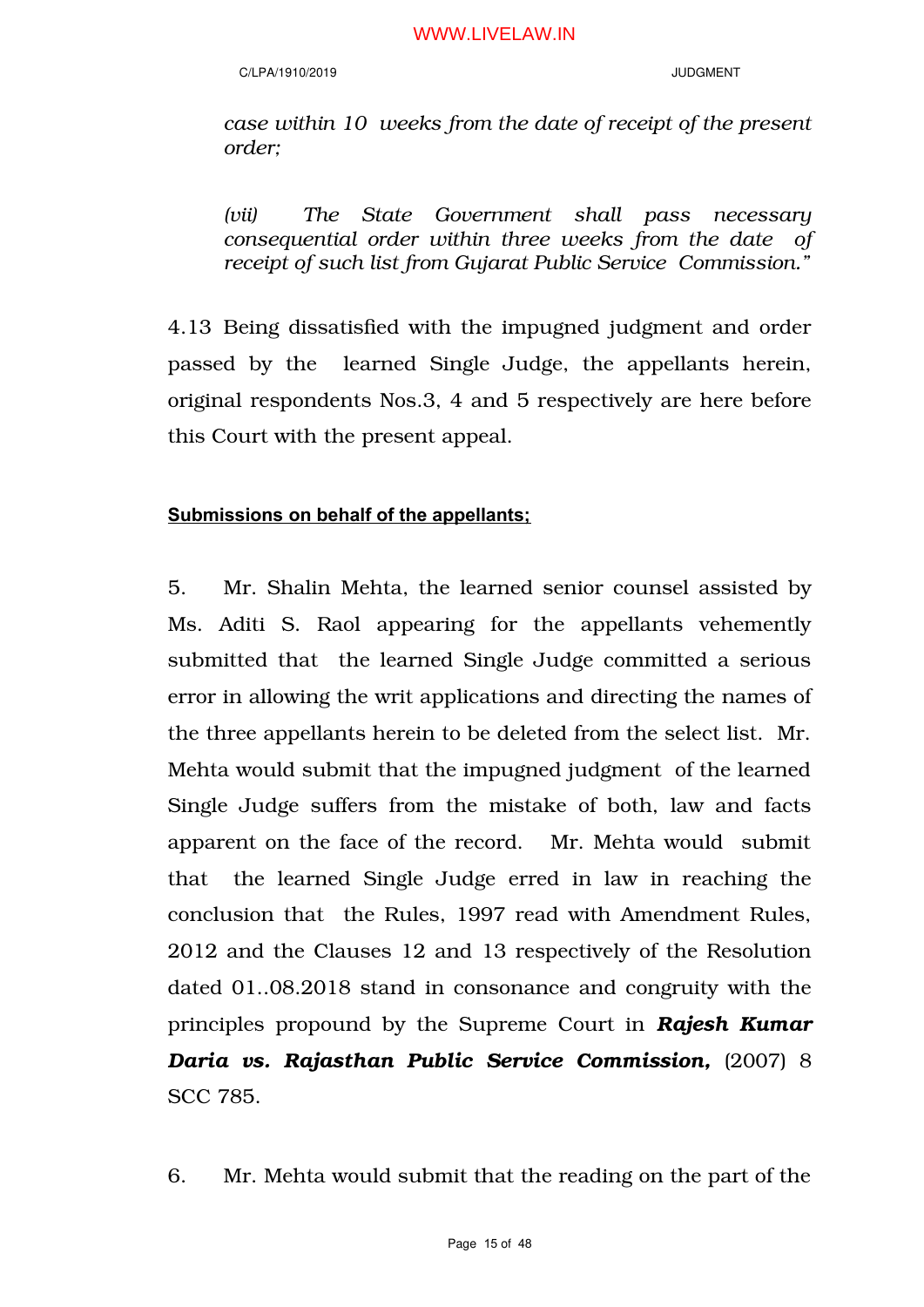*case within 10 weeks from the date of receipt of the present order;* 

*(vii) The State Government shall pass necessary consequential order within three weeks from the date of receipt of such list from Gujarat Public Service Commission."*

4.13 Being dissatisfied with the impugned judgment and order passed by the learned Single Judge, the appellants herein, original respondents Nos.3, 4 and 5 respectively are here before this Court with the present appeal.

# **Submissions on behalf of the appellants;**

5. Mr. Shalin Mehta, the learned senior counsel assisted by Ms. Aditi S. Raol appearing for the appellants vehemently submitted that the learned Single Judge committed a serious error in allowing the writ applications and directing the names of the three appellants herein to be deleted from the select list. Mr. Mehta would submit that the impugned judgment of the learned Single Judge suffers from the mistake of both, law and facts apparent on the face of the record. Mr. Mehta would submit that the learned Single Judge erred in law in reaching the conclusion that the Rules, 1997 read with Amendment Rules, 2012 and the Clauses 12 and 13 respectively of the Resolution dated 01..08.2018 stand in consonance and congruity with the principles propound by the Supreme Court in *Rajesh Kumar Daria vs. Rajasthan Public Service Commission,* (2007) 8 SCC 785.

6. Mr. Mehta would submit that the reading on the part of the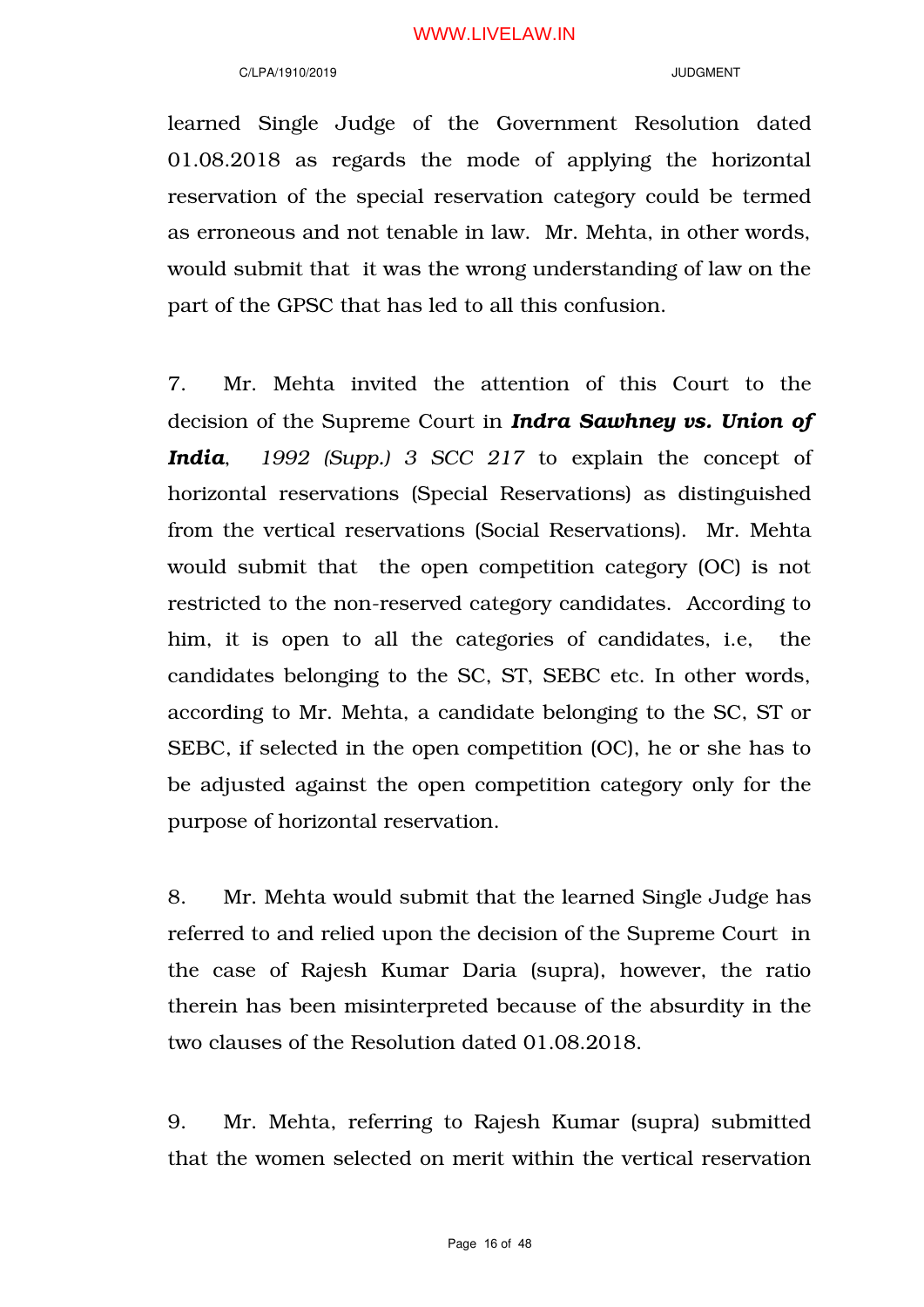learned Single Judge of the Government Resolution dated 01.08.2018 as regards the mode of applying the horizontal reservation of the special reservation category could be termed as erroneous and not tenable in law. Mr. Mehta, in other words, would submit that it was the wrong understanding of law on the part of the GPSC that has led to all this confusion.

7. Mr. Mehta invited the attention of this Court to the decision of the Supreme Court in *Indra Sawhney vs. Union of India*, *1992 (Supp.) 3 SCC 217* to explain the concept of horizontal reservations (Special Reservations) as distinguished from the vertical reservations (Social Reservations). Mr. Mehta would submit that the open competition category (OC) is not restricted to the non-reserved category candidates. According to him, it is open to all the categories of candidates, i.e, the candidates belonging to the SC, ST, SEBC etc. In other words, according to Mr. Mehta, a candidate belonging to the SC, ST or SEBC, if selected in the open competition (OC), he or she has to be adjusted against the open competition category only for the purpose of horizontal reservation.

8. Mr. Mehta would submit that the learned Single Judge has referred to and relied upon the decision of the Supreme Court in the case of Rajesh Kumar Daria (supra), however, the ratio therein has been misinterpreted because of the absurdity in the two clauses of the Resolution dated 01.08.2018.

9. Mr. Mehta, referring to Rajesh Kumar (supra) submitted that the women selected on merit within the vertical reservation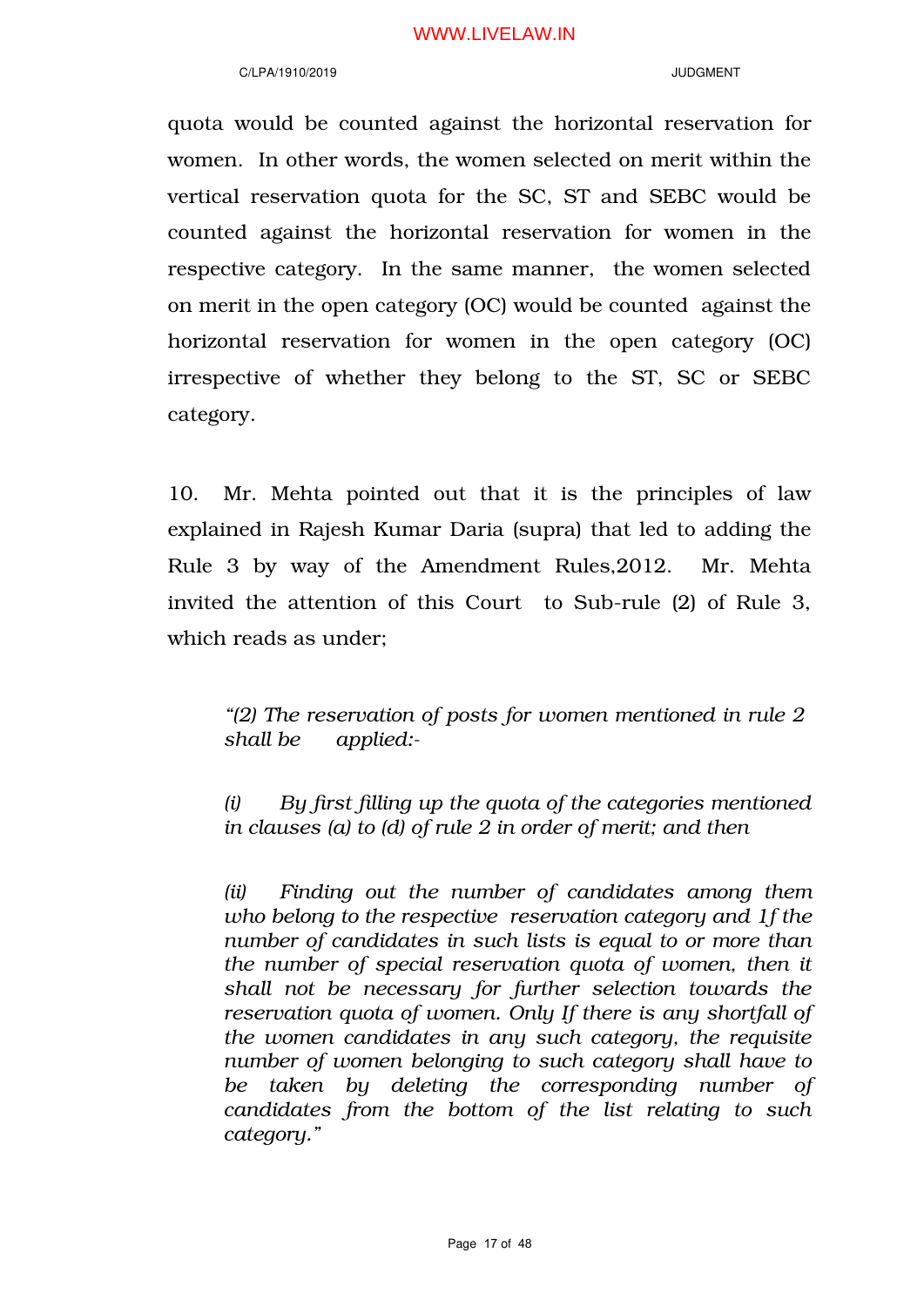### C/LPA/1910/2019 JUDGMENT

quota would be counted against the horizontal reservation for women. In other words, the women selected on merit within the vertical reservation quota for the SC, ST and SEBC would be counted against the horizontal reservation for women in the respective category. In the same manner, the women selected on merit in the open category (OC) would be counted against the horizontal reservation for women in the open category (OC) irrespective of whether they belong to the ST, SC or SEBC category.

10. Mr. Mehta pointed out that it is the principles of law explained in Rajesh Kumar Daria (supra) that led to adding the Rule 3 by way of the Amendment Rules,2012. Mr. Mehta invited the attention of this Court to Sub-rule (2) of Rule 3, which reads as under;

*"(2) The reservation of posts for women mentioned in rule 2 shall be applied:-*

*(i) By first filling up the quota of the categories mentioned in clauses (a) to (d) of rule 2 in order of merit; and then*

*(ii) Finding out the number of candidates among them who belong to the respective reservation category and 1f the number of candidates in such lists is equal to or more than the number of special reservation quota of women, then it shall not be necessary for further selection towards the reservation quota of women. Only If there is any shortfall of the women candidates in any such category, the requisite number of women belonging to such category shall have to be taken by deleting the corresponding number of candidates from the bottom of the list relating to such category."*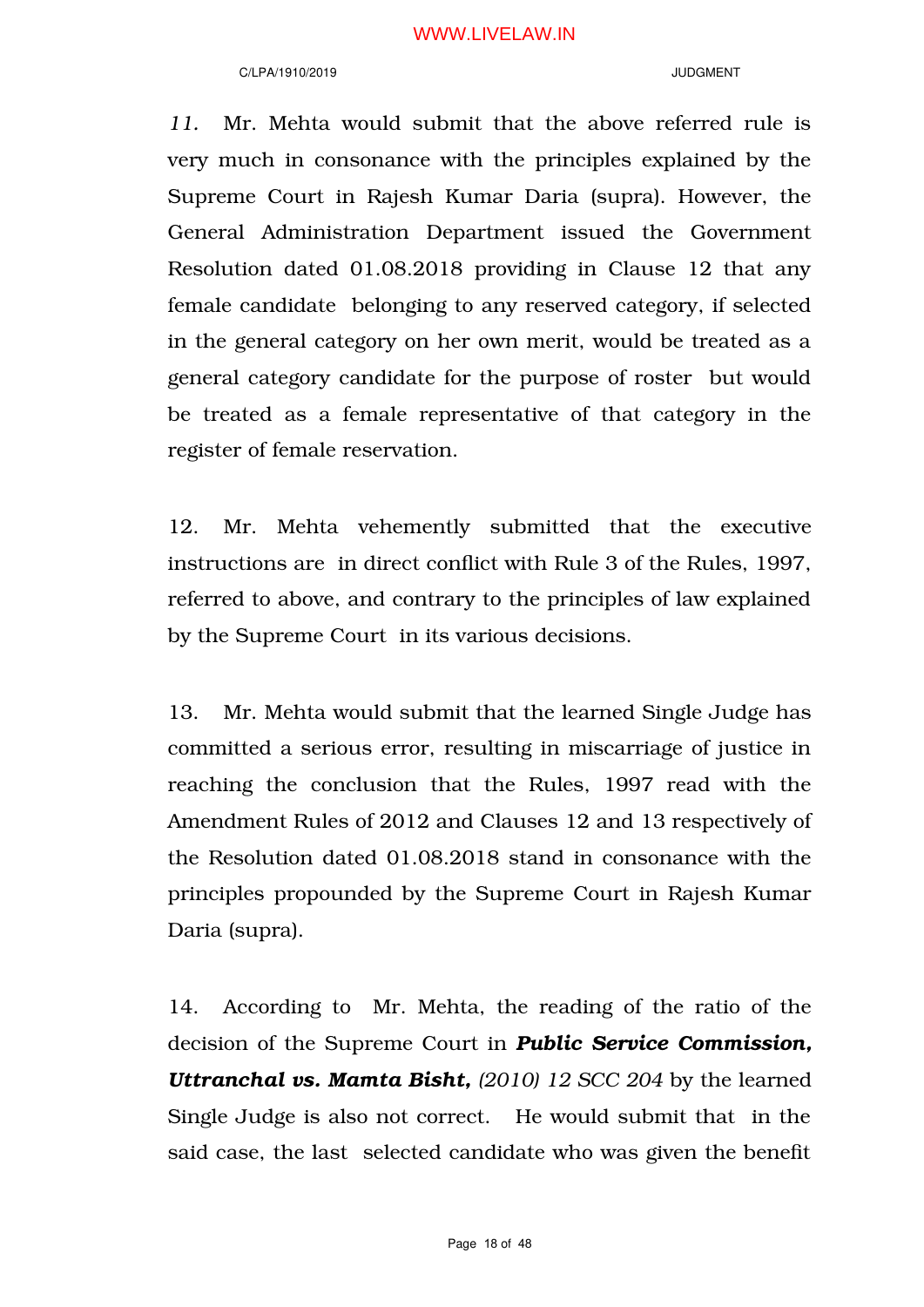#### C/LPA/1910/2019 JUDGMENT

*11.* Mr. Mehta would submit that the above referred rule is very much in consonance with the principles explained by the Supreme Court in Rajesh Kumar Daria (supra). However, the General Administration Department issued the Government Resolution dated 01.08.2018 providing in Clause 12 that any female candidate belonging to any reserved category, if selected in the general category on her own merit, would be treated as a general category candidate for the purpose of roster but would be treated as a female representative of that category in the register of female reservation.

12. Mr. Mehta vehemently submitted that the executive instructions are in direct conflict with Rule 3 of the Rules, 1997, referred to above, and contrary to the principles of law explained by the Supreme Court in its various decisions.

13. Mr. Mehta would submit that the learned Single Judge has committed a serious error, resulting in miscarriage of justice in reaching the conclusion that the Rules, 1997 read with the Amendment Rules of 2012 and Clauses 12 and 13 respectively of the Resolution dated 01.08.2018 stand in consonance with the principles propounded by the Supreme Court in Rajesh Kumar Daria (supra).

14. According to Mr. Mehta, the reading of the ratio of the decision of the Supreme Court in *Public Service Commission, Uttranchal vs. Mamta Bisht, (2010) 12 SCC 204* by the learned Single Judge is also not correct. He would submit that in the said case, the last selected candidate who was given the benefit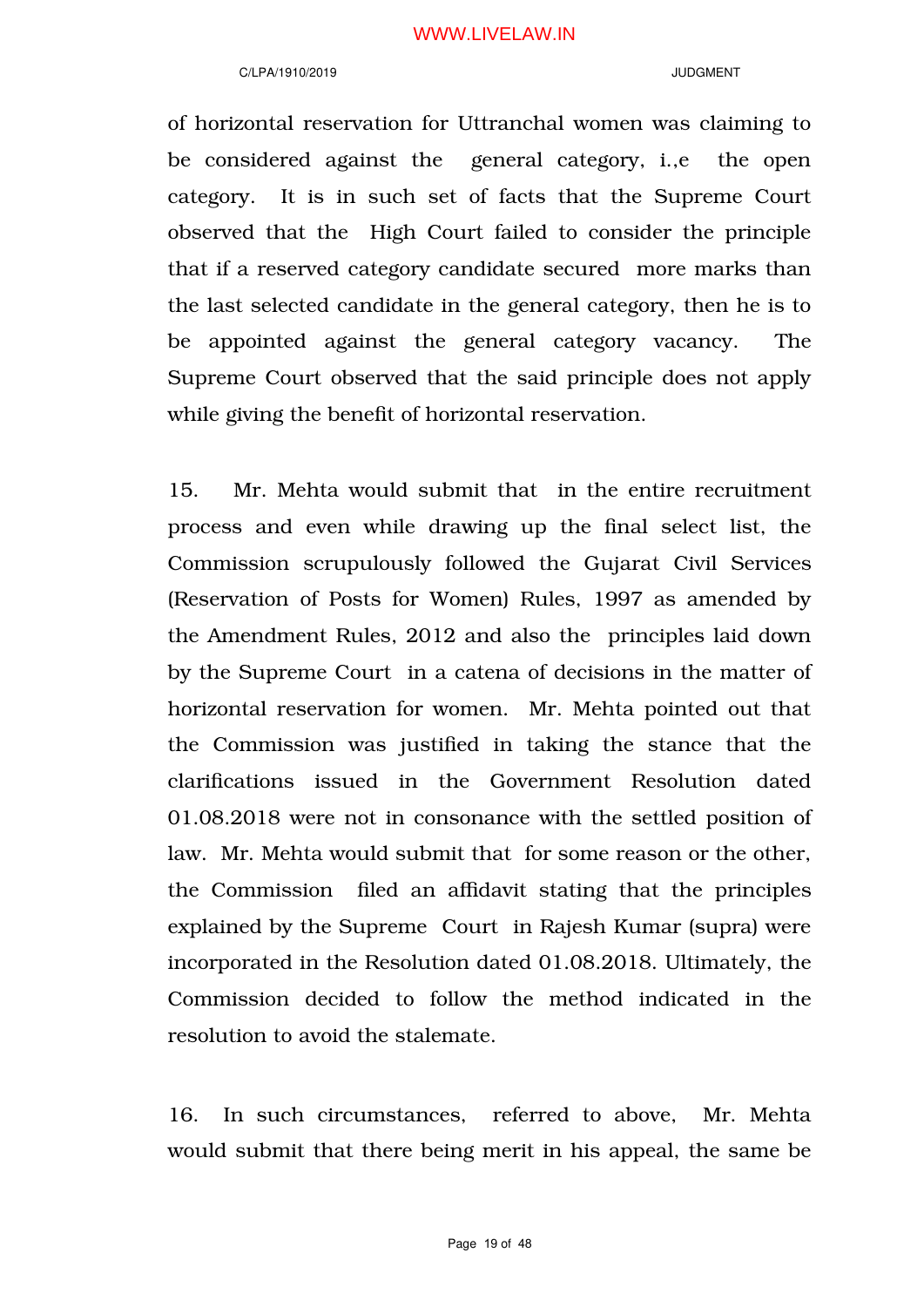#### C/LPA/1910/2019 JUDGMENT

of horizontal reservation for Uttranchal women was claiming to be considered against the general category, i.,e the open category. It is in such set of facts that the Supreme Court observed that the High Court failed to consider the principle that if a reserved category candidate secured more marks than the last selected candidate in the general category, then he is to be appointed against the general category vacancy. The Supreme Court observed that the said principle does not apply while giving the benefit of horizontal reservation.

15. Mr. Mehta would submit that in the entire recruitment process and even while drawing up the final select list, the Commission scrupulously followed the Gujarat Civil Services (Reservation of Posts for Women) Rules, 1997 as amended by the Amendment Rules, 2012 and also the principles laid down by the Supreme Court in a catena of decisions in the matter of horizontal reservation for women. Mr. Mehta pointed out that the Commission was justified in taking the stance that the clarifications issued in the Government Resolution dated 01.08.2018 were not in consonance with the settled position of law. Mr. Mehta would submit that for some reason or the other, the Commission filed an affidavit stating that the principles explained by the Supreme Court in Rajesh Kumar (supra) were incorporated in the Resolution dated 01.08.2018. Ultimately, the Commission decided to follow the method indicated in the resolution to avoid the stalemate.

16. In such circumstances, referred to above, Mr. Mehta would submit that there being merit in his appeal, the same be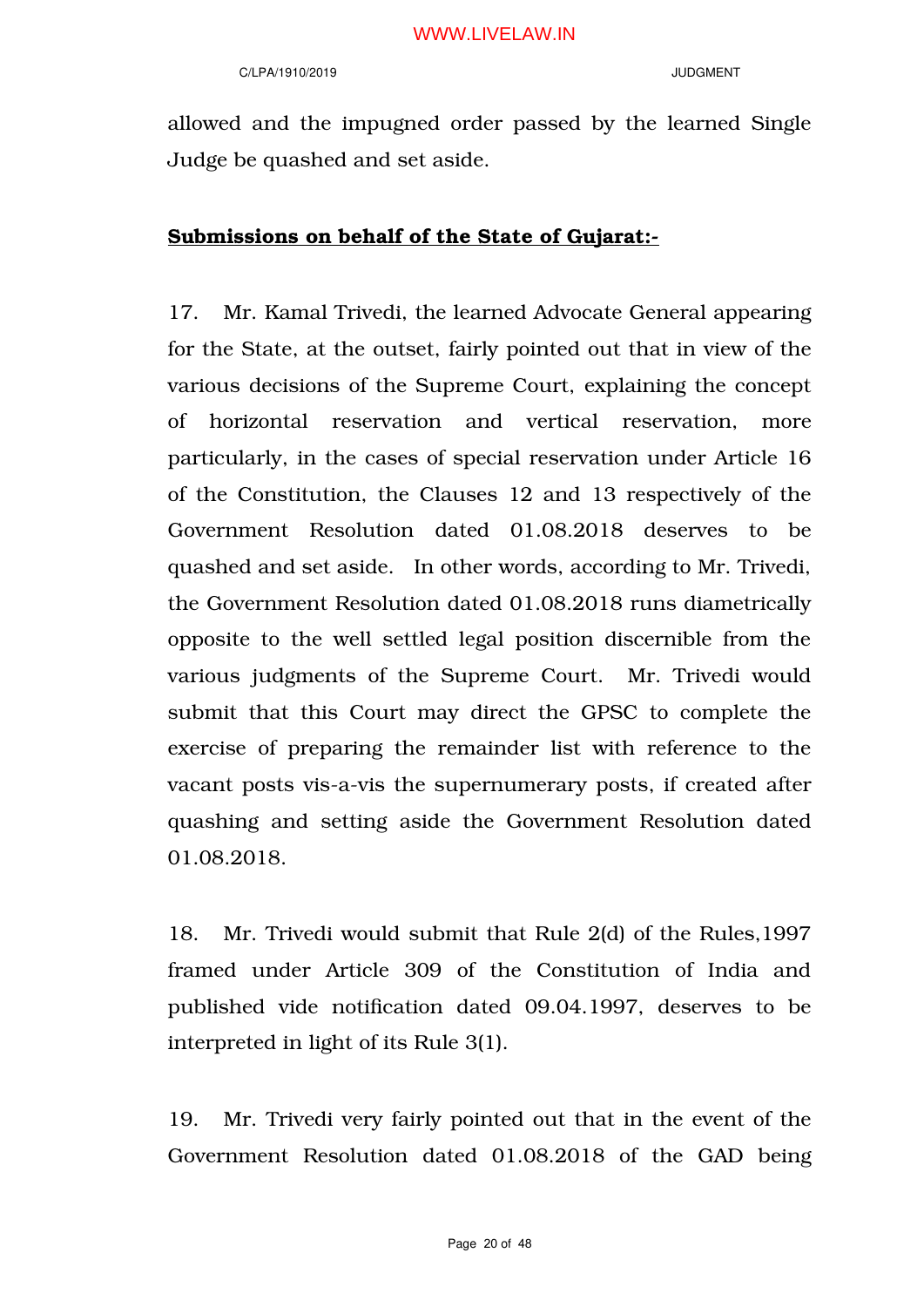#### C/LPA/1910/2019 JUDGMENT

allowed and the impugned order passed by the learned Single Judge be quashed and set aside.

# Submissions on behalf of the State of Gujarat:-

17. Mr. Kamal Trivedi, the learned Advocate General appearing for the State, at the outset, fairly pointed out that in view of the various decisions of the Supreme Court, explaining the concept of horizontal reservation and vertical reservation, more particularly, in the cases of special reservation under Article 16 of the Constitution, the Clauses 12 and 13 respectively of the Government Resolution dated 01.08.2018 deserves to be quashed and set aside. In other words, according to Mr. Trivedi, the Government Resolution dated 01.08.2018 runs diametrically opposite to the well settled legal position discernible from the various judgments of the Supreme Court. Mr. Trivedi would submit that this Court may direct the GPSC to complete the exercise of preparing the remainder list with reference to the vacant posts vis-a-vis the supernumerary posts, if created after quashing and setting aside the Government Resolution dated 01.08.2018.

18. Mr. Trivedi would submit that Rule 2(d) of the Rules,1997 framed under Article 309 of the Constitution of India and published vide notification dated 09.04.1997, deserves to be interpreted in light of its Rule 3(1).

19. Mr. Trivedi very fairly pointed out that in the event of the Government Resolution dated 01.08.2018 of the GAD being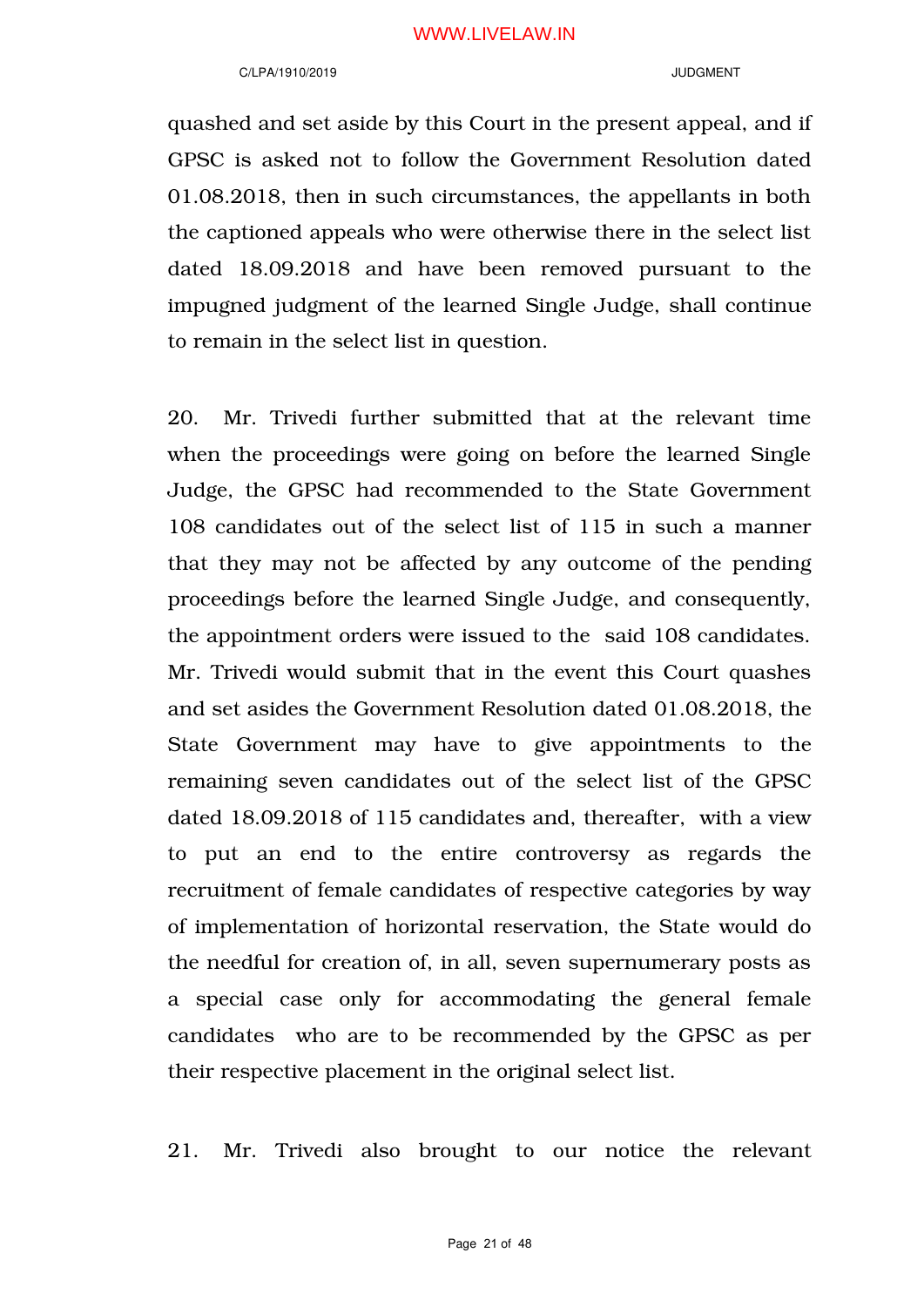#### C/LPA/1910/2019 JUDGMENT

quashed and set aside by this Court in the present appeal, and if GPSC is asked not to follow the Government Resolution dated 01.08.2018, then in such circumstances, the appellants in both the captioned appeals who were otherwise there in the select list dated 18.09.2018 and have been removed pursuant to the impugned judgment of the learned Single Judge, shall continue to remain in the select list in question.

20. Mr. Trivedi further submitted that at the relevant time when the proceedings were going on before the learned Single Judge, the GPSC had recommended to the State Government 108 candidates out of the select list of 115 in such a manner that they may not be affected by any outcome of the pending proceedings before the learned Single Judge, and consequently, the appointment orders were issued to the said 108 candidates. Mr. Trivedi would submit that in the event this Court quashes and set asides the Government Resolution dated 01.08.2018, the State Government may have to give appointments to the remaining seven candidates out of the select list of the GPSC dated 18.09.2018 of 115 candidates and, thereafter, with a view to put an end to the entire controversy as regards the recruitment of female candidates of respective categories by way of implementation of horizontal reservation, the State would do the needful for creation of, in all, seven supernumerary posts as a special case only for accommodating the general female candidates who are to be recommended by the GPSC as per their respective placement in the original select list.

21. Mr. Trivedi also brought to our notice the relevant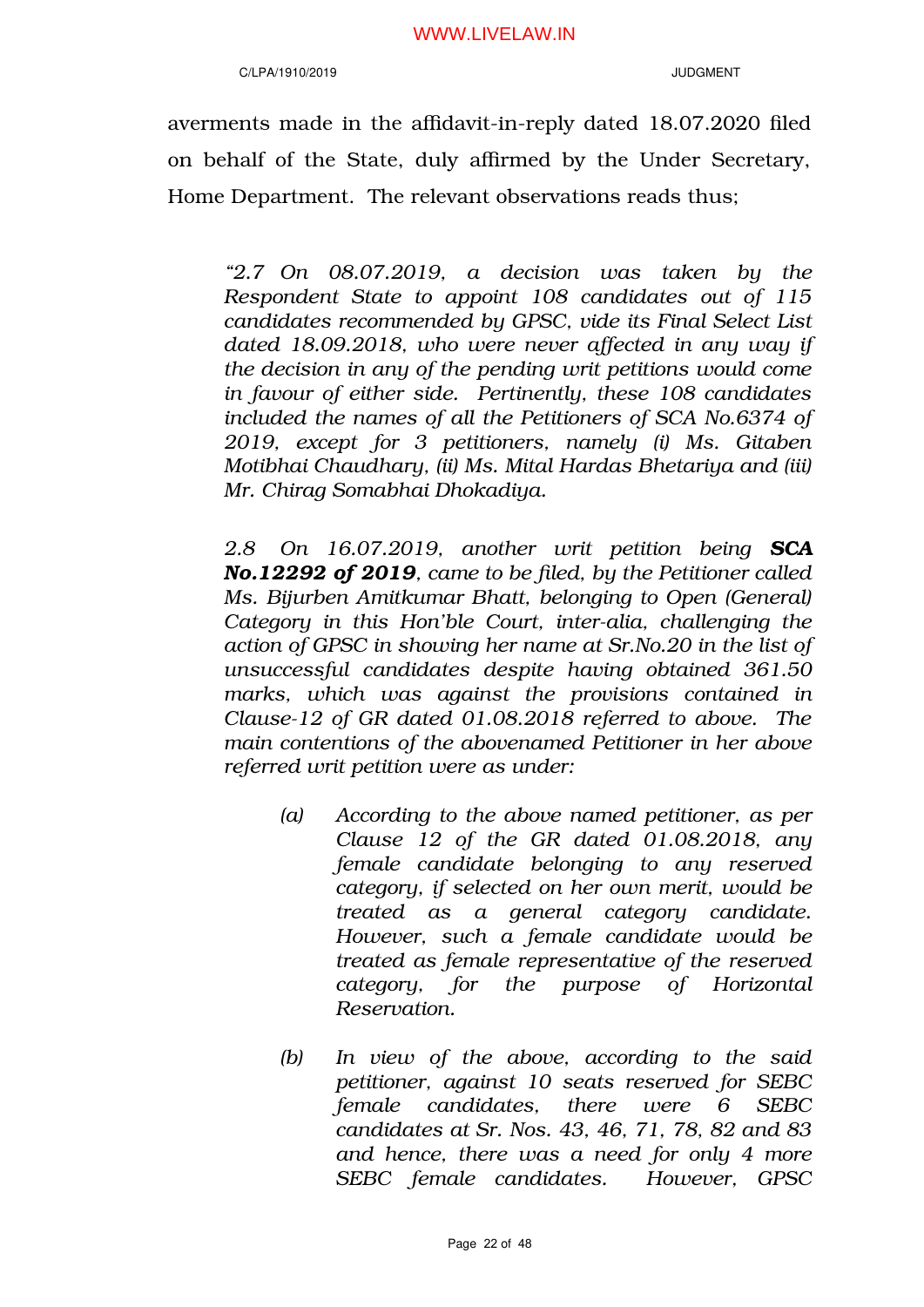### C/LPA/1910/2019 JUDGMENT

averments made in the affidavit-in-reply dated 18.07.2020 filed on behalf of the State, duly affirmed by the Under Secretary, Home Department. The relevant observations reads thus;

*"2.7 On 08.07.2019, a decision was taken by the Respondent State to appoint 108 candidates out of 115 candidates recommended by GPSC, vide its Final Select List dated 18.09.2018, who were never affected in any way if the decision in any of the pending writ petitions would come in favour of either side. Pertinently, these 108 candidates included the names of all the Petitioners of SCA No.6374 of 2019, except for 3 petitioners, namely (i) Ms. Gitaben Motibhai Chaudhary, (ii) Ms. Mital Hardas Bhetariya and (iii) Mr. Chirag Somabhai Dhokadiya.* 

*2.8 On 16.07.2019, another writ petition being SCA No.12292 of 2019, came to be filed, by the Petitioner called Ms. Bijurben Amitkumar Bhatt, belonging to Open (General) Category in this Hon'ble Court, inter-alia, challenging the action of GPSC in showing her name at Sr.No.20 in the list of unsuccessful candidates despite having obtained 361.50 marks, which was against the provisions contained in Clause-12 of GR dated 01.08.2018 referred to above. The main contentions of the abovenamed Petitioner in her above referred writ petition were as under:*

- *(a) According to the above named petitioner, as per Clause 12 of the GR dated 01.08.2018, any female candidate belonging to any reserved category, if selected on her own merit, would be treated as a general category candidate. However, such a female candidate would be treated as female representative of the reserved category, for the purpose of Horizontal Reservation.*
- *(b) In view of the above, according to the said petitioner, against 10 seats reserved for SEBC female candidates, there were 6 SEBC candidates at Sr. Nos. 43, 46, 71, 78, 82 and 83 and hence, there was a need for only 4 more SEBC female candidates. However, GPSC*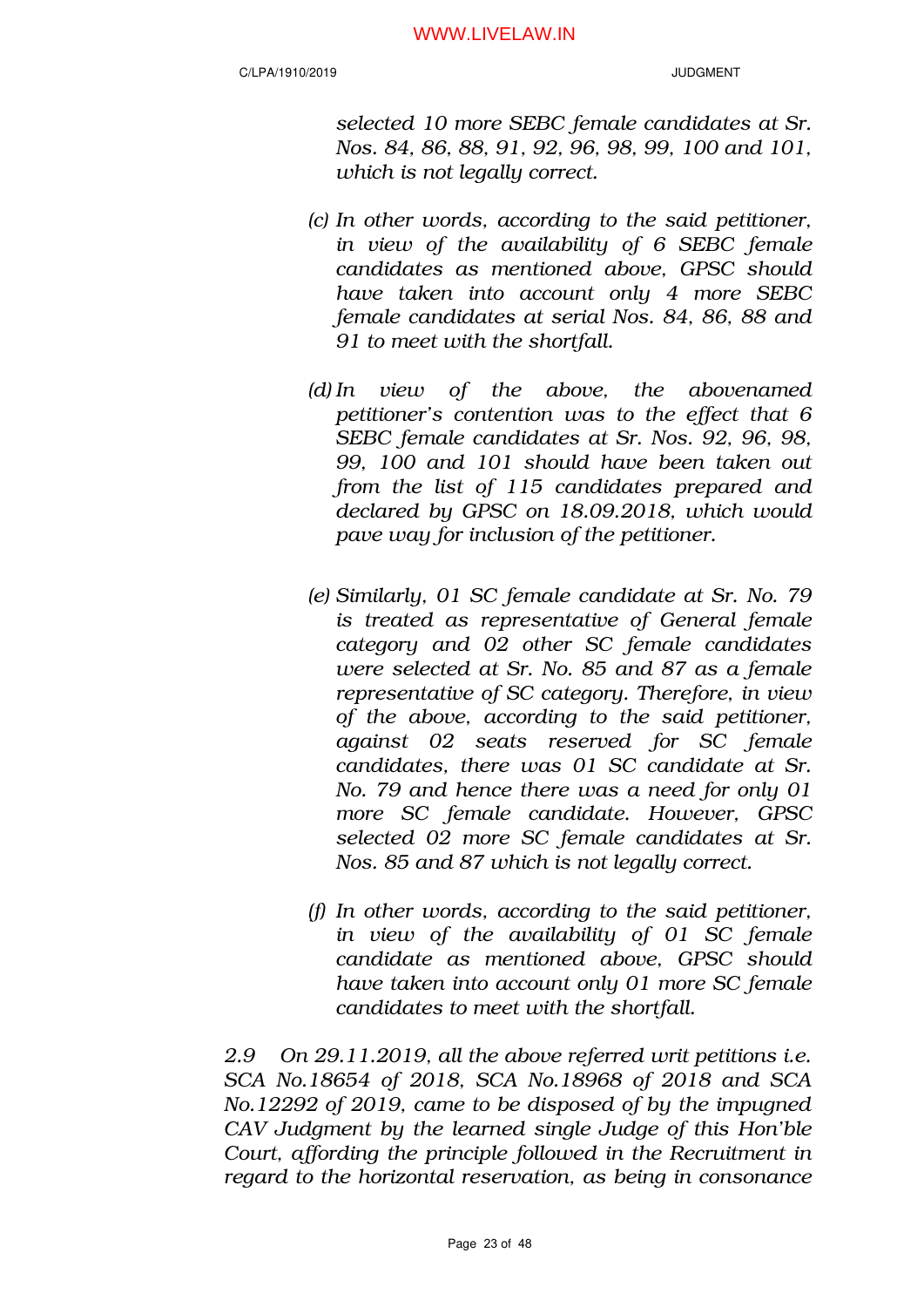*selected 10 more SEBC female candidates at Sr. Nos. 84, 86, 88, 91, 92, 96, 98, 99, 100 and 101, which is not legally correct.* 

- *(c) In other words, according to the said petitioner, in view of the availability of 6 SEBC female candidates as mentioned above, GPSC should have taken into account only 4 more SEBC female candidates at serial Nos. 84, 86, 88 and 91 to meet with the shortfall.*
- *(d) In view of the above, the abovenamed petitioner's contention was to the effect that 6 SEBC female candidates at Sr. Nos. 92, 96, 98, 99, 100 and 101 should have been taken out from the list of 115 candidates prepared and declared by GPSC on 18.09.2018, which would pave way for inclusion of the petitioner.*
- *(e) Similarly, 01 SC female candidate at Sr. No. 79 is treated as representative of General female category and 02 other SC female candidates were selected at Sr. No. 85 and 87 as a female representative of SC category. Therefore, in view of the above, according to the said petitioner, against 02 seats reserved for SC female candidates, there was 01 SC candidate at Sr. No. 79 and hence there was a need for only 01 more SC female candidate. However, GPSC selected 02 more SC female candidates at Sr. Nos. 85 and 87 which is not legally correct.*
- *(f) In other words, according to the said petitioner, in view of the availability of 01 SC female candidate as mentioned above, GPSC should have taken into account only 01 more SC female candidates to meet with the shortfall.*

*2.9 On 29.11.2019, all the above referred writ petitions i.e. SCA No.18654 of 2018, SCA No.18968 of 2018 and SCA No.12292 of 2019, came to be disposed of by the impugned CAV Judgment by the learned single Judge of this Hon'ble Court, affording the principle followed in the Recruitment in regard to the horizontal reservation, as being in consonance*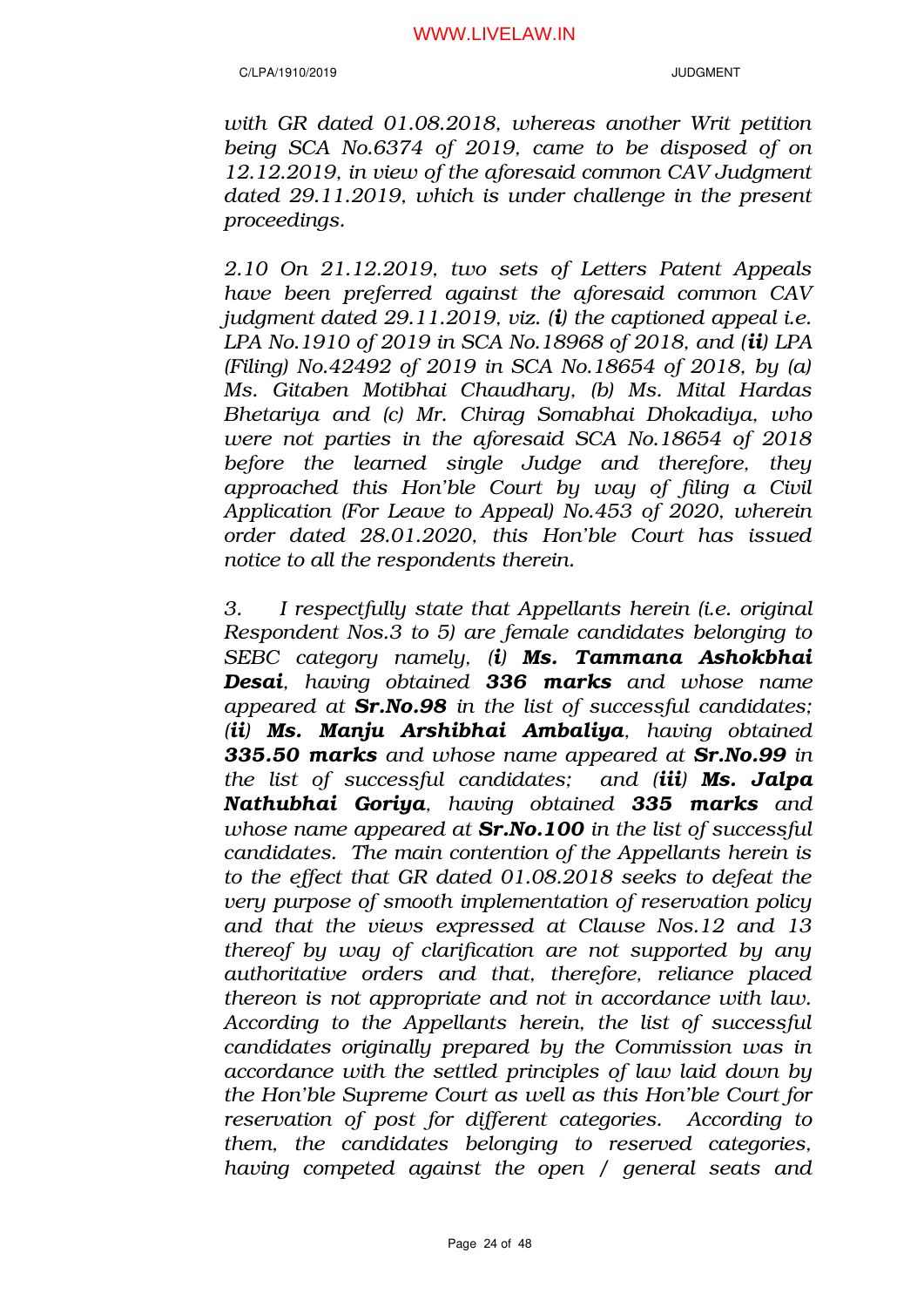*with GR dated 01.08.2018, whereas another Writ petition being SCA No.6374 of 2019, came to be disposed of on 12.12.2019, in view of the aforesaid common CAV Judgment dated 29.11.2019, which is under challenge in the present proceedings.*

*2.10 On 21.12.2019, two sets of Letters Patent Appeals have been preferred against the aforesaid common CAV judgment dated 29.11.2019, viz. (i) the captioned appeal i.e. LPA No.1910 of 2019 in SCA No.18968 of 2018, and (ii) LPA (Filing) No.42492 of 2019 in SCA No.18654 of 2018, by (a) Ms. Gitaben Motibhai Chaudhary, (b) Ms. Mital Hardas Bhetariya and (c) Mr. Chirag Somabhai Dhokadiya, who were not parties in the aforesaid SCA No.18654 of 2018 before the learned single Judge and therefore, they approached this Hon'ble Court by way of filing a Civil Application (For Leave to Appeal) No.453 of 2020, wherein order dated 28.01.2020, this Hon'ble Court has issued notice to all the respondents therein.*

*3. I respectfully state that Appellants herein (i.e. original Respondent Nos.3 to 5) are female candidates belonging to SEBC category namely, (i) Ms. Tammana Ashokbhai Desai, having obtained 336 marks and whose name appeared at Sr.No.98 in the list of successful candidates; (ii) Ms. Manju Arshibhai Ambaliya, having obtained 335.50 marks and whose name appeared at Sr.No.99 in the list of successful candidates; and (iii) Ms. Jalpa Nathubhai Goriya, having obtained 335 marks and whose name appeared at Sr.No.100 in the list of successful candidates. The main contention of the Appellants herein is to the effect that GR dated 01.08.2018 seeks to defeat the very purpose of smooth implementation of reservation policy and that the views expressed at Clause Nos.12 and 13 thereof by way of clarification are not supported by any authoritative orders and that, therefore, reliance placed thereon is not appropriate and not in accordance with law. According to the Appellants herein, the list of successful candidates originally prepared by the Commission was in accordance with the settled principles of law laid down by the Hon'ble Supreme Court as well as this Hon'ble Court for reservation of post for different categories. According to them, the candidates belonging to reserved categories, having competed against the open / general seats and*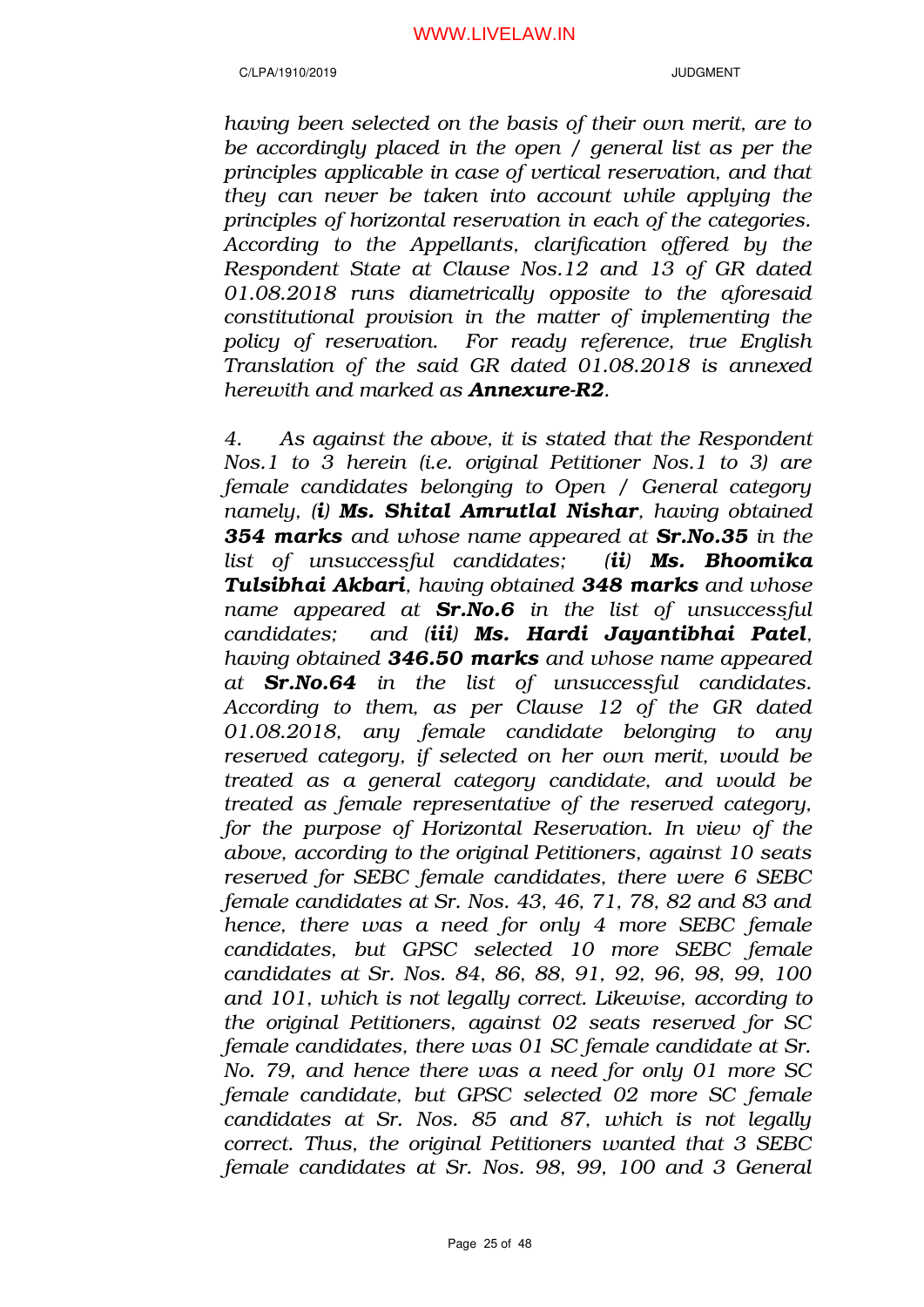*having been selected on the basis of their own merit, are to be accordingly placed in the open / general list as per the principles applicable in case of vertical reservation, and that they can never be taken into account while applying the principles of horizontal reservation in each of the categories. According to the Appellants, clarification offered by the Respondent State at Clause Nos.12 and 13 of GR dated 01.08.2018 runs diametrically opposite to the aforesaid constitutional provision in the matter of implementing the policy of reservation. For ready reference, true English Translation of the said GR dated 01.08.2018 is annexed herewith and marked as Annexure-R2.*

*4. As against the above, it is stated that the Respondent Nos.1 to 3 herein (i.e. original Petitioner Nos.1 to 3) are female candidates belonging to Open / General category namely, (i) Ms. Shital Amrutlal Nishar, having obtained 354 marks and whose name appeared at Sr.No.35 in the list of unsuccessful candidates; (ii) Ms. Bhoomika Tulsibhai Akbari, having obtained 348 marks and whose name appeared at Sr.No.6 in the list of unsuccessful candidates; and (iii) Ms. Hardi Jayantibhai Patel, having obtained 346.50 marks and whose name appeared at Sr.No.64 in the list of unsuccessful candidates. According to them, as per Clause 12 of the GR dated 01.08.2018, any female candidate belonging to any reserved category, if selected on her own merit, would be treated as a general category candidate, and would be treated as female representative of the reserved category, for the purpose of Horizontal Reservation. In view of the above, according to the original Petitioners, against 10 seats reserved for SEBC female candidates, there were 6 SEBC female candidates at Sr. Nos. 43, 46, 71, 78, 82 and 83 and hence, there was a need for only 4 more SEBC female candidates, but GPSC selected 10 more SEBC female candidates at Sr. Nos. 84, 86, 88, 91, 92, 96, 98, 99, 100 and 101, which is not legally correct. Likewise, according to the original Petitioners, against 02 seats reserved for SC female candidates, there was 01 SC female candidate at Sr. No. 79, and hence there was a need for only 01 more SC female candidate, but GPSC selected 02 more SC female candidates at Sr. Nos. 85 and 87, which is not legally correct. Thus, the original Petitioners wanted that 3 SEBC female candidates at Sr. Nos. 98, 99, 100 and 3 General*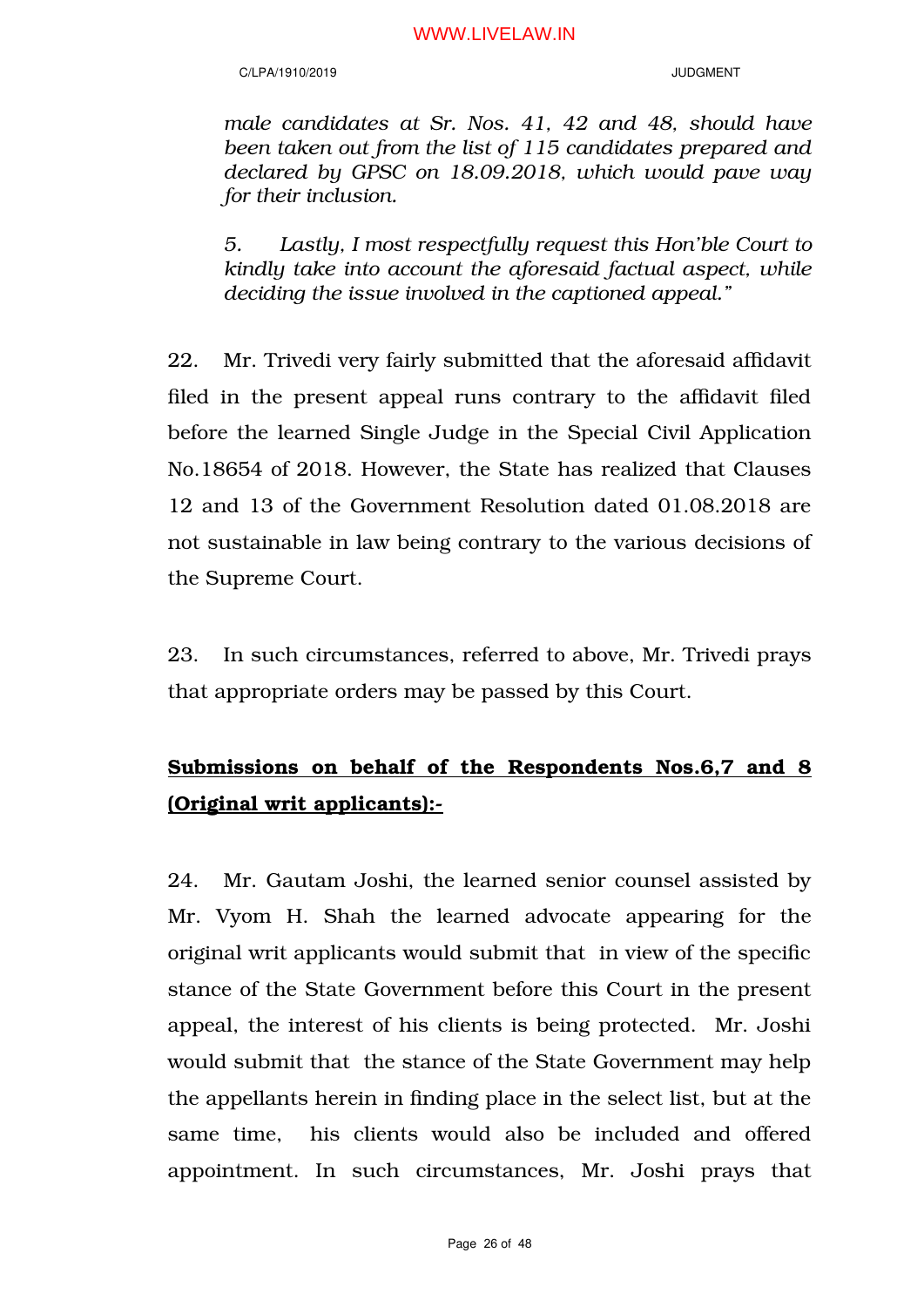### C/LPA/1910/2019 JUDGMENT

*male candidates at Sr. Nos. 41, 42 and 48, should have been taken out from the list of 115 candidates prepared and declared by GPSC on 18.09.2018, which would pave way for their inclusion.*

*5. Lastly, I most respectfully request this Hon'ble Court to kindly take into account the aforesaid factual aspect, while deciding the issue involved in the captioned appeal."*

22. Mr. Trivedi very fairly submitted that the aforesaid affidavit filed in the present appeal runs contrary to the affidavit filed before the learned Single Judge in the Special Civil Application No.18654 of 2018. However, the State has realized that Clauses 12 and 13 of the Government Resolution dated 01.08.2018 are not sustainable in law being contrary to the various decisions of the Supreme Court.

23. In such circumstances, referred to above, Mr. Trivedi prays that appropriate orders may be passed by this Court.

# Submissions on behalf of the Respondents Nos.6,7 and 8 (Original writ applicants):-

24. Mr. Gautam Joshi, the learned senior counsel assisted by Mr. Vyom H. Shah the learned advocate appearing for the original writ applicants would submit that in view of the specific stance of the State Government before this Court in the present appeal, the interest of his clients is being protected. Mr. Joshi would submit that the stance of the State Government may help the appellants herein in finding place in the select list, but at the same time, his clients would also be included and offered appointment. In such circumstances, Mr. Joshi prays that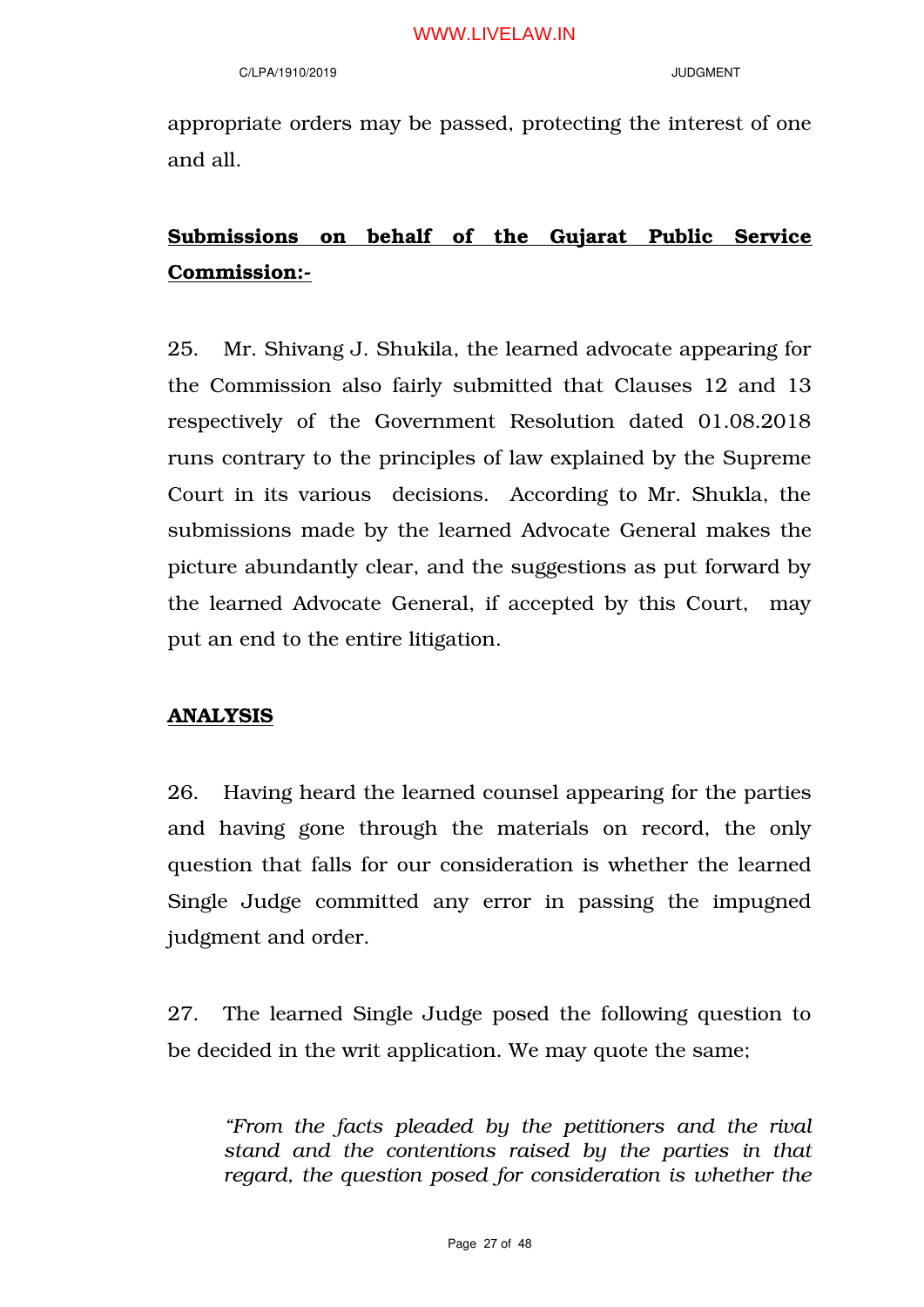appropriate orders may be passed, protecting the interest of one and all.

# Submissions on behalf of the Gujarat Public Service Commission:-

25. Mr. Shivang J. Shukila, the learned advocate appearing for the Commission also fairly submitted that Clauses 12 and 13 respectively of the Government Resolution dated 01.08.2018 runs contrary to the principles of law explained by the Supreme Court in its various decisions. According to Mr. Shukla, the submissions made by the learned Advocate General makes the picture abundantly clear, and the suggestions as put forward by the learned Advocate General, if accepted by this Court, may put an end to the entire litigation.

# ANALYSIS

26. Having heard the learned counsel appearing for the parties and having gone through the materials on record, the only question that falls for our consideration is whether the learned Single Judge committed any error in passing the impugned judgment and order.

27. The learned Single Judge posed the following question to be decided in the writ application. We may quote the same;

*"From the facts pleaded by the petitioners and the rival stand and the contentions raised by the parties in that regard, the question posed for consideration is whether the*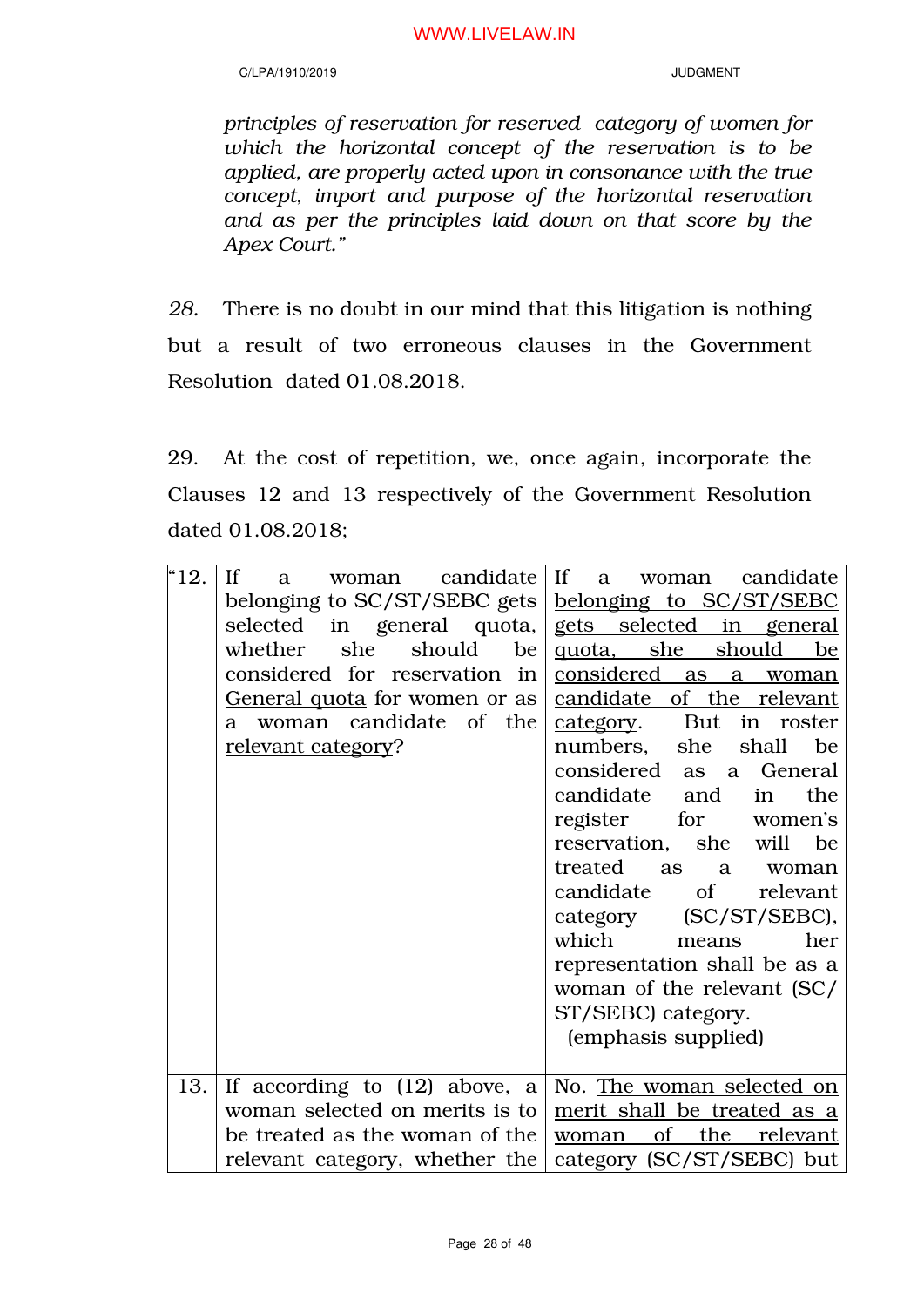### C/LPA/1910/2019 JUDGMENT

*principles of reservation for reserved category of women for which the horizontal concept of the reservation is to be applied, are properly acted upon in consonance with the true concept, import and purpose of the horizontal reservation and as per the principles laid down on that score by the Apex Court."*

*28.* There is no doubt in our mind that this litigation is nothing but a result of two erroneous clauses in the Government Resolution dated 01.08.2018.

29. At the cost of repetition, we, once again, incorporate the Clauses 12 and 13 respectively of the Government Resolution dated 01.08.2018;

| 4.12. | If<br>candidate<br>woman<br>a        | If a woman candidate          |  |
|-------|--------------------------------------|-------------------------------|--|
|       | belonging to SC/ST/SEBC gets         | belonging to SC/ST/SEBC       |  |
|       | selected in general quota,           | gets selected in general      |  |
|       | should<br>whether<br>she<br>be       | quota, she should<br>be       |  |
|       | considered for reservation in        | considered as a<br>woman      |  |
|       | <u>General quota</u> for women or as | candidate of the relevant     |  |
|       | a woman candidate of the             | category. But in roster       |  |
|       | relevant category?                   | numbers, she shall<br>be      |  |
|       |                                      | considered as a General       |  |
|       |                                      | candidate<br>the<br>and<br>in |  |
|       |                                      |                               |  |
|       |                                      | for women's<br>register       |  |
|       |                                      | reservation, she will<br>be   |  |
|       |                                      | treated<br>as<br>a a<br>woman |  |
|       |                                      | candidate of<br>relevant      |  |
|       |                                      | category (SC/ST/SEBC),        |  |
|       |                                      | which<br>her<br>means         |  |
|       |                                      | representation shall be as a  |  |
|       |                                      | woman of the relevant (SC/    |  |
|       |                                      | ST/SEBC) category.            |  |
|       |                                      | (emphasis supplied)           |  |
|       |                                      |                               |  |
| 13.   | If according to $(12)$ above, a      | No. The woman selected on     |  |
|       | woman selected on merits is to       | merit shall be treated as a   |  |
|       | be treated as the woman of the       | of the<br>relevant<br>woman   |  |
|       | relevant category, whether the       | category (SC/ST/SEBC) but     |  |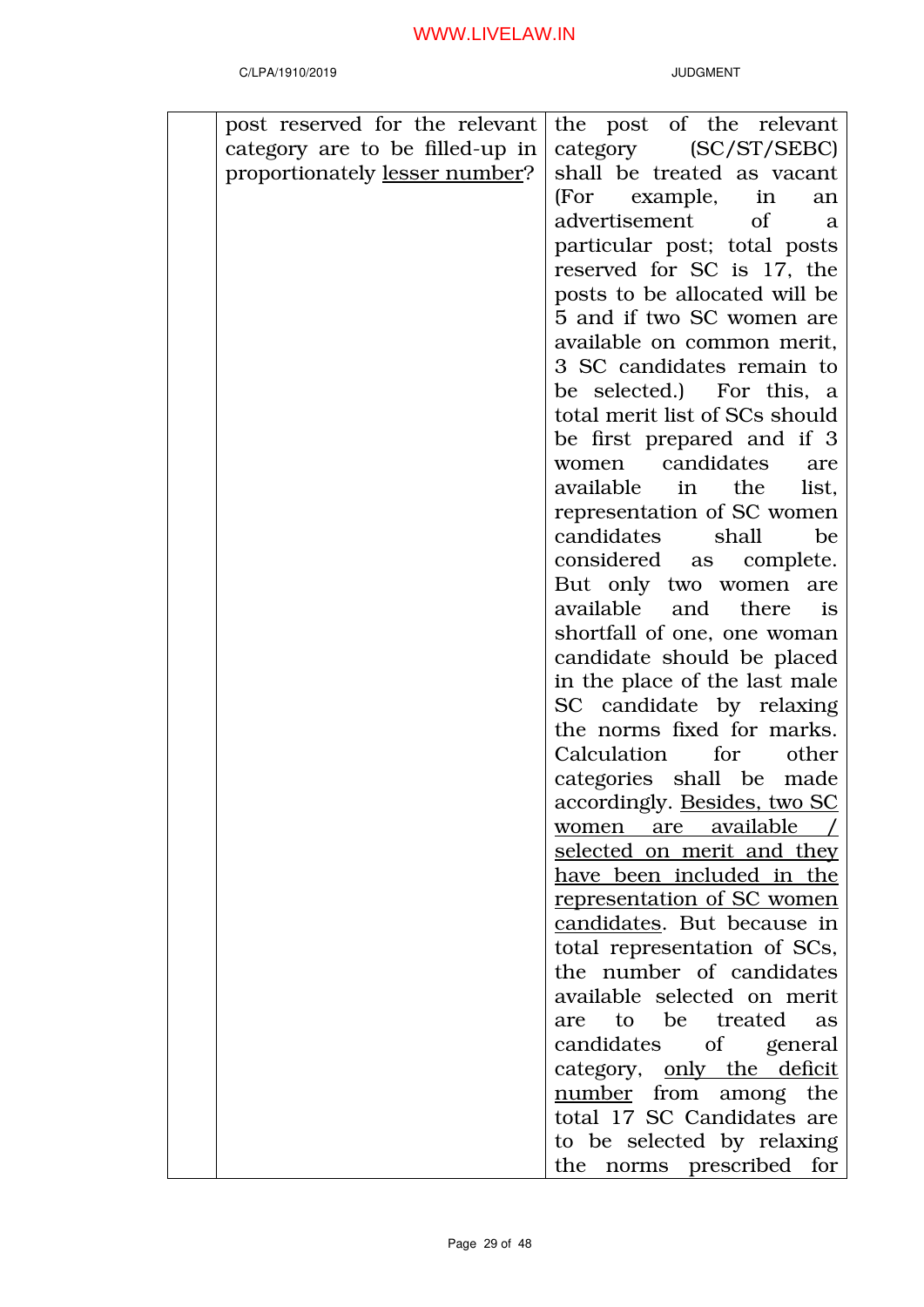| post reserved for the relevant  | the post of the relevant            |
|---------------------------------|-------------------------------------|
|                                 |                                     |
| category are to be filled-up in | category (SC/ST/SEBC)               |
| proportionately lesser number?  | shall be treated as vacant          |
|                                 | (For example,<br>in<br>an           |
|                                 | advertisement<br><sub>of</sub><br>a |
|                                 | particular post; total posts        |
|                                 | reserved for SC is 17, the          |
|                                 | posts to be allocated will be       |
|                                 | 5 and if two SC women are           |
|                                 | available on common merit,          |
|                                 | 3 SC candidates remain to           |
|                                 | be selected.) For this, a           |
|                                 | total merit list of SCs should      |
|                                 | be first prepared and if 3          |
|                                 | candidates<br>women<br>are          |
|                                 | available in the<br>list,           |
|                                 | representation of SC women          |
|                                 | candidates<br>shall<br>be           |
|                                 | considered as complete.             |
|                                 | But only two women are              |
|                                 | available and there<br>is           |
|                                 |                                     |
|                                 | shortfall of one, one woman         |
|                                 | candidate should be placed          |
|                                 | in the place of the last male       |
|                                 | SC candidate by relaxing            |
|                                 | the norms fixed for marks.          |
|                                 | Calculation for<br>other            |
|                                 | categories shall be made            |
|                                 | accordingly. Besides, two SC        |
|                                 | <u>women are available</u>          |
|                                 | selected on merit and they          |
|                                 | have been included in the           |
|                                 | representation of SC women          |
|                                 | candidates. But because in          |
|                                 | total representation of SCs,        |
|                                 | the number of candidates            |
|                                 | available selected on merit         |
|                                 | are to be treated<br>as             |
|                                 | candidates of general               |
|                                 | category, only the deficit          |
|                                 | number from among the               |
|                                 | total 17 SC Candidates are          |
|                                 | to be selected by relaxing          |
|                                 | the norms prescribed for            |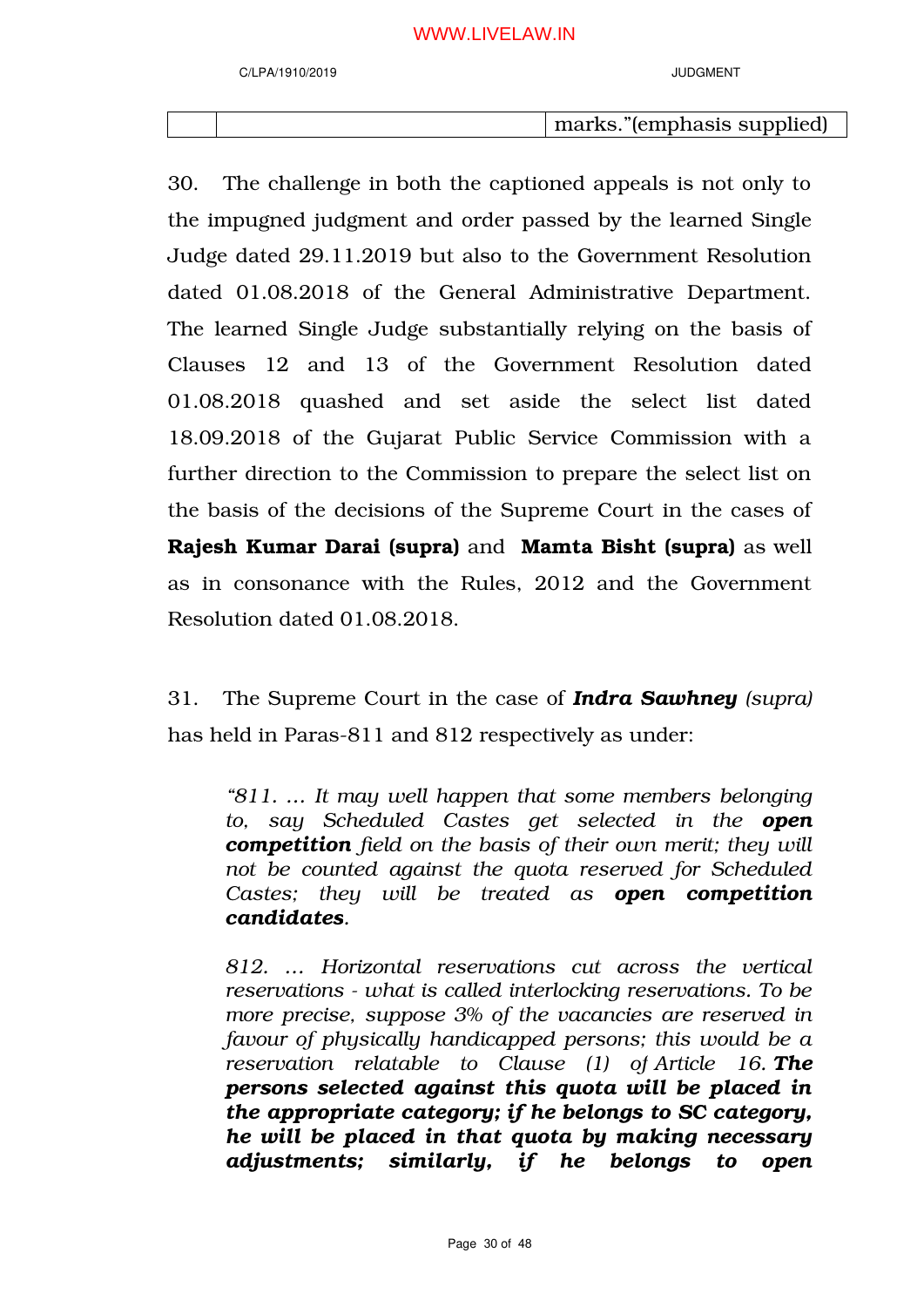marks."(emphasis supplied)

30. The challenge in both the captioned appeals is not only to the impugned judgment and order passed by the learned Single Judge dated 29.11.2019 but also to the Government Resolution dated 01.08.2018 of the General Administrative Department. The learned Single Judge substantially relying on the basis of Clauses 12 and 13 of the Government Resolution dated 01.08.2018 quashed and set aside the select list dated 18.09.2018 of the Gujarat Public Service Commission with a further direction to the Commission to prepare the select list on the basis of the decisions of the Supreme Court in the cases of Rajesh Kumar Darai (supra) and Mamta Bisht (supra) as well as in consonance with the Rules, 2012 and the Government Resolution dated 01.08.2018.

31. The Supreme Court in the case of *Indra Sawhney (supra)* has held in Paras-811 and 812 respectively as under:

*"811. … It may well happen that some members belonging to, say Scheduled Castes get selected in the open competition field on the basis of their own merit; they will not be counted against the quota reserved for Scheduled Castes; they will be treated as open competition candidates.*

*812. … Horizontal reservations cut across the vertical reservations - what is called interlocking reservations. To be more precise, suppose 3% of the vacancies are reserved in favour of physically handicapped persons; this would be a reservation relatable to Clause (1) of Article 16. The persons selected against this quota will be placed in the appropriate category; if he belongs to SC category, he will be placed in that quota by making necessary adjustments; similarly, if he belongs to open*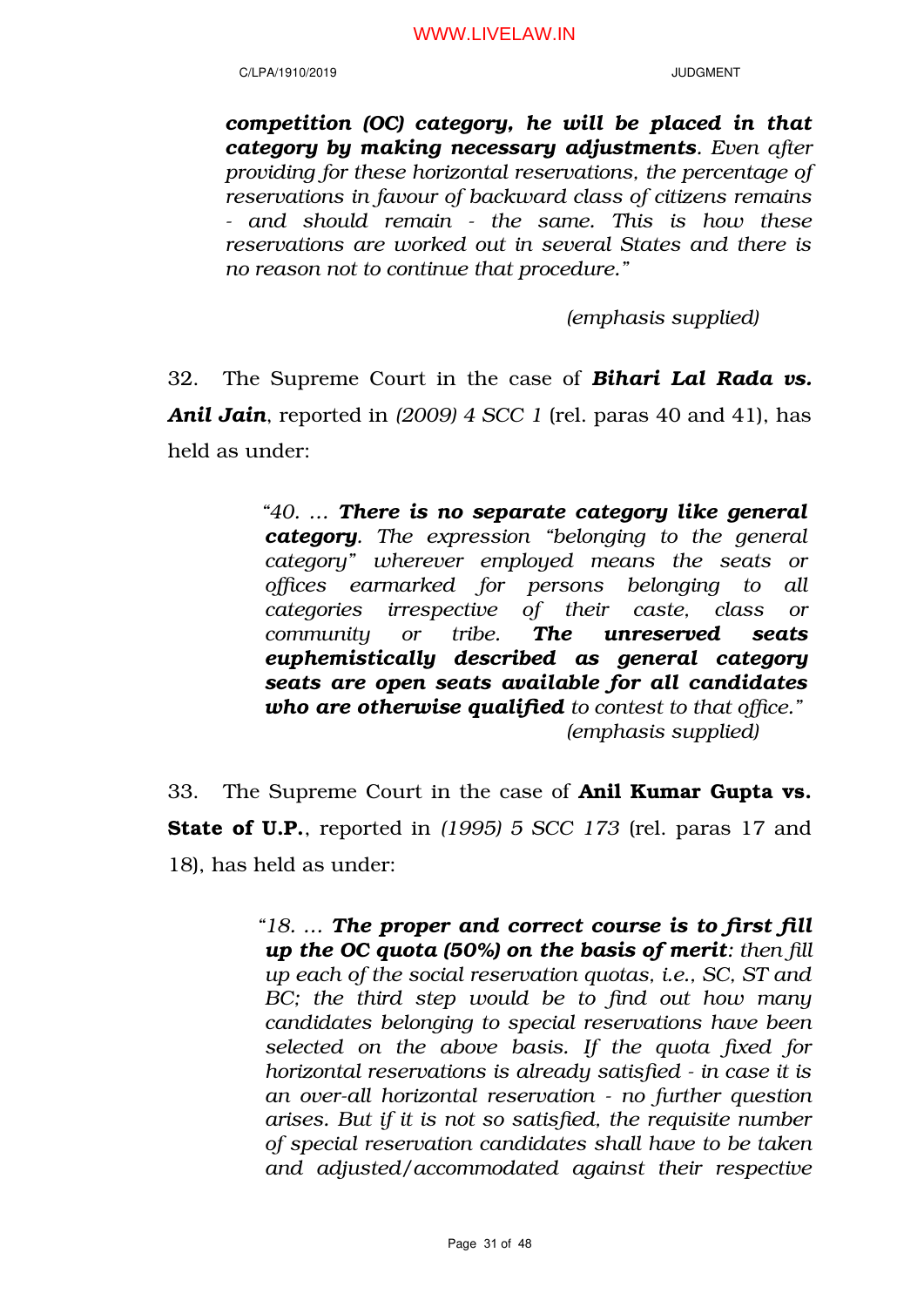*competition (OC) category, he will be placed in that category by making necessary adjustments. Even after providing for these horizontal reservations, the percentage of reservations in favour of backward class of citizens remains - and should remain - the same. This is how these reservations are worked out in several States and there is no reason not to continue that procedure."*

*(emphasis supplied)*

32. The Supreme Court in the case of *Bihari Lal Rada vs. Anil Jain*, reported in *(2009) 4 SCC 1* (rel. paras 40 and 41), has held as under:

> *"40. … There is no separate category like general category. The expression "belonging to the general category" wherever employed means the seats or offices earmarked for persons belonging to all categories irrespective of their caste, class or community or tribe. The unreserved seats euphemistically described as general category seats are open seats available for all candidates who are otherwise qualified to contest to that office." (emphasis supplied)*

33. The Supreme Court in the case of Anil Kumar Gupta vs. State of U.P., reported in *(1995) 5 SCC 173* (rel. paras 17 and 18), has held as under:

> *"18. … The proper and correct course is to first fill up the OC quota (50%) on the basis of merit: then fill up each of the social reservation quotas, i.e., SC, ST and BC; the third step would be to find out how many candidates belonging to special reservations have been selected on the above basis. If the quota fixed for horizontal reservations is already satisfied - in case it is an over-all horizontal reservation - no further question arises. But if it is not so satisfied, the requisite number of special reservation candidates shall have to be taken and adjusted/accommodated against their respective*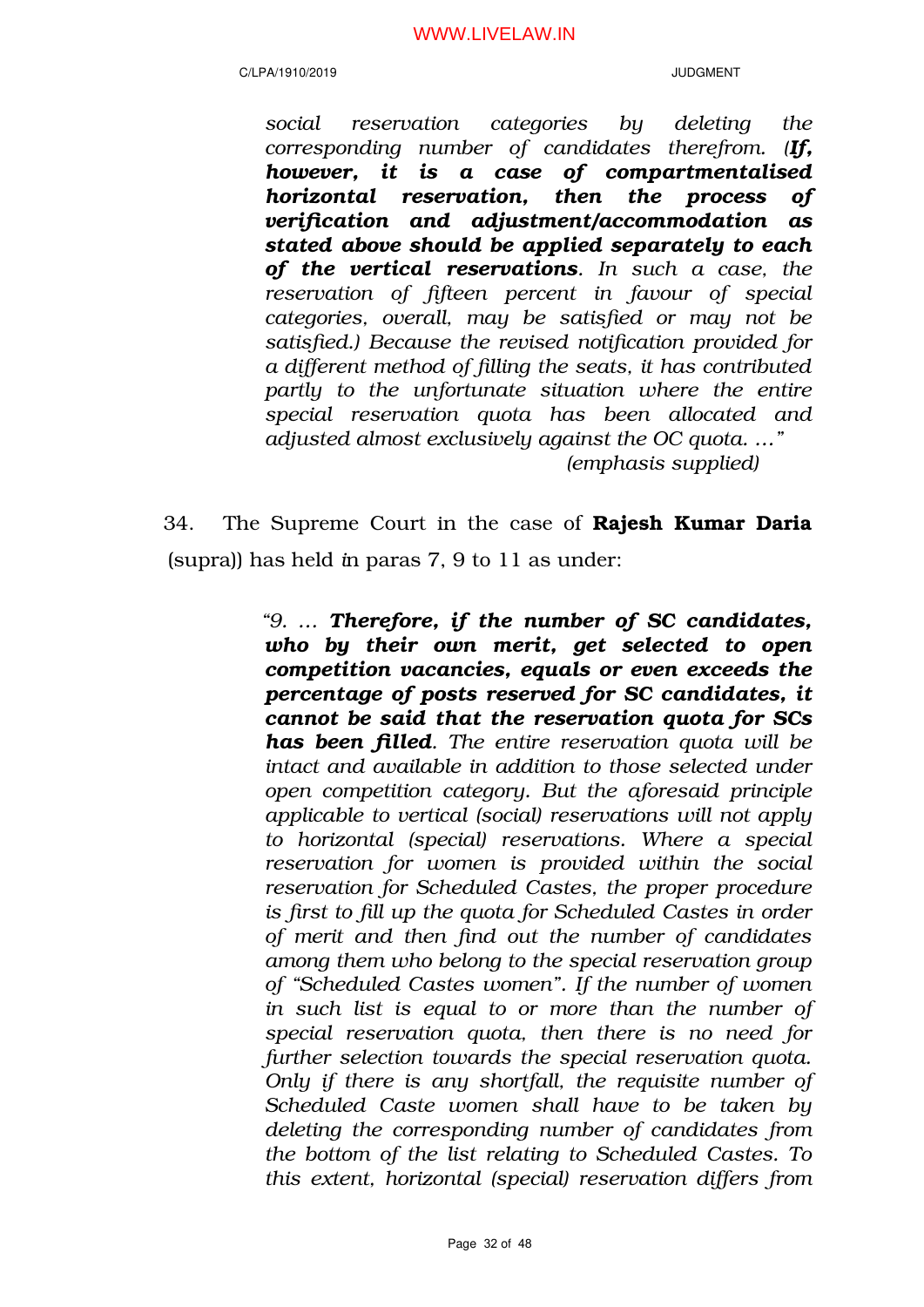C/LPA/1910/2019 JUDGMENT

*social reservation categories by deleting the corresponding number of candidates therefrom. (If, however, it is a case of compartmentalised horizontal reservation, then the process of verification and adjustment/accommodation as stated above should be applied separately to each of the vertical reservations. In such a case, the reservation of fifteen percent in favour of special categories, overall, may be satisfied or may not be satisfied.) Because the revised notification provided for a different method of filling the seats, it has contributed partly to the unfortunate situation where the entire special reservation quota has been allocated and adjusted almost exclusively against the OC quota. …" (emphasis supplied)*

34. The Supreme Court in the case of **Rajesh Kumar Daria** (supra)) has held *i*n paras 7, 9 to 11 as under:

> *"9. … Therefore, if the number of SC candidates, who by their own merit, get selected to open competition vacancies, equals or even exceeds the percentage of posts reserved for SC candidates, it cannot be said that the reservation quota for SCs has been filled. The entire reservation quota will be intact and available in addition to those selected under open competition category. But the aforesaid principle applicable to vertical (social) reservations will not apply to horizontal (special) reservations. Where a special reservation for women is provided within the social reservation for Scheduled Castes, the proper procedure is first to fill up the quota for Scheduled Castes in order of merit and then find out the number of candidates among them who belong to the special reservation group of "Scheduled Castes women". If the number of women in such list is equal to or more than the number of special reservation quota, then there is no need for further selection towards the special reservation quota. Only if there is any shortfall, the requisite number of Scheduled Caste women shall have to be taken by deleting the corresponding number of candidates from the bottom of the list relating to Scheduled Castes. To this extent, horizontal (special) reservation differs from*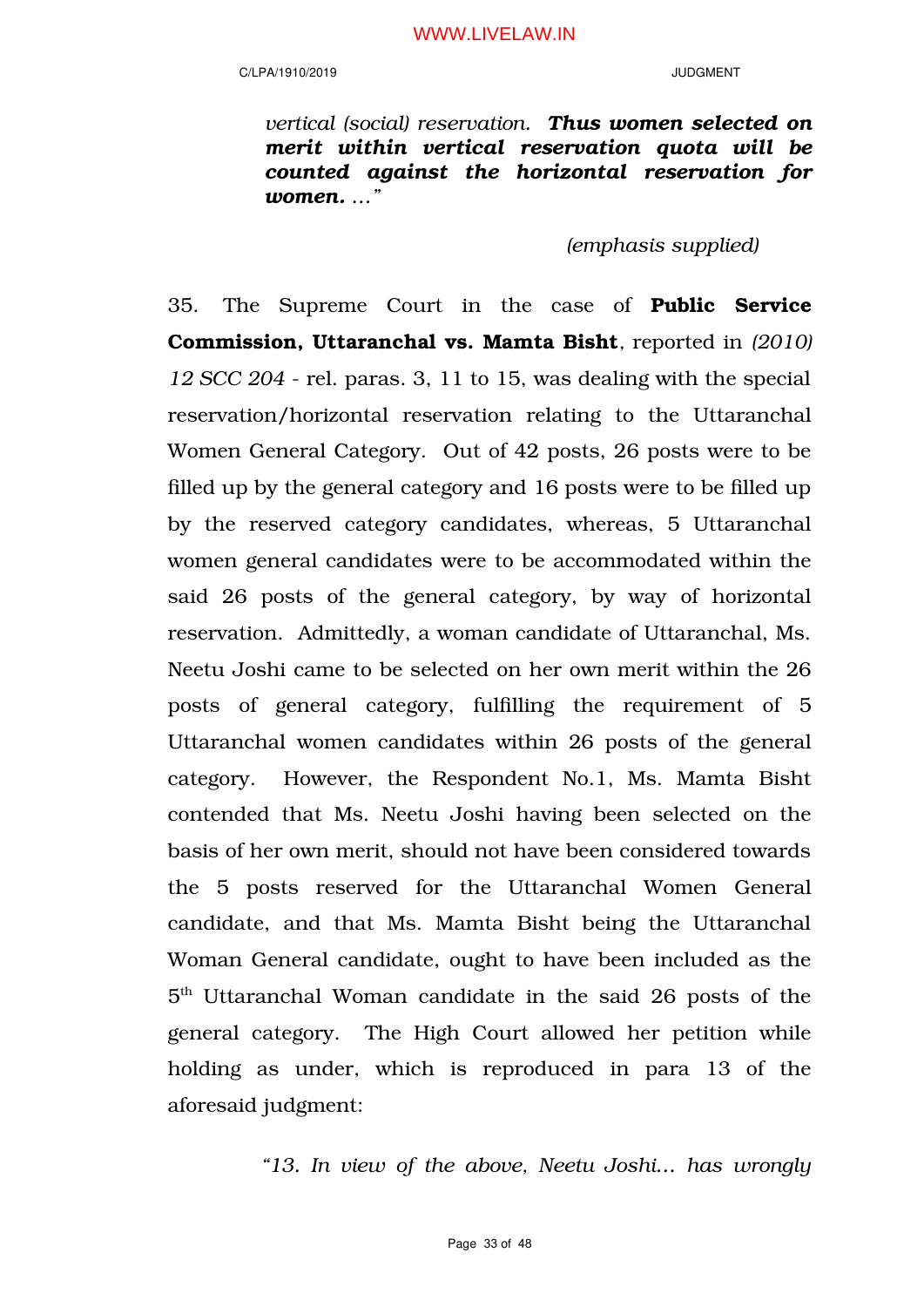*vertical (social) reservation. Thus women selected on merit within vertical reservation quota will be counted against the horizontal reservation for women. …"* 

*(emphasis supplied)*

35. The Supreme Court in the case of Public Service Commission, Uttaranchal vs. Mamta Bisht*,* reported in *(2010) 12 SCC 204* - rel. paras. 3, 11 to 15, was dealing with the special reservation/horizontal reservation relating to the Uttaranchal Women General Category. Out of 42 posts, 26 posts were to be filled up by the general category and 16 posts were to be filled up by the reserved category candidates, whereas, 5 Uttaranchal women general candidates were to be accommodated within the said 26 posts of the general category, by way of horizontal reservation. Admittedly, a woman candidate of Uttaranchal, Ms. Neetu Joshi came to be selected on her own merit within the 26 posts of general category, fulfilling the requirement of 5 Uttaranchal women candidates within 26 posts of the general category. However, the Respondent No.1, Ms. Mamta Bisht contended that Ms. Neetu Joshi having been selected on the basis of her own merit, should not have been considered towards the 5 posts reserved for the Uttaranchal Women General candidate, and that Ms. Mamta Bisht being the Uttaranchal Woman General candidate, ought to have been included as the 5 th Uttaranchal Woman candidate in the said 26 posts of the general category. The High Court allowed her petition while holding as under, which is reproduced in para 13 of the aforesaid judgment:

*"13. In view of the above, Neetu Joshi… has wrongly*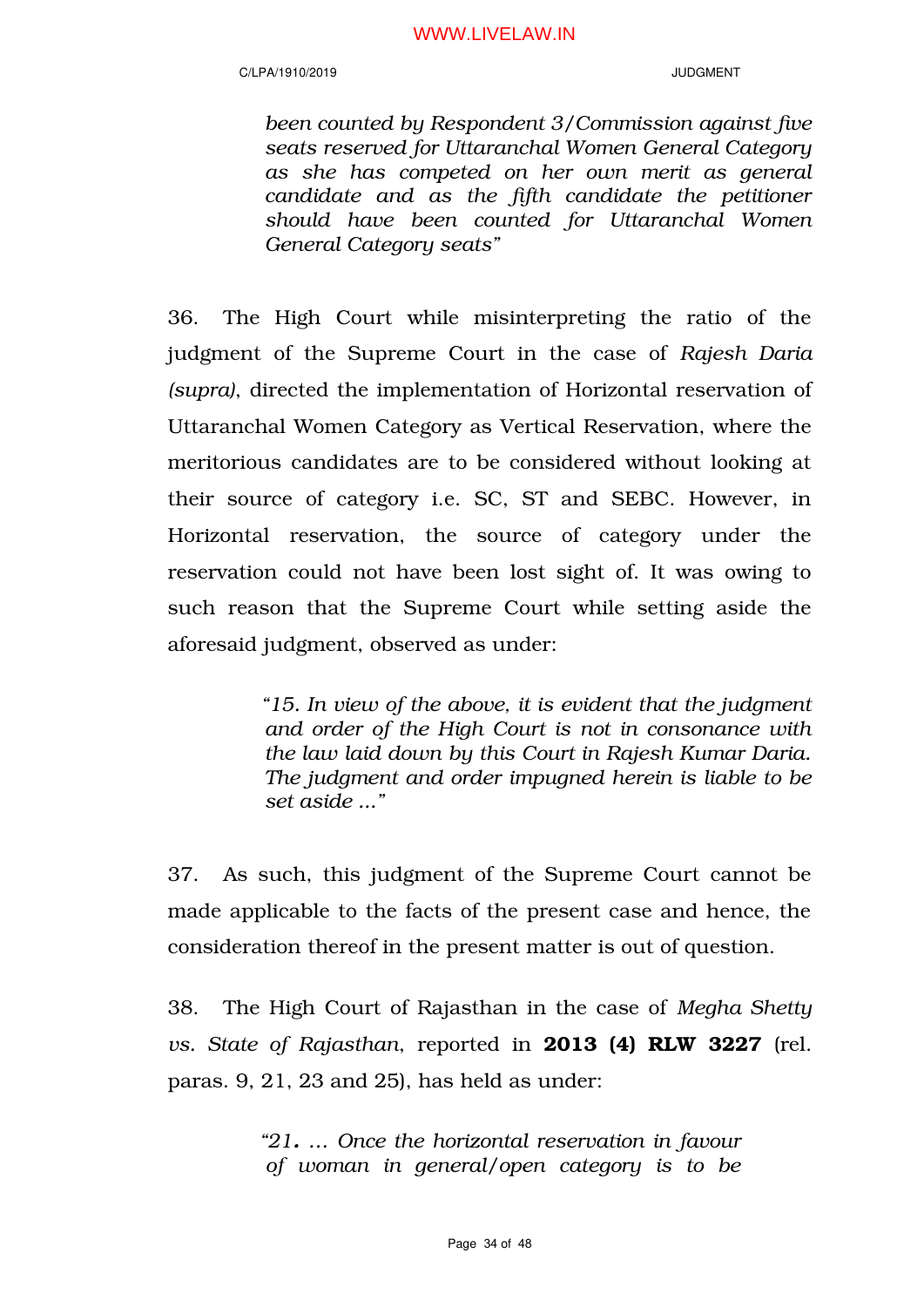### C/LPA/1910/2019 JUDGMENT

*been counted by Respondent 3/Commission against five seats reserved for Uttaranchal Women General Category as she has competed on her own merit as general candidate and as the fifth candidate the petitioner should have been counted for Uttaranchal Women General Category seats"*

36. The High Court while misinterpreting the ratio of the judgment of the Supreme Court in the case of *Rajesh Daria (supra)*, directed the implementation of Horizontal reservation of Uttaranchal Women Category as Vertical Reservation, where the meritorious candidates are to be considered without looking at their source of category i.e. SC, ST and SEBC. However, in Horizontal reservation, the source of category under the reservation could not have been lost sight of. It was owing to such reason that the Supreme Court while setting aside the aforesaid judgment, observed as under:

> *"15. In view of the above, it is evident that the judgment and order of the High Court is not in consonance with the law laid down by this Court in Rajesh Kumar Daria. The judgment and order impugned herein is liable to be set aside ..."*

37. As such, this judgment of the Supreme Court cannot be made applicable to the facts of the present case and hence, the consideration thereof in the present matter is out of question.

38. The High Court of Rajasthan in the case of *Megha Shetty vs. State of Rajasthan*, reported in 2013 (4) RLW 3227 (rel. paras. 9, 21, 23 and 25), has held as under:

> *"21. … Once the horizontal reservation in favour of woman in general/open category is to be*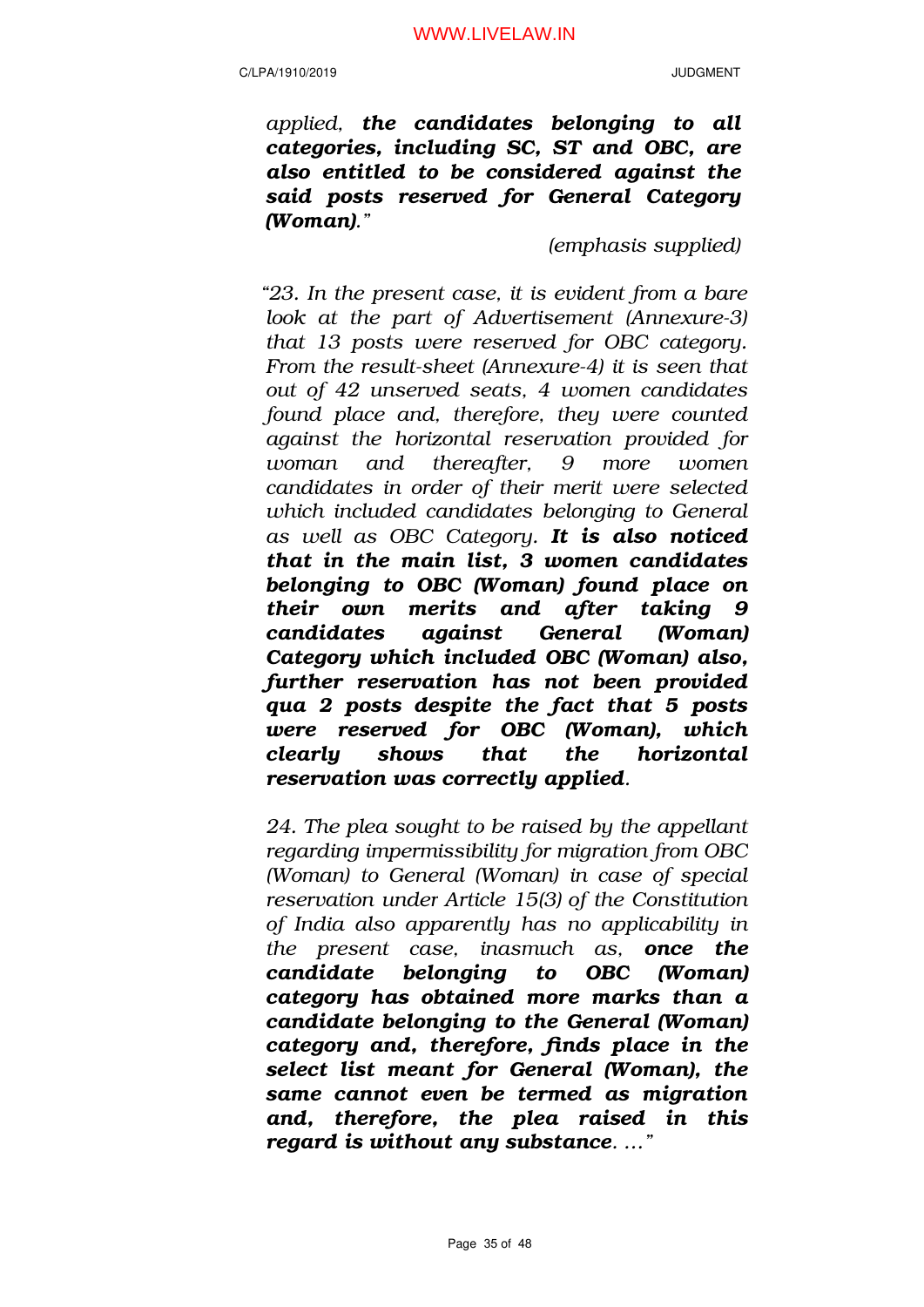*applied, the candidates belonging to all categories, including SC, ST and OBC, are also entitled to be considered against the said posts reserved for General Category (Woman)."*

*(emphasis supplied)*

*"23. In the present case, it is evident from a bare look at the part of Advertisement (Annexure-3) that 13 posts were reserved for OBC category. From the result-sheet (Annexure-4) it is seen that out of 42 unserved seats, 4 women candidates found place and, therefore, they were counted against the horizontal reservation provided for woman and thereafter, 9 more women candidates in order of their merit were selected which included candidates belonging to General as well as OBC Category. It is also noticed that in the main list, 3 women candidates belonging to OBC (Woman) found place on their own merits and after taking 9 candidates against General (Woman) Category which included OBC (Woman) also, further reservation has not been provided qua 2 posts despite the fact that 5 posts were reserved for OBC (Woman), which clearly shows that the horizontal reservation was correctly applied.*

*24. The plea sought to be raised by the appellant regarding impermissibility for migration from OBC (Woman) to General (Woman) in case of special reservation under Article 15(3) of the Constitution of India also apparently has no applicability in the present case, inasmuch as, once the candidate belonging to OBC (Woman) category has obtained more marks than a candidate belonging to the General (Woman) category and, therefore, finds place in the select list meant for General (Woman), the same cannot even be termed as migration and, therefore, the plea raised in this regard is without any substance. …"*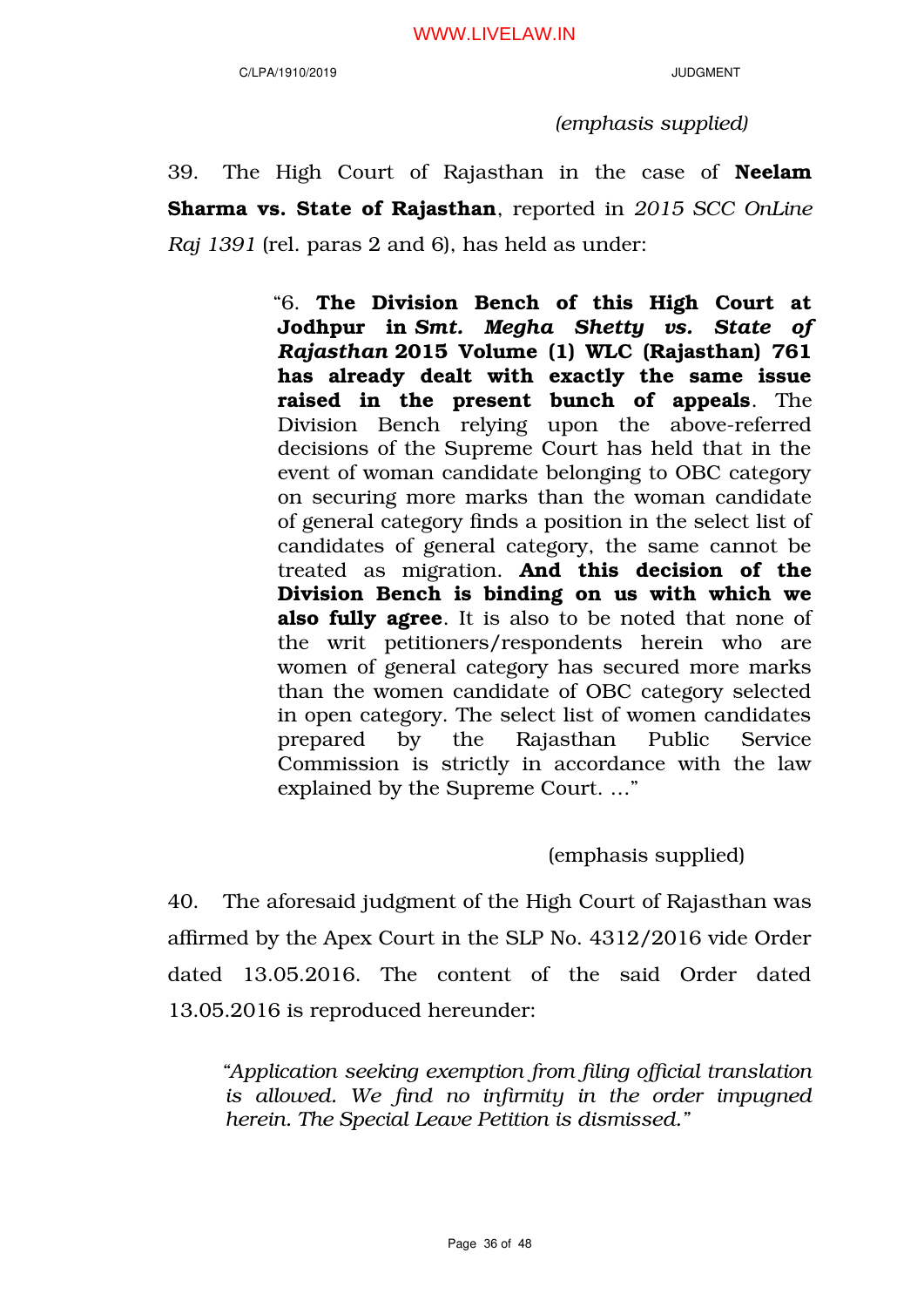*(emphasis supplied)*

39. The High Court of Rajasthan in the case of Neelam Sharma vs. State of Rajasthan, reported in *2015 SCC OnLine Raj 1391* (rel. paras 2 and 6), has held as under:

> "6. The Division Bench of this High Court at Jodhpur in *Smt. Megha Shetty vs. State of Rajasthan* 2015 Volume (1) WLC (Rajasthan) 761 has already dealt with exactly the same issue raised in the present bunch of appeals. The Division Bench relying upon the above-referred decisions of the Supreme Court has held that in the event of woman candidate belonging to OBC category on securing more marks than the woman candidate of general category finds a position in the select list of candidates of general category, the same cannot be treated as migration. And this decision of the Division Bench is binding on us with which we also fully agree. It is also to be noted that none of the writ petitioners/respondents herein who are women of general category has secured more marks than the women candidate of OBC category selected in open category. The select list of women candidates prepared by the Rajasthan Public Service Commission is strictly in accordance with the law explained by the Supreme Court. …"

> > (emphasis supplied)

40. The aforesaid judgment of the High Court of Rajasthan was affirmed by the Apex Court in the SLP No. 4312/2016 vide Order dated 13.05.2016. The content of the said Order dated 13.05.2016 is reproduced hereunder:

*"Application seeking exemption from filing official translation is allowed. We find no infirmity in the order impugned herein. The Special Leave Petition is dismissed."*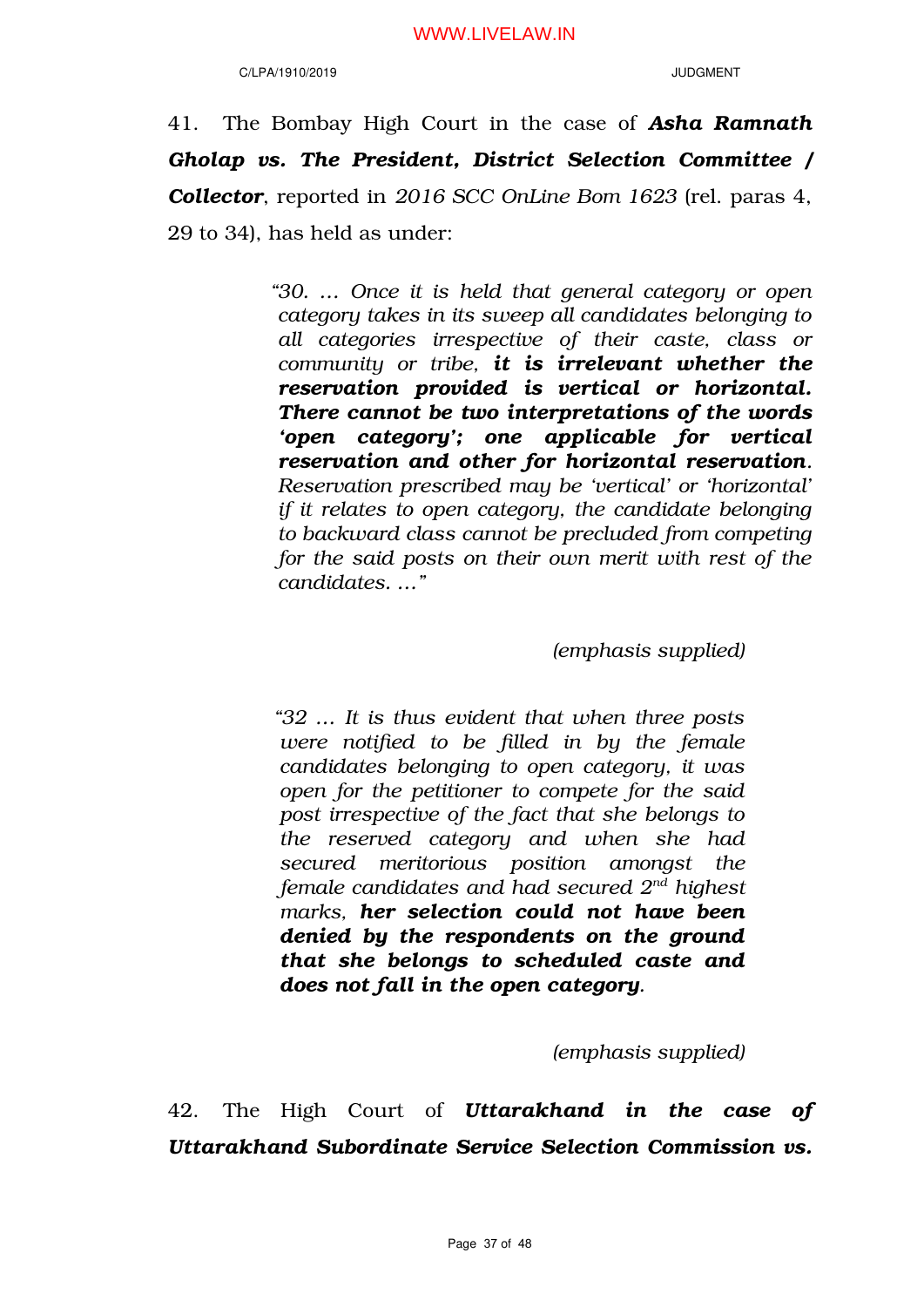### C/LPA/1910/2019 JUDGMENT

41. The Bombay High Court in the case of *Asha Ramnath Gholap vs. The President, District Selection Committee / Collector*, reported in *2016 SCC OnLine Bom 1623* (rel. paras 4, 29 to 34), has held as under:

> *"30. … Once it is held that general category or open category takes in its sweep all candidates belonging to all categories irrespective of their caste, class or community or tribe, it is irrelevant whether the reservation provided is vertical or horizontal. There cannot be two interpretations of the words 'open category'; one applicable for vertical reservation and other for horizontal reservation. Reservation prescribed may be 'vertical' or 'horizontal' if it relates to open category, the candidate belonging to backward class cannot be precluded from competing for the said posts on their own merit with rest of the candidates. …"*

> > *(emphasis supplied)*

*"32 … It is thus evident that when three posts were notified to be filled in by the female candidates belonging to open category, it was open for the petitioner to compete for the said post irrespective of the fact that she belongs to the reserved category and when she had secured meritorious position amongst the female candidates and had secured 2nd highest marks, her selection could not have been denied by the respondents on the ground that she belongs to scheduled caste and does not fall in the open category.*

*(emphasis supplied)*

42. The High Court of *Uttarakhand in the case of Uttarakhand Subordinate Service Selection Commission vs.*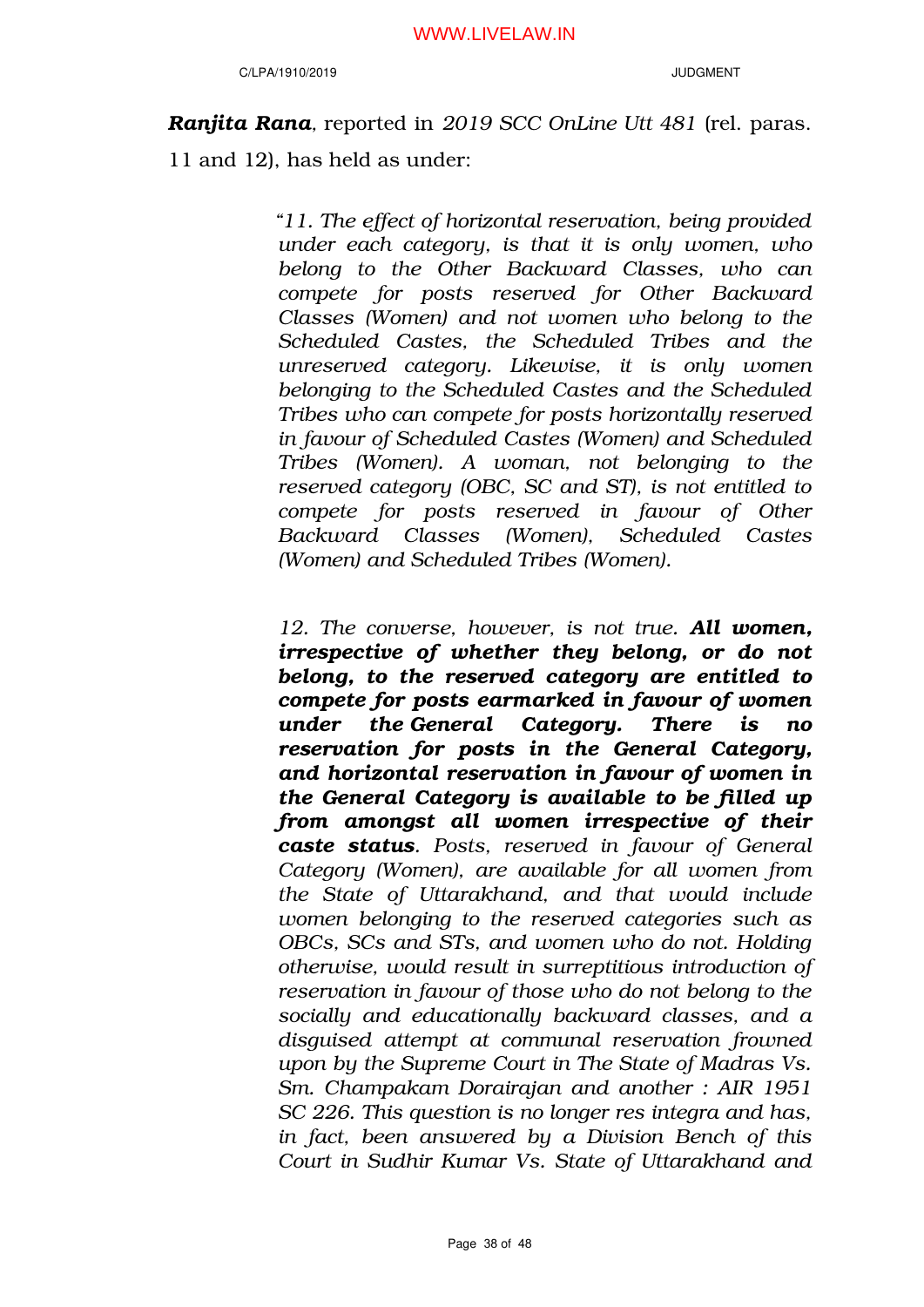*Ranjita Rana,* reported in *2019 SCC OnLine Utt 481* (rel. paras. 11 and 12), has held as under:

> *"11. The effect of horizontal reservation, being provided under each category, is that it is only women, who belong to the Other Backward Classes, who can compete for posts reserved for Other Backward Classes (Women) and not women who belong to the Scheduled Castes, the Scheduled Tribes and the unreserved category. Likewise, it is only women belonging to the Scheduled Castes and the Scheduled Tribes who can compete for posts horizontally reserved in favour of Scheduled Castes (Women) and Scheduled Tribes (Women). A woman, not belonging to the reserved category (OBC, SC and ST), is not entitled to compete for posts reserved in favour of Other Backward Classes (Women), Scheduled Castes (Women) and Scheduled Tribes (Women).*

> *12. The converse, however, is not true. All women, irrespective of whether they belong, or do not belong, to the reserved category are entitled to compete for posts earmarked in favour of women under the General Category. There is no reservation for posts in the General Category, and horizontal reservation in favour of women in the General Category is available to be filled up from amongst all women irrespective of their caste status. Posts, reserved in favour of General Category (Women), are available for all women from the State of Uttarakhand, and that would include women belonging to the reserved categories such as OBCs, SCs and STs, and women who do not. Holding otherwise, would result in surreptitious introduction of reservation in favour of those who do not belong to the socially and educationally backward classes, and a disguised attempt at communal reservation frowned upon by the Supreme Court in The State of Madras Vs. Sm. Champakam Dorairajan and another : AIR 1951 SC 226. This question is no longer res integra and has, in fact, been answered by a Division Bench of this Court in Sudhir Kumar Vs. State of Uttarakhand and*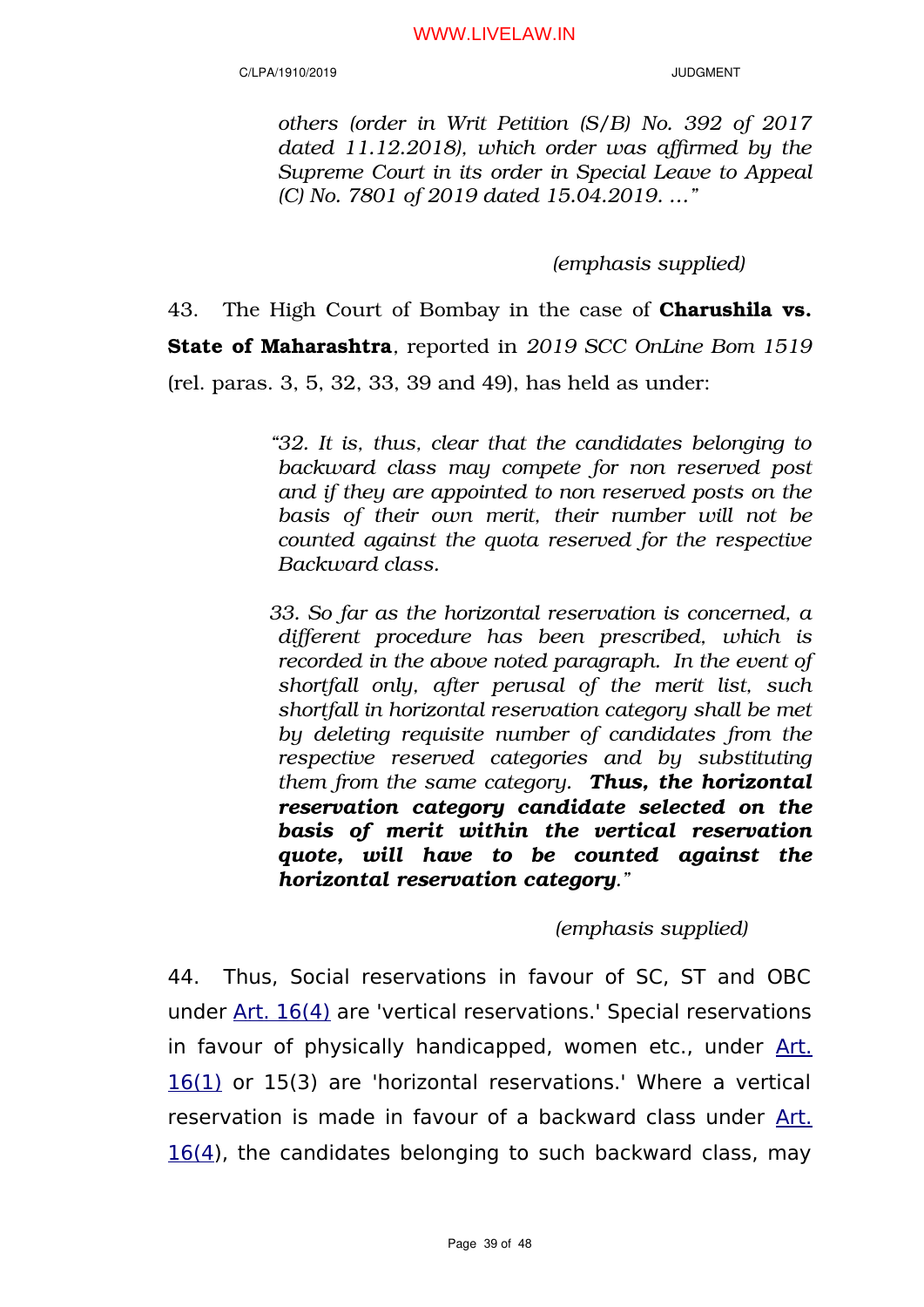*others (order in Writ Petition (S/B) No. 392 of 2017 dated 11.12.2018), which order was affirmed by the Supreme Court in its order in Special Leave to Appeal (C) No. 7801 of 2019 dated 15.04.2019. …"*

*(emphasis supplied)*

43. The High Court of Bombay in the case of **Charushila vs.** State of Maharashtra*,* reported in *2019 SCC OnLine Bom 1519* (rel. paras. 3, 5, 32, 33, 39 and 49), has held as under:

> *"32. It is, thus, clear that the candidates belonging to backward class may compete for non reserved post and if they are appointed to non reserved posts on the basis of their own merit, their number will not be counted against the quota reserved for the respective Backward class.*

> *33. So far as the horizontal reservation is concerned, a different procedure has been prescribed, which is recorded in the above noted paragraph. In the event of shortfall only, after perusal of the merit list, such shortfall in horizontal reservation category shall be met by deleting requisite number of candidates from the respective reserved categories and by substituting them from the same category. Thus, the horizontal reservation category candidate selected on the basis of merit within the vertical reservation quote, will have to be counted against the horizontal reservation category."*

# *(emphasis supplied)*

44. Thus, Social reservations in favour of SC, ST and OBC under [Art. 16\(4\)](https://indiankanoon.org/doc/68038/) are 'vertical reservations.' Special reservations in favour of physically handicapped, women etc., under [Art.](https://indiankanoon.org/doc/250697/) [16\(1\)](https://indiankanoon.org/doc/250697/) or 15(3) are 'horizontal reservations.' Where a vertical reservation is made in favour of a backward class under [Art.](https://indiankanoon.org/doc/68038/)  $16(4)$  $16(4)$ , the candidates belonging to such backward class, may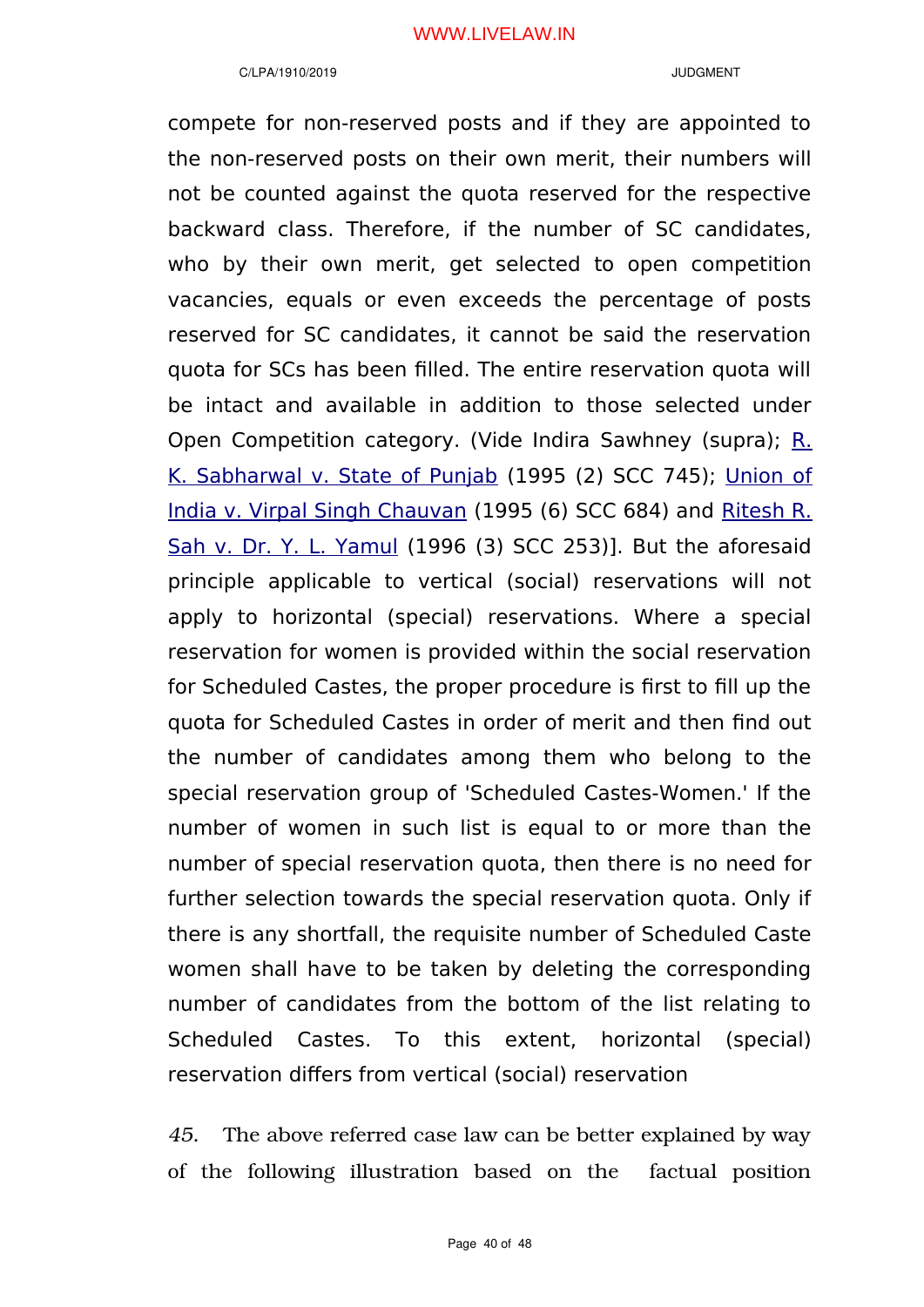compete for non-reserved posts and if they are appointed to the non-reserved posts on their own merit, their numbers will not be counted against the quota reserved for the respective backward class. Therefore, if the number of SC candidates, who by their own merit, get selected to open competition vacancies, equals or even exceeds the percentage of posts reserved for SC candidates, it cannot be said the reservation quota for SCs has been filled. The entire reservation quota will be intact and available in addition to those selected under Open Competition category. (Vide Indira Sawhney (supra); [R.](https://indiankanoon.org/doc/1871744/) [K. Sabharwal v. State of Punjab](https://indiankanoon.org/doc/1871744/) (1995 (2) SCC 745); [Union of](https://indiankanoon.org/doc/113526/) [India v. Virpal Singh Chauvan](https://indiankanoon.org/doc/113526/) (1995 (6) SCC 684) and [Ritesh R.](https://indiankanoon.org/doc/762690/) [Sah v. Dr. Y. L. Yamul](https://indiankanoon.org/doc/762690/) (1996 (3) SCC 253)]. But the aforesaid principle applicable to vertical (social) reservations will not apply to horizontal (special) reservations. Where a special reservation for women is provided within the social reservation for Scheduled Castes, the proper procedure is first to fill up the quota for Scheduled Castes in order of merit and then find out the number of candidates among them who belong to the special reservation group of 'Scheduled Castes-Women.' If the number of women in such list is equal to or more than the number of special reservation quota, then there is no need for further selection towards the special reservation quota. Only if there is any shortfall, the requisite number of Scheduled Caste women shall have to be taken by deleting the corresponding number of candidates from the bottom of the list relating to Scheduled Castes. To this extent, horizontal (special) reservation differs from vertical (social) reservation

*45.* The above referred case law can be better explained by way of the following illustration based on the factual position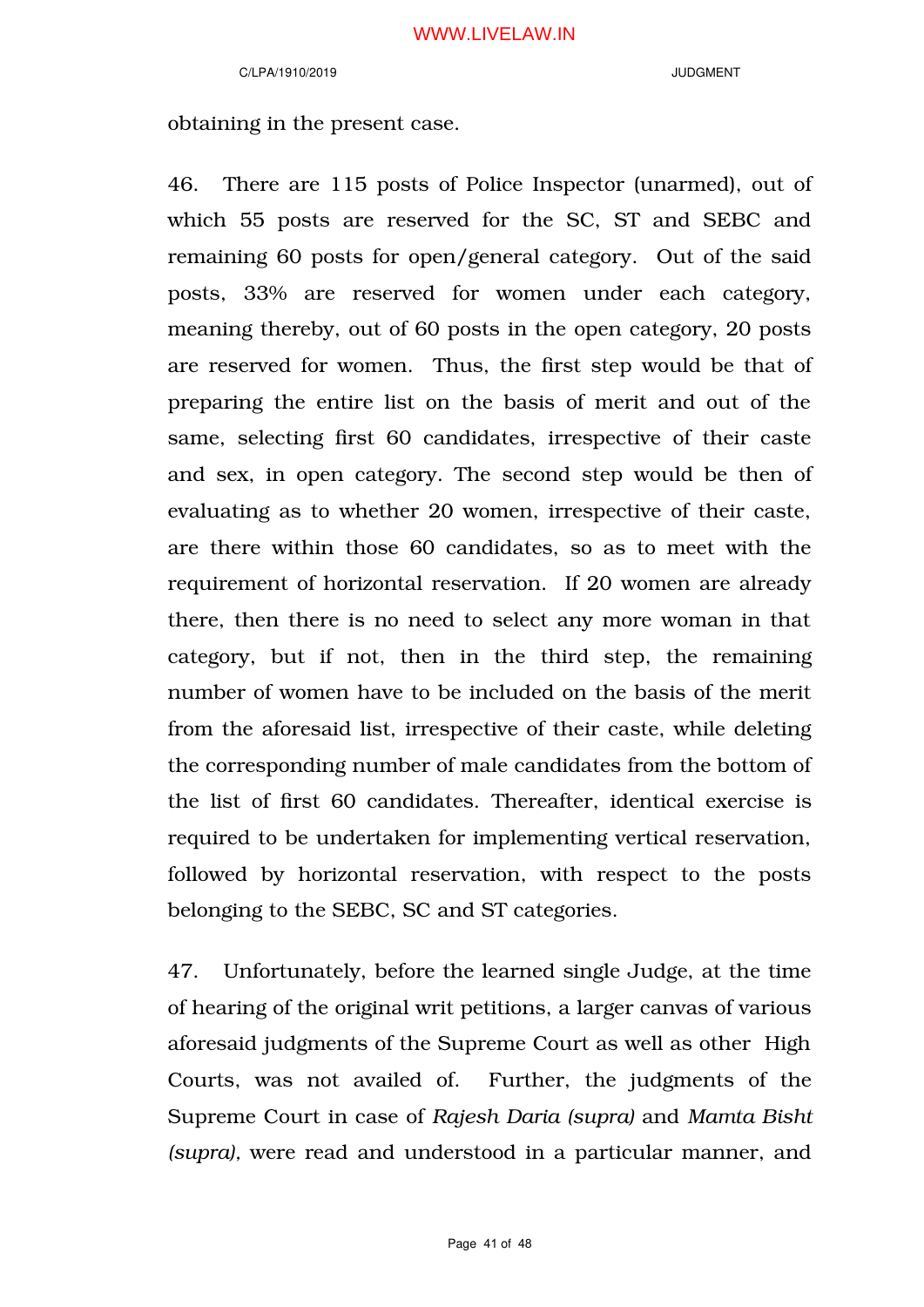obtaining in the present case.

46. There are 115 posts of Police Inspector (unarmed), out of which 55 posts are reserved for the SC, ST and SEBC and remaining 60 posts for open/general category. Out of the said posts, 33% are reserved for women under each category, meaning thereby, out of 60 posts in the open category, 20 posts are reserved for women. Thus, the first step would be that of preparing the entire list on the basis of merit and out of the same, selecting first 60 candidates, irrespective of their caste and sex, in open category. The second step would be then of evaluating as to whether 20 women, irrespective of their caste, are there within those 60 candidates, so as to meet with the requirement of horizontal reservation. If 20 women are already there, then there is no need to select any more woman in that category, but if not, then in the third step, the remaining number of women have to be included on the basis of the merit from the aforesaid list, irrespective of their caste, while deleting the corresponding number of male candidates from the bottom of the list of first 60 candidates. Thereafter, identical exercise is required to be undertaken for implementing vertical reservation, followed by horizontal reservation, with respect to the posts belonging to the SEBC, SC and ST categories.

47. Unfortunately, before the learned single Judge, at the time of hearing of the original writ petitions, a larger canvas of various aforesaid judgments of the Supreme Court as well as other High Courts, was not availed of. Further, the judgments of the Supreme Court in case of *Rajesh Daria (supra)* and *Mamta Bisht (supra),* were read and understood in a particular manner, and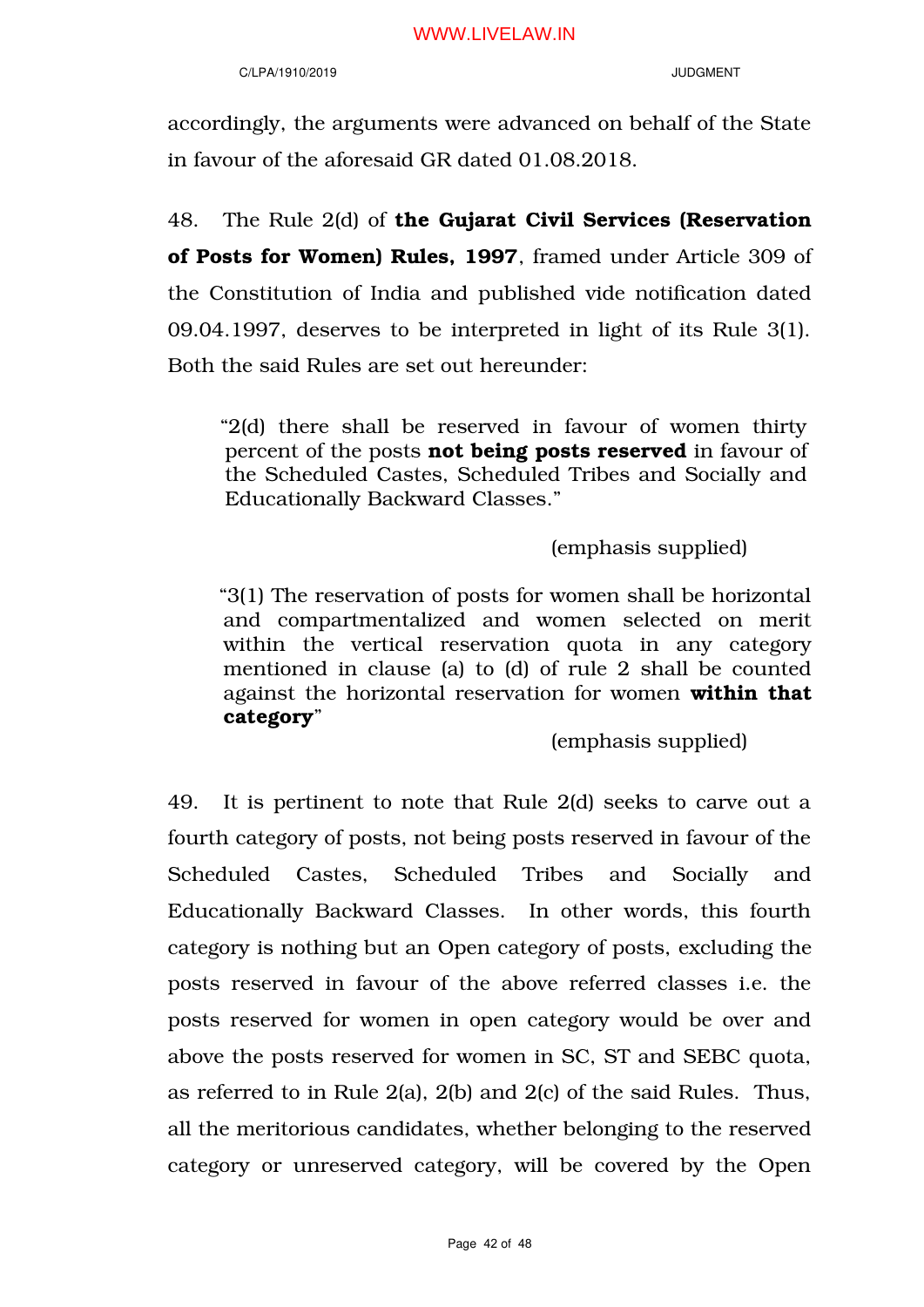### C/LPA/1910/2019 JUDGMENT

accordingly, the arguments were advanced on behalf of the State in favour of the aforesaid GR dated 01.08.2018.

48. The Rule 2(d) of the Gujarat Civil Services (Reservation of Posts for Women) Rules, 1997, framed under Article 309 of the Constitution of India and published vide notification dated 09.04.1997, deserves to be interpreted in light of its Rule 3(1). Both the said Rules are set out hereunder:

"2(d) there shall be reserved in favour of women thirty percent of the posts not being posts reserved in favour of the Scheduled Castes, Scheduled Tribes and Socially and Educationally Backward Classes."

# (emphasis supplied)

"3(1) The reservation of posts for women shall be horizontal and compartmentalized and women selected on merit within the vertical reservation quota in any category mentioned in clause (a) to (d) of rule 2 shall be counted against the horizontal reservation for women within that category"

(emphasis supplied)

49. It is pertinent to note that Rule 2(d) seeks to carve out a fourth category of posts, not being posts reserved in favour of the Scheduled Castes, Scheduled Tribes and Socially and Educationally Backward Classes. In other words, this fourth category is nothing but an Open category of posts, excluding the posts reserved in favour of the above referred classes i.e. the posts reserved for women in open category would be over and above the posts reserved for women in SC, ST and SEBC quota, as referred to in Rule 2(a), 2(b) and 2(c) of the said Rules. Thus, all the meritorious candidates, whether belonging to the reserved category or unreserved category, will be covered by the Open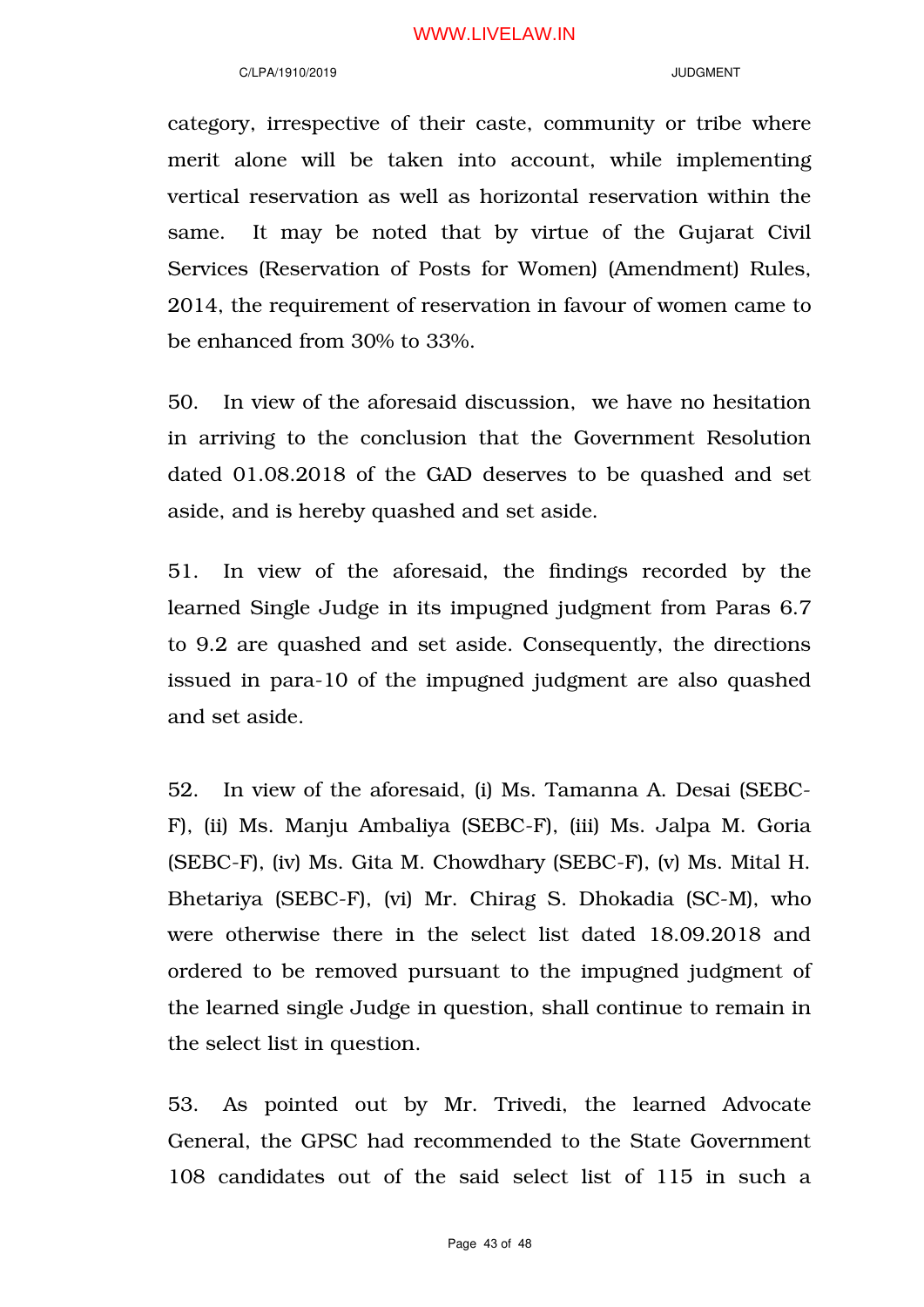#### C/LPA/1910/2019 JUDGMENT

category, irrespective of their caste, community or tribe where merit alone will be taken into account, while implementing vertical reservation as well as horizontal reservation within the same. It may be noted that by virtue of the Gujarat Civil Services (Reservation of Posts for Women) (Amendment) Rules, 2014, the requirement of reservation in favour of women came to be enhanced from 30% to 33%.

50. In view of the aforesaid discussion, we have no hesitation in arriving to the conclusion that the Government Resolution dated 01.08.2018 of the GAD deserves to be quashed and set aside, and is hereby quashed and set aside.

51. In view of the aforesaid, the findings recorded by the learned Single Judge in its impugned judgment from Paras 6.7 to 9.2 are quashed and set aside. Consequently, the directions issued in para-10 of the impugned judgment are also quashed and set aside.

52. In view of the aforesaid, (i) Ms. Tamanna A. Desai (SEBC-F), (ii) Ms. Manju Ambaliya (SEBC-F), (iii) Ms. Jalpa M. Goria (SEBC-F), (iv) Ms. Gita M. Chowdhary (SEBC-F), (v) Ms. Mital H. Bhetariya (SEBC-F), (vi) Mr. Chirag S. Dhokadia (SC-M), who were otherwise there in the select list dated 18.09.2018 and ordered to be removed pursuant to the impugned judgment of the learned single Judge in question, shall continue to remain in the select list in question.

53. As pointed out by Mr. Trivedi, the learned Advocate General, the GPSC had recommended to the State Government 108 candidates out of the said select list of 115 in such a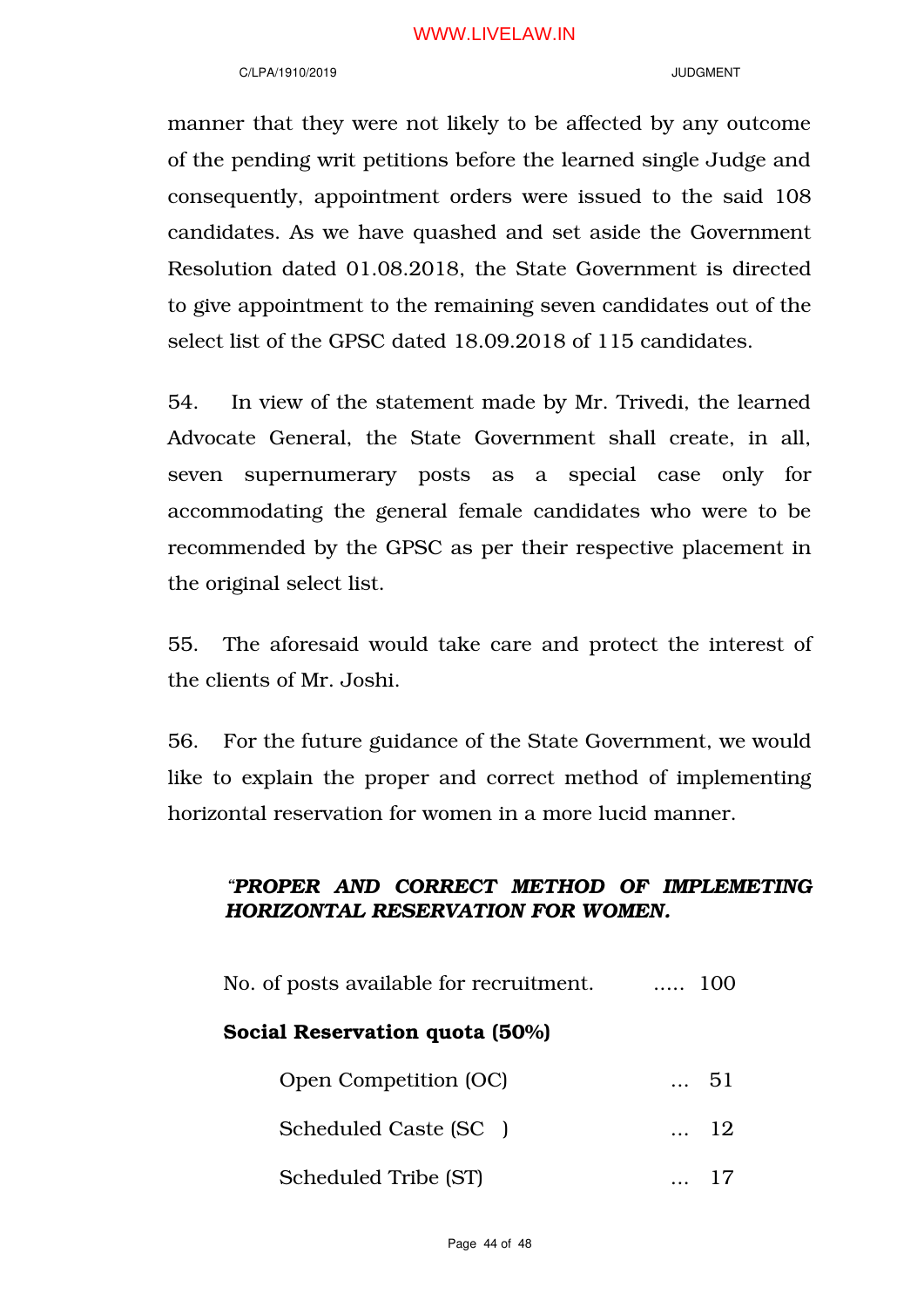### C/LPA/1910/2019 JUDGMENT

manner that they were not likely to be affected by any outcome of the pending writ petitions before the learned single Judge and consequently, appointment orders were issued to the said 108 candidates. As we have quashed and set aside the Government Resolution dated 01.08.2018, the State Government is directed to give appointment to the remaining seven candidates out of the select list of the GPSC dated 18.09.2018 of 115 candidates.

54. In view of the statement made by Mr. Trivedi, the learned Advocate General, the State Government shall create, in all, seven supernumerary posts as a special case only for accommodating the general female candidates who were to be recommended by the GPSC as per their respective placement in the original select list.

55. The aforesaid would take care and protect the interest of the clients of Mr. Joshi.

56. For the future guidance of the State Government, we would like to explain the proper and correct method of implementing horizontal reservation for women in a more lucid manner.

# *"PROPER AND CORRECT METHOD OF IMPLEMETING HORIZONTAL RESERVATION FOR WOMEN.*

| No. of posts available for recruitment. | $\ldots$ 100 |
|-----------------------------------------|--------------|
| Social Reservation quota (50%)          |              |
| Open Competition (OC)                   | 51           |
| Scheduled Caste (SC)                    | $\ldots$ 12  |
|                                         |              |

Scheduled Tribe (ST) ... 17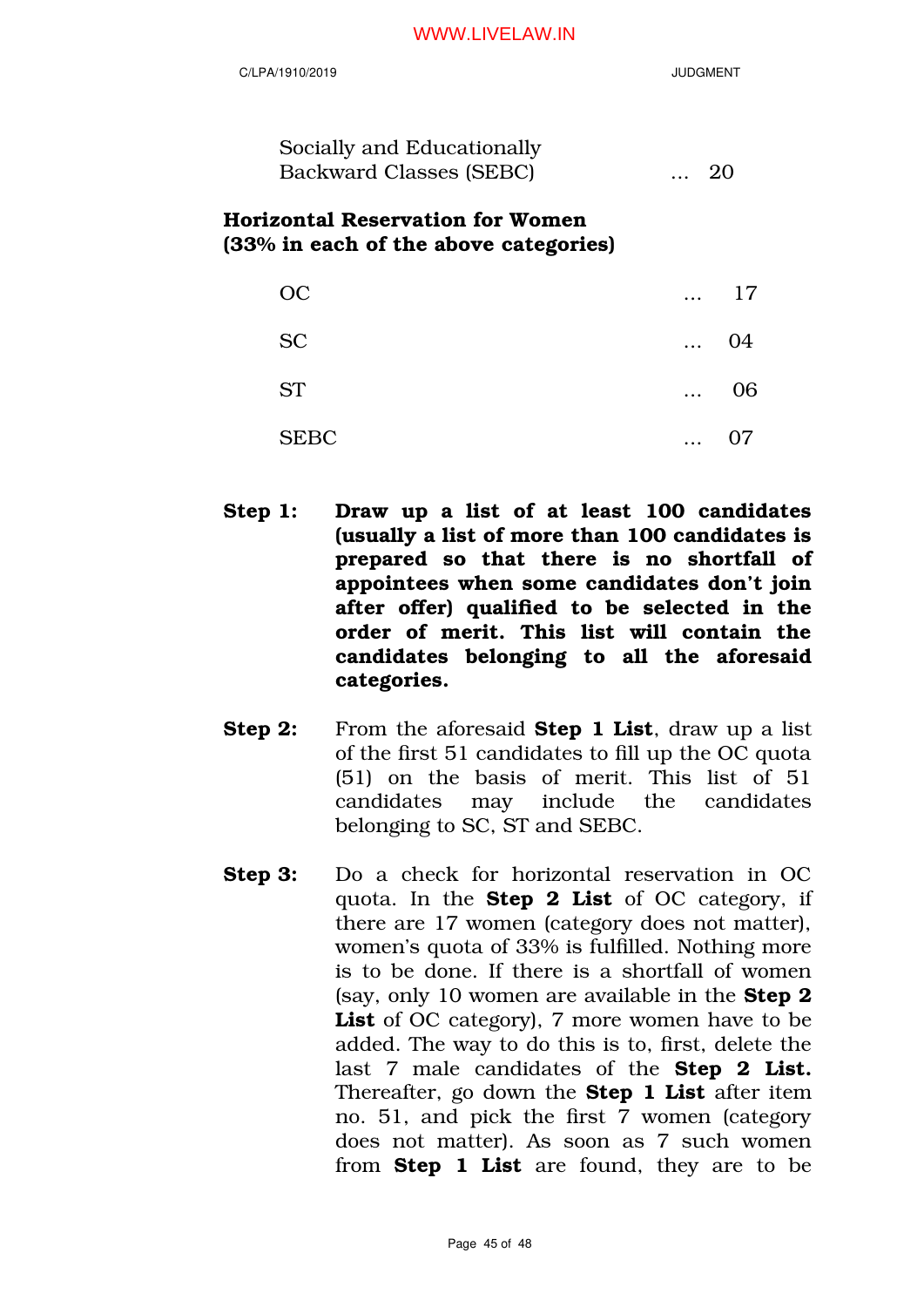| C/LPA/1910/2019                                                           | <b>JUDGMENT</b> |
|---------------------------------------------------------------------------|-----------------|
| Socially and Educationally<br><b>Backward Classes (SEBC)</b>              | 20              |
| Horizontal Reservation for Women<br>(33% in each of the above categories) |                 |
| റല                                                                        | 17              |
| <b>SC</b>                                                                 | 04.             |
| ST                                                                        |                 |
|                                                                           |                 |

Step 1: Draw up a list of at least 100 candidates (usually a list of more than 100 candidates is prepared so that there is no shortfall of appointees when some candidates don't join after offer) qualified to be selected in the order of merit. This list will contain the candidates belonging to all the aforesaid categories.

SEBC ... 07

- Step 2: From the aforesaid Step 1 List, draw up a list of the first 51 candidates to fill up the OC quota (51) on the basis of merit. This list of 51 candidates may include the candidates belonging to SC, ST and SEBC.
- Step 3: Do a check for horizontal reservation in OC quota. In the **Step 2 List** of OC category, if there are 17 women (category does not matter), women's quota of 33% is fulfilled. Nothing more is to be done. If there is a shortfall of women (say, only 10 women are available in the Step 2 List of OC category), 7 more women have to be added. The way to do this is to, first, delete the last 7 male candidates of the **Step 2 List.** Thereafter, go down the **Step 1 List** after item no. 51, and pick the first 7 women (category does not matter). As soon as 7 such women from **Step 1 List** are found, they are to be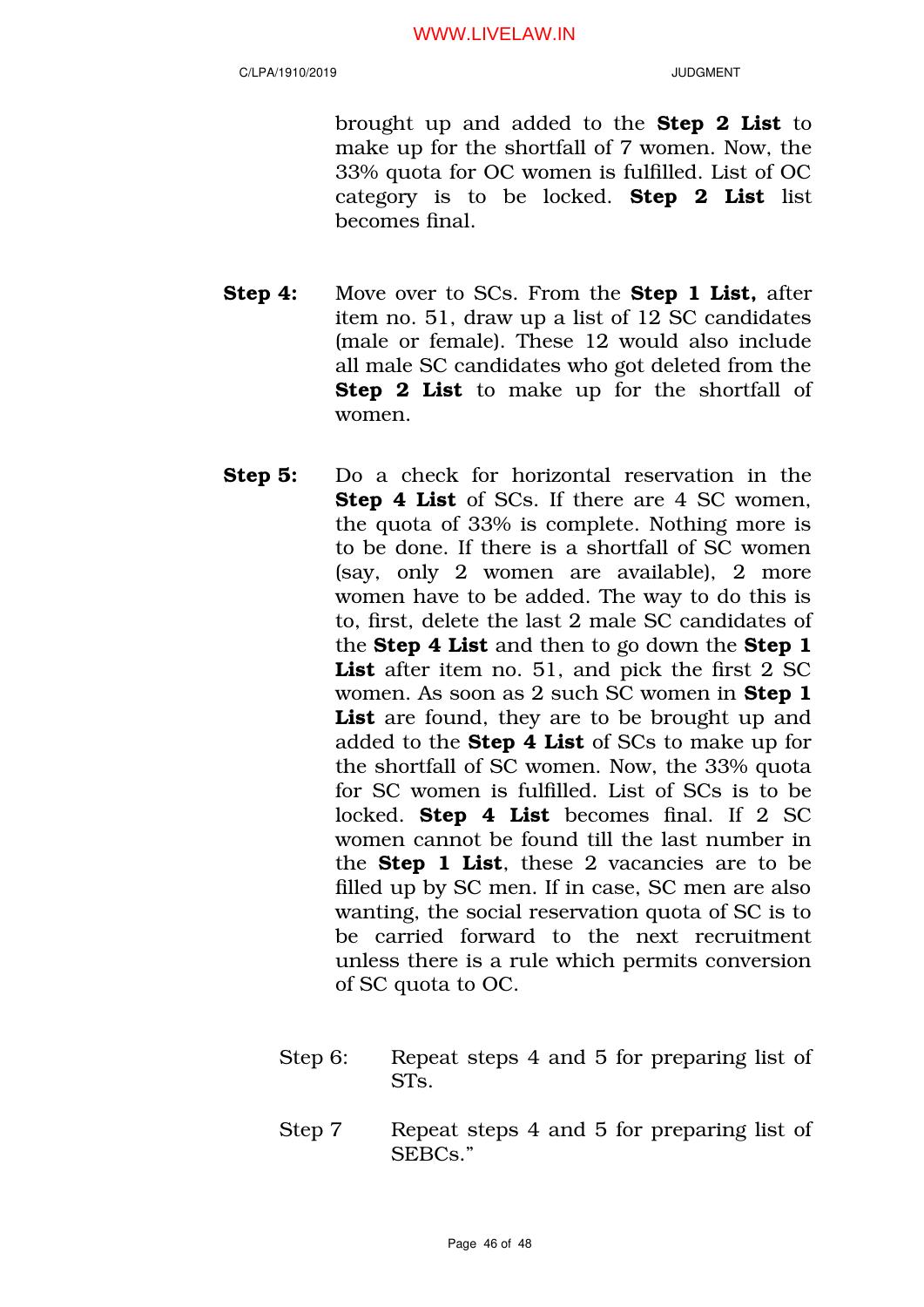brought up and added to the Step 2 List to make up for the shortfall of 7 women. Now, the 33% quota for OC women is fulfilled. List of OC category is to be locked. Step 2 List list becomes final.

- **Step 4:** Move over to SCs. From the **Step 1 List**, after item no. 51, draw up a list of 12 SC candidates (male or female). These 12 would also include all male SC candidates who got deleted from the **Step 2 List** to make up for the shortfall of women.
- Step 5: Do a check for horizontal reservation in the Step 4 List of SCs. If there are 4 SC women, the quota of 33% is complete. Nothing more is to be done. If there is a shortfall of SC women (say, only 2 women are available), 2 more women have to be added. The way to do this is to, first, delete the last 2 male SC candidates of the **Step 4 List** and then to go down the **Step 1** List after item no. 51, and pick the first 2 SC women. As soon as 2 such SC women in Step 1 List are found, they are to be brought up and added to the Step 4 List of SCs to make up for the shortfall of SC women. Now, the 33% quota for SC women is fulfilled. List of SCs is to be locked. **Step 4 List** becomes final. If 2 SC women cannot be found till the last number in the **Step 1 List**, these 2 vacancies are to be filled up by SC men. If in case, SC men are also wanting, the social reservation quota of SC is to be carried forward to the next recruitment unless there is a rule which permits conversion of SC quota to OC.
	- Step 6: Repeat steps 4 and 5 for preparing list of STs.
	- Step 7 Repeat steps 4 and 5 for preparing list of SEBCs."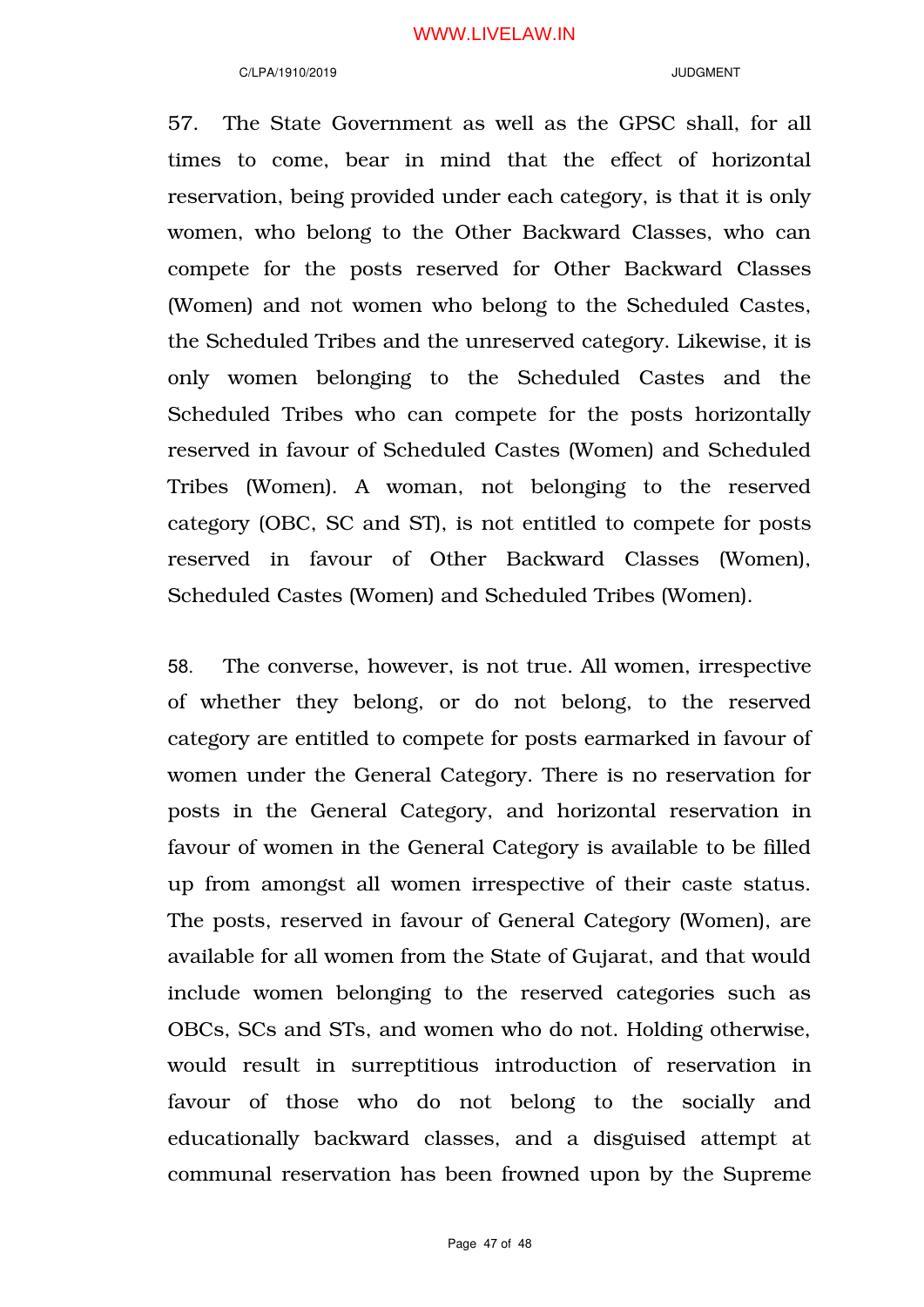#### C/LPA/1910/2019 JUDGMENT

57. The State Government as well as the GPSC shall, for all times to come, bear in mind that the effect of horizontal reservation, being provided under each category, is that it is only women, who belong to the Other Backward Classes, who can compete for the posts reserved for Other Backward Classes (Women) and not women who belong to the Scheduled Castes, the Scheduled Tribes and the unreserved category. Likewise, it is only women belonging to the Scheduled Castes and the Scheduled Tribes who can compete for the posts horizontally reserved in favour of Scheduled Castes (Women) and Scheduled Tribes (Women). A woman, not belonging to the reserved category (OBC, SC and ST), is not entitled to compete for posts reserved in favour of Other Backward Classes (Women), Scheduled Castes (Women) and Scheduled Tribes (Women).

58. The converse, however, is not true. All women, irrespective of whether they belong, or do not belong, to the reserved category are entitled to compete for posts earmarked in favour of women under the General Category. There is no reservation for posts in the General Category, and horizontal reservation in favour of women in the General Category is available to be filled up from amongst all women irrespective of their caste status. The posts, reserved in favour of General Category (Women), are available for all women from the State of Gujarat, and that would include women belonging to the reserved categories such as OBCs, SCs and STs, and women who do not. Holding otherwise, would result in surreptitious introduction of reservation in favour of those who do not belong to the socially and educationally backward classes, and a disguised attempt at communal reservation has been frowned upon by the Supreme